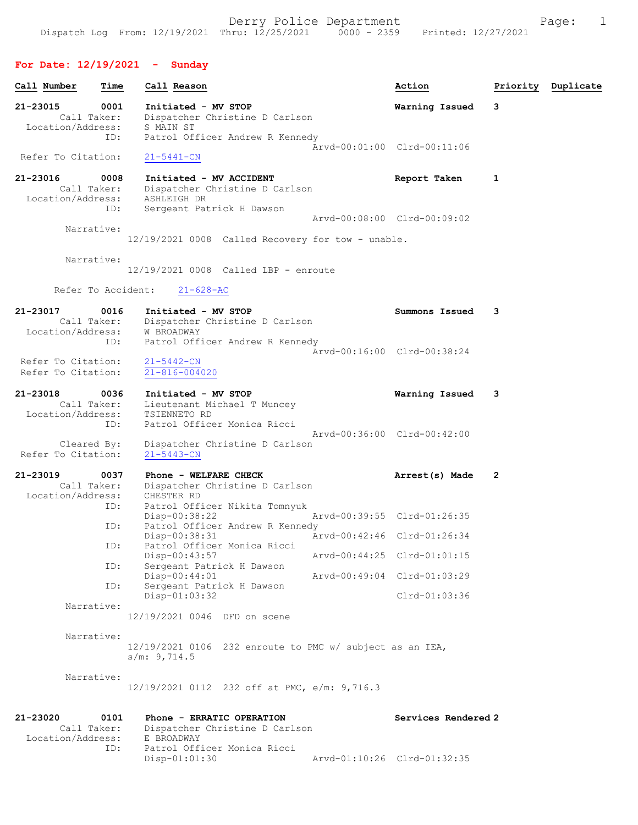# For Date: 12/19/2021 - Sunday

| Call Number                                  | Time        | Call Reason                                                                                              | Action                      |   | Priority Duplicate |
|----------------------------------------------|-------------|----------------------------------------------------------------------------------------------------------|-----------------------------|---|--------------------|
| 21-23015<br>Call Taker:                      | 0001        | Initiated - MV STOP<br>Dispatcher Christine D Carlson                                                    | Warning Issued              | 3 |                    |
| Location/Address:                            | ID:         | S MAIN ST<br>Patrol Officer Andrew R Kennedy                                                             | Arvd-00:01:00 Clrd-00:11:06 |   |                    |
| Refer To Citation:                           |             | $21 - 5441 - CN$                                                                                         |                             |   |                    |
| 21-23016<br>Call Taker:<br>Location/Address: | 0008        | Initiated - MV ACCIDENT<br>Dispatcher Christine D Carlson<br>ASHLEIGH DR                                 | Report Taken                | 1 |                    |
|                                              | ID:         | Sergeant Patrick H Dawson                                                                                | Arvd-00:08:00 Clrd-00:09:02 |   |                    |
| Narrative:                                   |             | $12/19/2021$ 0008 Called Recovery for tow - unable.                                                      |                             |   |                    |
| Narrative:                                   |             | $12/19/2021$ 0008 Called LBP - enroute                                                                   |                             |   |                    |
| Refer To Accident:                           |             | $21 - 628 - AC$                                                                                          |                             |   |                    |
| 21-23017<br>Call Taker:<br>Location/Address: | 0016        | Initiated - MV STOP<br>Dispatcher Christine D Carlson<br>W BROADWAY                                      | Summons Issued              | 3 |                    |
| Refer To Citation:<br>Refer To Citation:     | ID:         | Patrol Officer Andrew R Kennedy<br>$21 - 5442 - CN$<br>$21 - 816 - 004020$                               | Arvd-00:16:00 Clrd-00:38:24 |   |                    |
| 21-23018<br>Call Taker:<br>Location/Address: | 0036<br>ID: | Initiated - MV STOP<br>Lieutenant Michael T Muncey<br>TSIENNETO RD<br>Patrol Officer Monica Ricci        | Warning Issued              | 3 |                    |
| Cleared By:<br>Refer To Citation:            |             | Dispatcher Christine D Carlson<br>$21 - 5443 - CN$                                                       | Arvd-00:36:00 Clrd-00:42:00 |   |                    |
| 21-23019<br>Call Taker:<br>Location/Address: | 0037        | Phone - WELFARE CHECK<br>Dispatcher Christine D Carlson<br>CHESTER RD                                    | Arrest(s) Made              | 2 |                    |
|                                              | ID:         | Patrol Officer Nikita Tomnyuk<br>Disp-00:38:22                                                           | Arvd-00:39:55 Clrd-01:26:35 |   |                    |
|                                              | ID:         | Patrol Officer Andrew R Kennedy<br>Disp-00:38:31                                                         | Arvd-00:42:46 Clrd-01:26:34 |   |                    |
|                                              | ID:         | Patrol Officer Monica Ricci<br>Disp-00:43:57                                                             | Arvd-00:44:25 Clrd-01:01:15 |   |                    |
|                                              | ID:         | Sergeant Patrick H Dawson<br>Disp-00:44:01                                                               | Arvd-00:49:04 Clrd-01:03:29 |   |                    |
|                                              | ID:         | Sergeant Patrick H Dawson<br>Disp-01:03:32                                                               | Clrd-01:03:36               |   |                    |
| Narrative:                                   |             | 12/19/2021 0046 DFD on scene                                                                             |                             |   |                    |
| Narrative:                                   |             | 12/19/2021 0106 232 enroute to PMC w/ subject as an IEA,<br>s/m: 9,714.5                                 |                             |   |                    |
| Narrative:                                   |             | 12/19/2021 0112 232 off at PMC, e/m: 9,716.3                                                             |                             |   |                    |
| 21-23020<br>Call Taker:<br>Location/Address: | 0101<br>ID: | Phone - ERRATIC OPERATION<br>Dispatcher Christine D Carlson<br>E BROADWAY<br>Patrol Officer Monica Ricci | Services Rendered 2         |   |                    |
|                                              |             | Disp-01:01:30                                                                                            | Arvd-01:10:26 Clrd-01:32:35 |   |                    |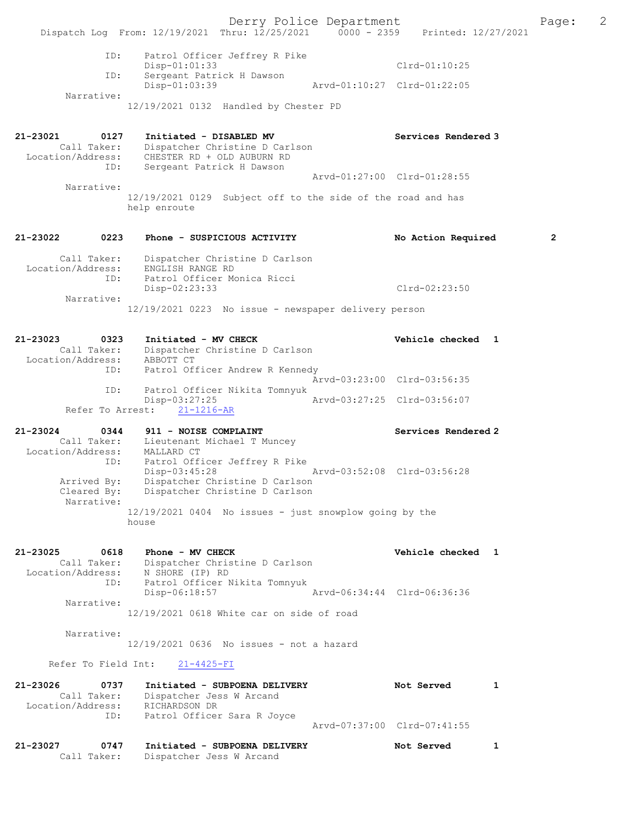Derry Police Department The Page: 2 Dispatch Log From:  $12/19/2021$  Thru:  $12/25/2021$  0000 - 2359 Printed:  $12/27/2021$  ID: Patrol Officer Jeffrey R Pike Disp-01:01:33 Clrd-01:10:25 ID: Sergeant Patrick H Dawson Disp-01:03:39 Arvd-01:10:27 Clrd-01:22:05 Narrative: 12/19/2021 0132 Handled by Chester PD 21-23021 0127 Initiated - DISABLED MV Services Rendered 3 Call Taker: Dispatcher Christine D Carlson Location/Address: CHESTER RD + OLD AUBURN RD ID: Sergeant Patrick H Dawson Arvd-01:27:00 Clrd-01:28:55 Narrative: 12/19/2021 0129 Subject off to the side of the road and has help enroute 21-23022 0223 Phone - SUSPICIOUS ACTIVITY No Action Required 2 Call Taker: Dispatcher Christine D Carlson Location/Address: ENGLISH RANGE RD ID: Patrol Officer Monica Ricci Disp-02:23:33 Clrd-02:23:50 Narrative: 12/19/2021 0223 No issue - newspaper delivery person 21-23023 0323 Initiated - MV CHECK Vehicle checked 1 Call Taker: Dispatcher Christine D Carlson Location/Address: ABBOTT CT ID: Patrol Officer Andrew R Kennedy Arvd-03:23:00 Clrd-03:56:35<br>ID: Patrol Officer Nikita Tomnyuk Patrol Officer Nikita Tomnyuk<br>Disp-03:27:25 Disp-03:27:25 Arvd-03:27:25 Clrd-03:56:07 Refer To Arrest: 21-1216-AR 21-23024 0344 911 - NOISE COMPLAINT Services Rendered 2 Call Taker: Lieutenant Michael T Muncey Location/Address: MALLARD CT ID: Patrol Officer Jeffrey R Pike Disp-03:45:28 Arvd-03:52:08 Clrd-03:56:28 Arrived By: Dispatcher Christine D Carlson Cleared By: Dispatcher Christine D Carlson Narrative: 12/19/2021 0404 No issues - just snowplow going by the house 21-23025 0618 Phone - MV CHECK Vehicle checked 1 Call Taker: Dispatcher Christine D Carlson Location/Address: N SHORE (IP) RD ID: Patrol Officer Nikita Tomnyuk Disp-06:18:57 Arvd-06:34:44 Clrd-06:36:36 Narrative: 12/19/2021 0618 White car on side of road Narrative: 12/19/2021 0636 No issues - not a hazard Refer To Field Int: 21-4425-FI 21-23026 0737 Initiated - SUBPOENA DELIVERY Not Served 1 Call Taker: Dispatcher Jess W Arcand Location/Address: RICHARDSON DR ID: Patrol Officer Sara R Joyce Arvd-07:37:00 Clrd-07:41:55 21-23027 0747 Initiated - SUBPOENA DELIVERY Not Served 1 Call Taker: Dispatcher Jess W Arcand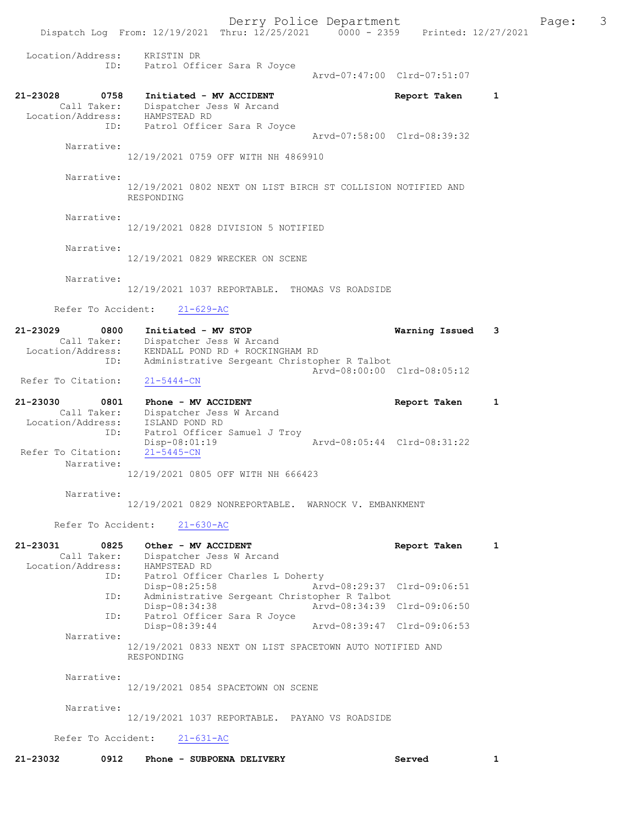Derry Police Department The Page: 3 Dispatch Log From: 12/19/2021 Thru: 12/25/2021 0000 - 2359 Printed: 12/27/2021 Location/Address: KRISTIN DR ID: Patrol Officer Sara R Joyce Arvd-07:47:00 Clrd-07:51:07 21-23028 0758 Initiated - MV ACCIDENT Report Taken 1 Call Taker: Dispatcher Jess W Arcand Location/Address: HAMPSTEAD RD ID: Patrol Officer Sara R Joyce Arvd-07:58:00 Clrd-08:39:32 Narrative: 12/19/2021 0759 OFF WITH NH 4869910 Narrative: 12/19/2021 0802 NEXT ON LIST BIRCH ST COLLISION NOTIFIED AND RESPONDING Narrative: 12/19/2021 0828 DIVISION 5 NOTIFIED Narrative: 12/19/2021 0829 WRECKER ON SCENE Narrative: 12/19/2021 1037 REPORTABLE. THOMAS VS ROADSIDE Refer To Accident: 21-629-AC 21-23029 0800 Initiated - MV STOP Warning Issued 3 Call Taker: Dispatcher Jess W Arcand Location/Address: KENDALL POND RD + ROCKINGHAM RD ID: Administrative Sergeant Christopher R Talbot Arvd-08:00:00 Clrd-08:05:12 Refer To Citation: 21-5444-CN 21-23030 0801 Phone - MV ACCIDENT Report Taken 1 Call Taker: Dispatcher Jess W Arcand Location/Address: ISLAND POND RD ID: Patrol Officer Samuel J Troy<br>Disp-08:01:19 Disp-08:01:19 Arvd-08:05:44 Clrd-08:31:22 Refer To Citation: Narrative: 12/19/2021 0805 OFF WITH NH 666423 Narrative: 12/19/2021 0829 NONREPORTABLE. WARNOCK V. EMBANKMENT Refer To Accident: 21-630-AC 21-23031 0825 Other - MV ACCIDENT CONTRESS Report Taken 1 Call Taker: Dispatcher Jess W Arcand Location/Address: HAMPSTEAD RD ID: Patrol Officer Charles L Doherty<br>Disp-08:25:58 Art Disp-08:25:58 Arvd-08:29:37 Clrd-09:06:51<br>ID: Administrative Sergeant Christopher R Talbot Administrative Sergeant Christopher R Talbot<br>Disp-08:34:38 Arvd-08:34:39 Disp-08:34:38 Arvd-08:34:39 Clrd-09:06:50 ID: Patrol Officer Sara R Joyce Disp-08:39:44 Arvd-08:39:47 Clrd-09:06:53 Narrative: 12/19/2021 0833 NEXT ON LIST SPACETOWN AUTO NOTIFIED AND RESPONDING Narrative: 12/19/2021 0854 SPACETOWN ON SCENE Narrative: 12/19/2021 1037 REPORTABLE. PAYANO VS ROADSIDE Refer To Accident: 21-631-AC 21-23032 0912 Phone - SUBPOENA DELIVERY Served 1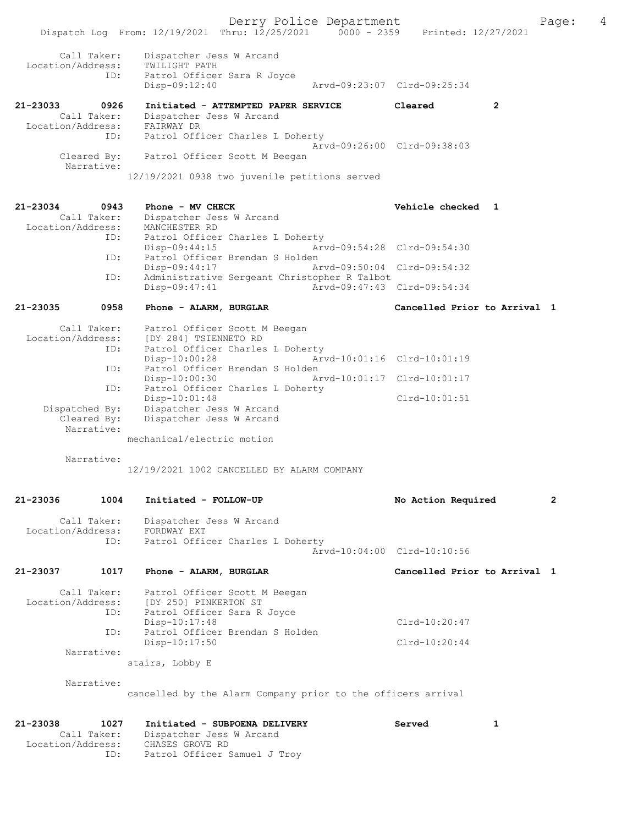Derry Police Department Fage: 4

| Call Taker:<br>Location/Address:<br>ID:                     | Dispatcher Jess W Arcand<br>TWILIGHT PATH<br>Patrol Officer Sara R Joyce<br>Disp-09:12:40                         | Aryd-09:23:07 Clrd-09:25:34 |   |
|-------------------------------------------------------------|-------------------------------------------------------------------------------------------------------------------|-----------------------------|---|
| 21-23033<br>0926<br>Call Taker:<br>Location/Address:<br>ID: | Initiated - ATTEMPTED PAPER SERVICE<br>Dispatcher Jess W Arcand<br>FAIRWAY DR<br>Patrol Officer Charles L Doherty | Cleared                     | 2 |
| Cleared By:<br>Narrative:                                   | Patrol Officer Scott M Beegan<br>12/19/2021 0938 two juvenile petitions served                                    | Aryd-09:26:00 Clrd-09:38:03 |   |

Dispatch Log From: 12/19/2021 Thru: 12/25/2021 0000 - 2359 Printed: 12/27/2021

| 21-23034          | 0943        | Phone - MV CHECK                             |                             | Vehicle checked 1 |  |
|-------------------|-------------|----------------------------------------------|-----------------------------|-------------------|--|
|                   | Call Taker: | Dispatcher Jess W Arcand                     |                             |                   |  |
| Location/Address: |             | MANCHESTER RD                                |                             |                   |  |
|                   | ID:         | Patrol Officer Charles L Doherty             |                             |                   |  |
|                   |             | $Disp-09:44:15$                              | Arvd-09:54:28 Clrd-09:54:30 |                   |  |
|                   | ID:         | Patrol Officer Brendan S Holden              |                             |                   |  |
|                   |             | Disp-09:44:17                                | Arvd-09:50:04 Clrd-09:54:32 |                   |  |
|                   | ID:         | Administrative Sergeant Christopher R Talbot |                             |                   |  |
|                   |             | $Disp-09:47:41$                              | Arvd-09:47:43 Clrd-09:54:34 |                   |  |
|                   |             |                                              |                             |                   |  |

21-23035 0958 Phone - ALARM, BURGLAR Cancelled Prior to Arrival 1

| Call Taker:       | Patrol Officer Scott M Beegan                |                 |
|-------------------|----------------------------------------------|-----------------|
| Location/Address: | [DY 284] TSIENNETO RD                        |                 |
| ID:               | Patrol Officer Charles L Doherty             |                 |
|                   | Arvd-10:01:16 Clrd-10:01:19<br>Disp-10:00:28 |                 |
| ID:               | Patrol Officer Brendan S Holden              |                 |
|                   | Arvd-10:01:17 Clrd-10:01:17<br>Disp-10:00:30 |                 |
| ID:               | Patrol Officer Charles L Doherty             |                 |
|                   | $Disp-10:01:48$                              | $Clrd-10:01:51$ |
| Dispatched By:    | Dispatcher Jess W Arcand                     |                 |
| Cleared By:       | Dispatcher Jess W Arcand                     |                 |
| Narrative:        |                                              |                 |

mechanical/electric motion

Narrative:

12/19/2021 1002 CANCELLED BY ALARM COMPANY

| 21-23036          | 1004               | Initiated - FOLLOW-UP                                                                                                                                                                        | No Action Required                 | $\overline{2}$ |
|-------------------|--------------------|----------------------------------------------------------------------------------------------------------------------------------------------------------------------------------------------|------------------------------------|----------------|
| Location/Address: | Call Taker:<br>ID: | Dispatcher Jess W Arcand<br>FORDWAY EXT<br>Patrol Officer Charles L Doherty                                                                                                                  | Arvd-10:04:00 Clrd-10:10:56        |                |
| 21-23037          | 1017               | Phone - ALARM, BURGLAR                                                                                                                                                                       | Cancelled Prior to Arrival 1       |                |
| Narrative:        | ID:<br>ID:         | Call Taker: Patrol Officer Scott M Beegan<br>Location/Address: [DY 250] PINKERTON ST<br>Patrol Officer Sara R Joyce<br>$Disp-10:17:48$<br>Patrol Officer Brendan S Holden<br>$Disp-10:17:50$ | $Clrd-10:20:47$<br>$Clrd-10:20:44$ |                |
| Narrative:        |                    | stairs, Lobby E<br>cancelled by the Alarm Company prior to the officers arrival                                                                                                              |                                    |                |

| 21-23038          | 1027 | Initiated - SUBPOENA DELIVERY | Served |  |
|-------------------|------|-------------------------------|--------|--|
| Call Taker:       |      | Dispatcher Jess W Arcand      |        |  |
| Location/Address: |      | CHASES GROVE RD               |        |  |
|                   | ID:  | Patrol Officer Samuel J Troy  |        |  |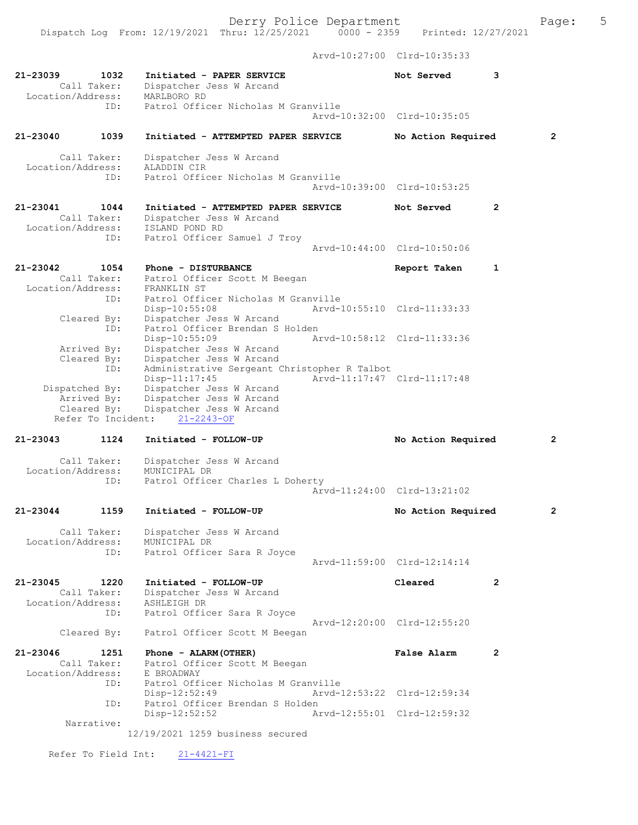Dispatch Log From: 12/19/2021 Thru: 12/25/2021 0000 - 2359 Printed: 12/27/2021

Arvd-10:27:00 Clrd-10:35:33

| 21-23039<br>Location/Address: | 1032<br>Call Taker:                              | Initiated - PAPER SERVICE<br>Dispatcher Jess W Arcand<br>MARLBORO RD                                       | Not Served                  | 3              |                |
|-------------------------------|--------------------------------------------------|------------------------------------------------------------------------------------------------------------|-----------------------------|----------------|----------------|
|                               | ID:                                              | Patrol Officer Nicholas M Granville                                                                        | Arvd-10:32:00 Clrd-10:35:05 |                |                |
| $21 - 23040$                  | 1039                                             | Initiated - ATTEMPTED PAPER SERVICE                                                                        | No Action Required          |                | $\overline{2}$ |
| Location/Address:             | Call Taker:<br>ID:                               | Dispatcher Jess W Arcand<br>ALADDIN CIR<br>Patrol Officer Nicholas M Granville                             | Arvd-10:39:00 Clrd-10:53:25 |                |                |
| $21 - 23041$                  | 1044                                             | Initiated - ATTEMPTED PAPER SERVICE                                                                        | Not Served                  | $\mathbf{2}$   |                |
| Location/Address:             | Call Taker:<br>ID:                               | Dispatcher Jess W Arcand<br>ISLAND POND RD<br>Patrol Officer Samuel J Troy                                 |                             |                |                |
|                               |                                                  |                                                                                                            | Arvd-10:44:00 Clrd-10:50:06 |                |                |
| 21-23042<br>Location/Address: | 1054<br>Call Taker:<br>ID:                       | Phone - DISTURBANCE<br>Patrol Officer Scott M Beegan<br>FRANKLIN ST<br>Patrol Officer Nicholas M Granville | Report Taken                | $\mathbf{1}$   |                |
|                               | Cleared By:                                      | Disp-10:55:08<br>Dispatcher Jess W Arcand<br>Patrol Officer Brendan S Holden                               | Arvd-10:55:10 Clrd-11:33:33 |                |                |
|                               | ID:<br>Arrived By:                               | Disp-10:55:09<br>Dispatcher Jess W Arcand                                                                  | Arvd-10:58:12 Clrd-11:33:36 |                |                |
|                               | Cleared By:<br>ID:                               | Dispatcher Jess W Arcand<br>Administrative Sergeant Christopher R Talbot<br>Disp-11:17:45                  | Arvd-11:17:47 Clrd-11:17:48 |                |                |
| Dispatched By:                | Arrived By:<br>Cleared By:<br>Refer To Incident: | Dispatcher Jess W Arcand<br>Dispatcher Jess W Arcand<br>Dispatcher Jess W Arcand<br>$21 - 2243 - OF$       |                             |                |                |
| $21 - 23043$                  | 1124                                             | Initiated - FOLLOW-UP                                                                                      | No Action Required          |                | $\overline{2}$ |
|                               | Call Taker:                                      | Dispatcher Jess W Arcand                                                                                   |                             |                |                |
| Location/Address:             | ID:                                              | MUNICIPAL DR<br>Patrol Officer Charles L Doherty                                                           |                             |                |                |
|                               |                                                  |                                                                                                            | Arvd-11:24:00 Clrd-13:21:02 |                |                |
| 21-23044                      | 1159                                             | Initiated - FOLLOW-UP                                                                                      | No Action Required          |                | 2              |
| Location/Address:             | Call Taker:<br>ID:                               | Dispatcher Jess W Arcand<br>MUNICIPAL DR<br>Patrol Officer Sara R Joyce                                    |                             |                |                |
|                               |                                                  |                                                                                                            | Arvd-11:59:00 Clrd-12:14:14 |                |                |
| 21-23045<br>Location/Address: | 1220<br>Call Taker:                              | Initiated - FOLLOW-UP<br>Dispatcher Jess W Arcand<br>ASHLEIGH DR                                           | Cleared                     | $\overline{2}$ |                |
|                               | ID:                                              | Patrol Officer Sara R Joyce                                                                                | Arvd-12:20:00 Clrd-12:55:20 |                |                |
|                               | Cleared By:                                      | Patrol Officer Scott M Beegan                                                                              |                             |                |                |
| 21-23046<br>Location/Address: | 1251<br>Call Taker:                              | Phone - ALARM (OTHER)<br>Patrol Officer Scott M Beegan<br>E BROADWAY                                       | <b>False Alarm</b>          | 2              |                |
|                               | ID:                                              | Patrol Officer Nicholas M Granville<br>$Disp-12:52:49$                                                     | Arvd-12:53:22 Clrd-12:59:34 |                |                |
|                               | ID:                                              | Patrol Officer Brendan S Holden<br>$Disp-12:52:52$                                                         | Arvd-12:55:01 Clrd-12:59:32 |                |                |
|                               | Narrative:                                       | 12/19/2021 1259 business secured                                                                           |                             |                |                |
|                               | Refer To Field Int:                              | $21 - 4421 - FI$                                                                                           |                             |                |                |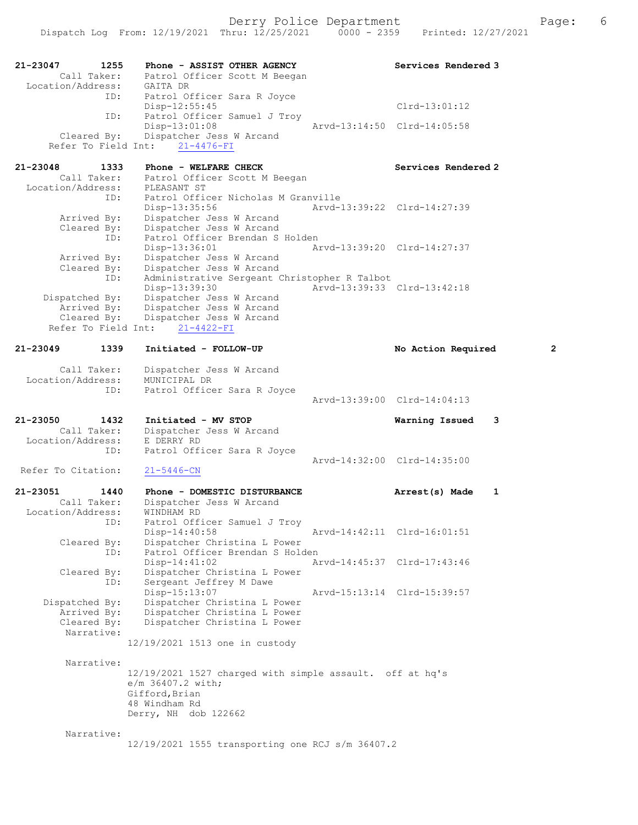| 21-23047<br>1255<br>Call Taker:<br>Location/Address:        | Phone - ASSIST OTHER AGENCY<br>Patrol Officer Scott M Beegan<br>GAITA DR                                                                 |                             | Services Rendered 3 |              |
|-------------------------------------------------------------|------------------------------------------------------------------------------------------------------------------------------------------|-----------------------------|---------------------|--------------|
| ID:                                                         | Patrol Officer Sara R Joyce<br>$Disp-12:55:45$                                                                                           |                             | $Clrd-13:01:12$     |              |
| ID:<br>Cleared By:<br>Refer To Field Int:                   | Patrol Officer Samuel J Troy<br>Disp-13:01:08<br>Dispatcher Jess W Arcand<br>$21 - 4476 - FI$                                            | Arvd-13:14:50 Clrd-14:05:58 |                     |              |
| $21 - 23048$<br>1333<br>Call Taker:<br>Location/Address:    | Phone - WELFARE CHECK<br>Patrol Officer Scott M Beegan<br>PLEASANT ST                                                                    |                             | Services Rendered 2 |              |
| ID:<br>Arrived By:                                          | Patrol Officer Nicholas M Granville<br>Disp-13:35:56<br>Dispatcher Jess W Arcand                                                         | Arvd-13:39:22 Clrd-14:27:39 |                     |              |
| Cleared By:<br>ID:<br>Arrived By:                           | Dispatcher Jess W Arcand<br>Patrol Officer Brendan S Holden<br>Disp-13:36:01<br>Dispatcher Jess W Arcand                                 | Arvd-13:39:20 Clrd-14:27:37 |                     |              |
| Cleared By:<br>ID:<br>Dispatched By:                        | Dispatcher Jess W Arcand<br>Administrative Sergeant Christopher R Talbot<br>Disp-13:39:30<br>Dispatcher Jess W Arcand                    | Arvd-13:39:33 Clrd-13:42:18 |                     |              |
| Arrived By:<br>Cleared By:<br>Refer To Field Int:           | Dispatcher Jess W Arcand<br>Dispatcher Jess W Arcand<br>$21 - 4422 - FI$                                                                 |                             |                     |              |
| 21-23049<br>1339                                            | Initiated - FOLLOW-UP                                                                                                                    |                             | No Action Required  | $\mathbf{2}$ |
| Call Taker:<br>Location/Address:                            | Dispatcher Jess W Arcand<br>MUNICIPAL DR                                                                                                 |                             |                     |              |
| ID:                                                         | Patrol Officer Sara R Joyce                                                                                                              | Arvd-13:39:00 Clrd-14:04:13 |                     |              |
| 21-23050<br>1432<br>Call Taker:<br>Location/Address:<br>ID: | Initiated - MV STOP<br>Dispatcher Jess W Arcand<br>E DERRY RD                                                                            |                             | 3<br>Warning Issued |              |
| Refer To Citation:                                          | Patrol Officer Sara R Joyce<br>$21 - 5446 - CN$                                                                                          | Arvd-14:32:00 Clrd-14:35:00 |                     |              |
| 21-23051<br>1440                                            | Phone - DOMESTIC DISTURBANCE                                                                                                             |                             | 1<br>Arrest(s) Made |              |
| Call Taker:<br>Location/Address:<br>ID:                     | Dispatcher Jess W Arcand<br>WINDHAM RD<br>Patrol Officer Samuel J Troy                                                                   |                             |                     |              |
| Cleared By:<br>ID:                                          | Disp-14:40:58<br>Dispatcher Christina L Power<br>Patrol Officer Brendan S Holden                                                         | Arvd-14:42:11 Clrd-16:01:51 |                     |              |
| Cleared By:<br>ID:                                          | $Disp-14:41:02$<br>Dispatcher Christina L Power<br>Sergeant Jeffrey M Dawe                                                               | Arvd-14:45:37 Clrd-17:43:46 |                     |              |
| Dispatched By:<br>Arrived By:<br>Cleared By:<br>Narrative:  | Disp-15:13:07<br>Dispatcher Christina L Power<br>Dispatcher Christina L Power<br>Dispatcher Christina L Power                            | Arvd-15:13:14 Clrd-15:39:57 |                     |              |
|                                                             | 12/19/2021 1513 one in custody                                                                                                           |                             |                     |              |
| Narrative:                                                  | 12/19/2021 1527 charged with simple assault. off at hq's<br>e/m 36407.2 with;<br>Gifford, Brian<br>48 Windham Rd<br>Derry, NH dob 122662 |                             |                     |              |
| Narrative:                                                  | 12/19/2021 1555 transporting one RCJ s/m 36407.2                                                                                         |                             |                     |              |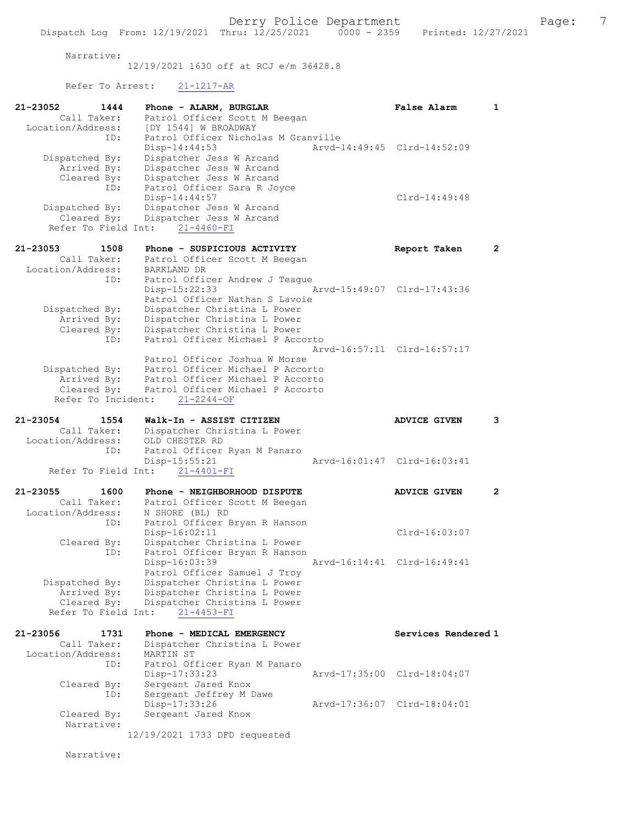Narrative:

12/19/2021 1630 off at RCJ e/m 36428.8

Refer To Arrest: 21-1217-AR

| 21-23052                           | 1444 | Phone - ALARM, BURGLAR                                        |                                     |               | <b>False Alarm</b>          | 1                     |
|------------------------------------|------|---------------------------------------------------------------|-------------------------------------|---------------|-----------------------------|-----------------------|
| Call Taker:                        |      | Patrol Officer Scott M Beegan                                 |                                     |               |                             |                       |
| Location/Address:                  | ID:  | [DY 1544] W BROADWAY                                          | Patrol Officer Nicholas M Granville |               |                             |                       |
|                                    |      | Disp-14:44:53                                                 |                                     |               | Arvd-14:49:45 Clrd-14:52:09 |                       |
| Dispatched By:                     |      | Dispatcher Jess W Arcand                                      |                                     |               |                             |                       |
| Arrived By:                        |      | Dispatcher Jess W Arcand                                      |                                     |               |                             |                       |
| Cleared By:                        | ID:  | Dispatcher Jess W Arcand<br>Patrol Officer Sara R Joyce       |                                     |               |                             |                       |
|                                    |      | $Disp-14:44:57$                                               |                                     |               | Clrd-14:49:48               |                       |
| Dispatched By:                     |      | Dispatcher Jess W Arcand                                      |                                     |               |                             |                       |
| Cleared By:                        |      | Dispatcher Jess W Arcand<br>Refer To Field Int: 21-4460-FI    |                                     |               |                             |                       |
|                                    |      |                                                               |                                     |               |                             |                       |
| 21-23053                           | 1508 | Phone - SUSPICIOUS ACTIVITY                                   |                                     |               | Report Taken                | $\mathbf{2}^{\prime}$ |
| Call Taker:                        |      | Patrol Officer Scott M Beegan                                 |                                     |               |                             |                       |
| Location/Address:                  | ID:  | BARKLAND DR                                                   | Patrol Officer Andrew J Teague      |               |                             |                       |
|                                    |      | $Disp-15:22:33$                                               |                                     |               | Arvd-15:49:07 Clrd-17:43:36 |                       |
|                                    |      |                                                               | Patrol Officer Nathan S Lavoie      |               |                             |                       |
| Dispatched By:                     |      | Dispatcher Christina L Power                                  |                                     |               |                             |                       |
| Arrived By:                        |      | Dispatcher Christina L Power                                  |                                     |               |                             |                       |
| Cleared By:                        | ID:  | Dispatcher Christina L Power                                  | Patrol Officer Michael P Accorto    |               |                             |                       |
|                                    |      |                                                               |                                     |               | Arvd-16:57:11 Clrd-16:57:17 |                       |
|                                    |      | Patrol Officer Joshua W Morse                                 |                                     |               |                             |                       |
| Dispatched By:                     |      |                                                               | Patrol Officer Michael P Accorto    |               |                             |                       |
| Arrived By:                        |      |                                                               | Patrol Officer Michael P Accorto    |               |                             |                       |
| Cleared By:<br>Refer To Incident:  |      | $21 - 2244 - OF$                                              | Patrol Officer Michael P Accorto    |               |                             |                       |
|                                    |      |                                                               |                                     |               |                             |                       |
| 21-23054                           | 1554 | Walk-In - ASSIST CITIZEN                                      |                                     |               | <b>ADVICE GIVEN</b>         | 3                     |
| Call Taker:                        |      | Dispatcher Christina L Power                                  |                                     |               |                             |                       |
| Location/Address:                  | ID:  | OLD CHESTER RD<br>Patrol Officer Ryan M Panaro                |                                     |               |                             |                       |
|                                    |      | Disp-15:55:21                                                 |                                     |               | Arvd-16:01:47 Clrd-16:03:41 |                       |
|                                    |      | Refer To Field Int: 21-4401-FI                                |                                     |               |                             |                       |
|                                    |      |                                                               |                                     |               |                             |                       |
| 21-23055<br>Call Taker:            | 1600 | Phone - NEIGHBORHOOD DISPUTE<br>Patrol Officer Scott M Beegan |                                     |               | <b>ADVICE GIVEN</b>         | $\mathbf{2}$          |
| Location/Address:                  |      | N SHORE (BL) RD                                               |                                     |               |                             |                       |
|                                    | ID:  | Patrol Officer Bryan R Hanson                                 |                                     |               |                             |                       |
|                                    |      | $Disp-16:02:11$                                               |                                     |               | Clrd-16:03:07               |                       |
| Cleared By:                        |      | Dispatcher Christina L Power                                  |                                     |               |                             |                       |
|                                    | ID:  | Patrol Officer Bryan R Hanson<br>Disp-16:03:39                |                                     | Arvd-16:14:41 | Clrd-16:49:41               |                       |
|                                    |      | Patrol Officer Samuel J Troy                                  |                                     |               |                             |                       |
| Dispatched By:                     |      | Dispatcher Christina L Power                                  |                                     |               |                             |                       |
| Arrived By:                        |      | Dispatcher Christina L Power                                  |                                     |               |                             |                       |
| Cleared By:<br>Refer To Field Int: |      | Dispatcher Christina L Power                                  |                                     |               |                             |                       |
|                                    |      | $21 - 4453 - FI$                                              |                                     |               |                             |                       |
| 21-23056                           | 1731 | Phone - MEDICAL EMERGENCY                                     |                                     |               | Services Rendered 1         |                       |
| Call Taker:                        |      | Dispatcher Christina L Power                                  |                                     |               |                             |                       |
| Location/Address:                  |      | MARTIN ST                                                     |                                     |               |                             |                       |
|                                    | ID:  | Patrol Officer Ryan M Panaro                                  |                                     |               | Arvd-17:35:00 Clrd-18:04:07 |                       |
| Cleared By:                        |      | Disp-17:33:23<br>Sergeant Jared Knox                          |                                     |               |                             |                       |
|                                    | ID:  | Sergeant Jeffrey M Dawe                                       |                                     |               |                             |                       |
|                                    |      | Disp-17:33:26                                                 |                                     |               | Arvd-17:36:07 Clrd-18:04:01 |                       |
| Cleared By:                        |      | Sergeant Jared Knox                                           |                                     |               |                             |                       |
| Narrative:                         |      | 12/19/2021 1733 DFD requested                                 |                                     |               |                             |                       |
|                                    |      |                                                               |                                     |               |                             |                       |

Narrative: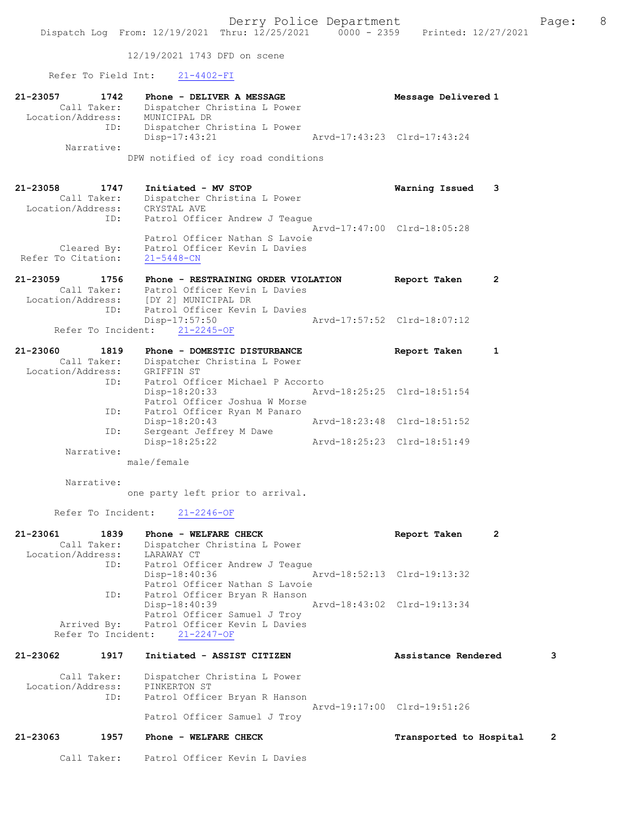12/19/2021 1743 DFD on scene

## Refer To Field Int: 21-4402-FI

| $21 - 23057$ | 1742<br>Call Taker:<br>Location/Address:<br>ID: | Phone - DELIVER A MESSAGE<br>Dispatcher Christina L Power<br>MUNICIPAL DR<br>Dispatcher Christina L Power | Message Delivered 1         |  |
|--------------|-------------------------------------------------|-----------------------------------------------------------------------------------------------------------|-----------------------------|--|
|              |                                                 | $Disp-17:43:21$                                                                                           | Arvd-17:43:23 Clrd-17:43:24 |  |
|              | Narrative:                                      |                                                                                                           |                             |  |
|              |                                                 | DPW notified of icy road conditions                                                                       |                             |  |
| 21-23058     | 1747                                            | Initiated - MV STOP                                                                                       | Warning Issued              |  |

| Call Taker:        | Dispatcher Christina L Power   |
|--------------------|--------------------------------|
| Location/Address:  | CRYSTAL AVE                    |
| ID:                | Patrol Officer Andrew J Teaque |
|                    | Arvd-17:47:00 Clrd-18:05:28    |
|                    | Patrol Officer Nathan S Lavoie |
| Cleared By:        | Patrol Officer Kevin L Davies  |
| Refer To Citation: | $21 - 5448 - CN$               |
|                    |                                |

| 21-23059 | 1756        | Phone - RESTRAINING ORDER VIOLATION   | Report Taken                | $\overline{\mathbf{2}}$ |
|----------|-------------|---------------------------------------|-----------------------------|-------------------------|
|          | Call Taker: | Patrol Officer Kevin L Davies         |                             |                         |
|          |             | Location/Address: [DY 2] MUNICIPAL DR |                             |                         |
|          | TD:         | Patrol Officer Kevin L Davies         |                             |                         |
|          |             | Disp-17:57:50                         | Arvd-17:57:52 Clrd-18:07:12 |                         |
|          |             | Refer To Incident: 21-2245-OF         |                             |                         |

| 21-23060          | 1819        | Phone - DOMESTIC DISTURBANCE     | Report Taken                |  |
|-------------------|-------------|----------------------------------|-----------------------------|--|
|                   | Call Taker: | Dispatcher Christina L Power     |                             |  |
| Location/Address: |             | GRIFFIN ST                       |                             |  |
|                   | ID:         | Patrol Officer Michael P Accorto |                             |  |
|                   |             | $Disp-18:20:33$                  | Arvd-18:25:25 Clrd-18:51:54 |  |
|                   |             | Patrol Officer Joshua W Morse    |                             |  |
|                   | ID:         | Patrol Officer Ryan M Panaro     |                             |  |
|                   |             | Disp-18:20:43                    | Arvd-18:23:48 Clrd-18:51:52 |  |
|                   | ID:         | Sergeant Jeffrey M Dawe          |                             |  |
|                   |             | $Disp-18:25:22$                  | Arvd-18:25:23 Clrd-18:51:49 |  |
|                   | Narrative:  |                                  |                             |  |
|                   |             | male/female                      |                             |  |

Narrative:

one party left prior to arrival.

Refer To Incident: 21-2246-OF

| 21-23061          | 1839 | Phone - WELFARE CHECK                     |                             | $\overline{2}$<br>Report Taken |   |
|-------------------|------|-------------------------------------------|-----------------------------|--------------------------------|---|
| Call Taker:       |      | Dispatcher Christina L Power              |                             |                                |   |
| Location/Address: |      | LARAWAY CT                                |                             |                                |   |
|                   | ID:  | Patrol Officer Andrew J Teaque            |                             |                                |   |
|                   |      | Disp-18:40:36                             | Arvd-18:52:13 Clrd-19:13:32 |                                |   |
|                   |      | Patrol Officer Nathan S Lavoie            |                             |                                |   |
|                   | ID:  | Patrol Officer Bryan R Hanson             |                             |                                |   |
|                   |      | Disp-18:40:39                             |                             | Arvd-18:43:02 Clrd-19:13:34    |   |
|                   |      | Patrol Officer Samuel J Troy              |                             |                                |   |
|                   |      | Arrived By: Patrol Officer Kevin L Davies |                             |                                |   |
|                   |      | Refer To Incident: 21-2247-OF             |                             |                                |   |
| 21-23062          | 1917 | Initiated - ASSIST CITIZEN                |                             | Assistance Rendered            | 3 |

| Call Taker:<br>Location/Address: | Dispatcher Christina L Power<br>PINKERTON ST                 |
|----------------------------------|--------------------------------------------------------------|
| ID:                              | Patrol Officer Bryan R Hanson<br>Arvd-19:17:00 Clrd-19:51:26 |
|                                  | Patrol Officer Samuel J Troy                                 |

- 21-23063 1957 Phone WELFARE CHECK Transported to Hospital 2
	- Call Taker: Patrol Officer Kevin L Davies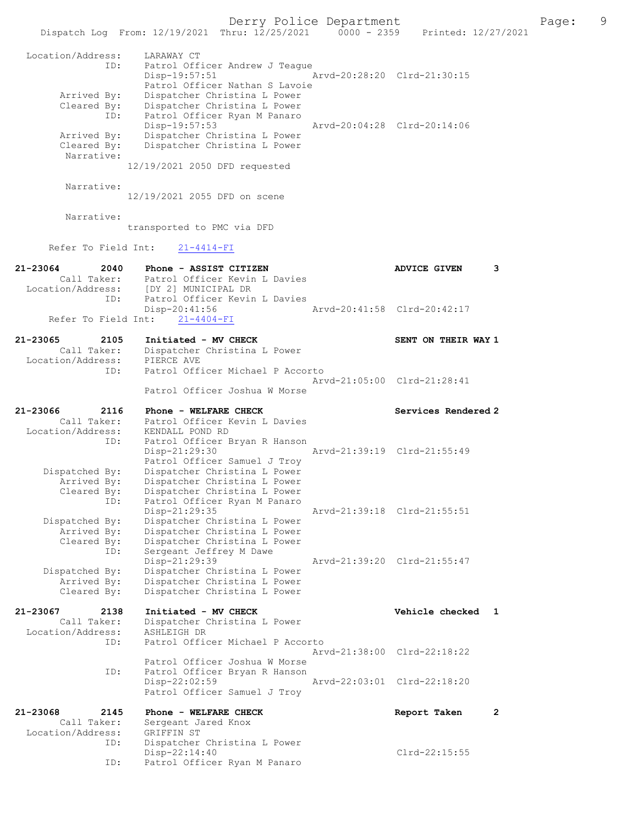Dispatch Log From: 12/19/2021 Thru: 12/25/2021 0000 - 2359 Printed: 12/27/2021 Location/Address: LARAWAY CT ID: Patrol Officer Andrew J Teague Disp-19:57:51 Arvd-20:28:20 Clrd-21:30:15 Patrol Officer Nathan S Lavoie Arrived By: Dispatcher Christina L Power Cleared By: Dispatcher Christina L Power ID: Patrol Officer Ryan M Panaro Disp-19:57:53 Arvd-20:04:28 Clrd-20:14:06 Arrived By: Dispatcher Christina L Power Cleared By: Dispatcher Christina L Power Narrative: 12/19/2021 2050 DFD requested Narrative: 12/19/2021 2055 DFD on scene Narrative: transported to PMC via DFD Refer To Field Int: 21-4414-FI 21-23064 2040 Phone - ASSIST CITIZEN ADVICE GIVEN 3 Call Taker: Patrol Officer Kevin L Davies Location/Address: [DY 2] MUNICIPAL DR ID: Patrol Officer Kevin L Davies Disp-20:41:56 Arvd-20:41:58 Clrd-20:42:17 Refer To Field Int: 21-4404-FI 21-23065 2105 Initiated - MV CHECK SENT ON THEIR WAY 1 Call Taker: Dispatcher Christina L Power Location/Address: PIERCE AVE ID: Patrol Officer Michael P Accorto Arvd-21:05:00 Clrd-21:28:41 Patrol Officer Joshua W Morse 21-23066 2116 Phone - WELFARE CHECK Services Rendered 2 Call Taker: Patrol Officer Kevin L Davies Location/Address: KENDALL POND RD ID: Patrol Officer Bryan R Hanson<br>Disp-21:29:30 Disp-21:29:30 <br>Patrol Officer Samuel J Troy Patrol Officer Samuel J Troy Dispatched By: Dispatcher Christina L Power Arrived By: Dispatcher Christina L Power Cleared By: Dispatcher Christina L Power ID: Patrol Officer Ryan M Panaro Disp-21:29:35 Arvd-21:39:18 Clrd-21:55:51 Dispatched By: Dispatcher Christina L Power Arrived By: Dispatcher Christina L Power Cleared By: Dispatcher Christina L Power ID: Sergeant Jeffrey M Dawe Disp-21:29:39 Arvd-21:39:20 Clrd-21:55:47 Dispatched By: Dispatcher Christina L Power Arrived By: Dispatcher Christina L Power Cleared By: Dispatcher Christina L Power 21-23067 2138 Initiated - MV CHECK Vehicle checked 1 Call Taker: Dispatcher Christina L Power Location/Address: ASHLEIGH DR ID: Patrol Officer Michael P Accorto Arvd-21:38:00 Clrd-22:18:22 Patrol Officer Joshua W Morse<br>ID: Patrol Officer Brvan R Hanson Patrol Officer Bryan R Hanson<br>Disp-22:02:59 Disp-22:02:59 Arvd-22:03:01 Clrd-22:18:20 Patrol Officer Samuel J Troy 21-23068 2145 Phone - WELFARE CHECK Report Taken 2 Call Taker: Sergeant Jared Knox Location/Address: GRIFFIN ST ID: Dispatcher Christina L Power Disp-22:14:40 Clrd-22:15:55 ID: Patrol Officer Ryan M Panaro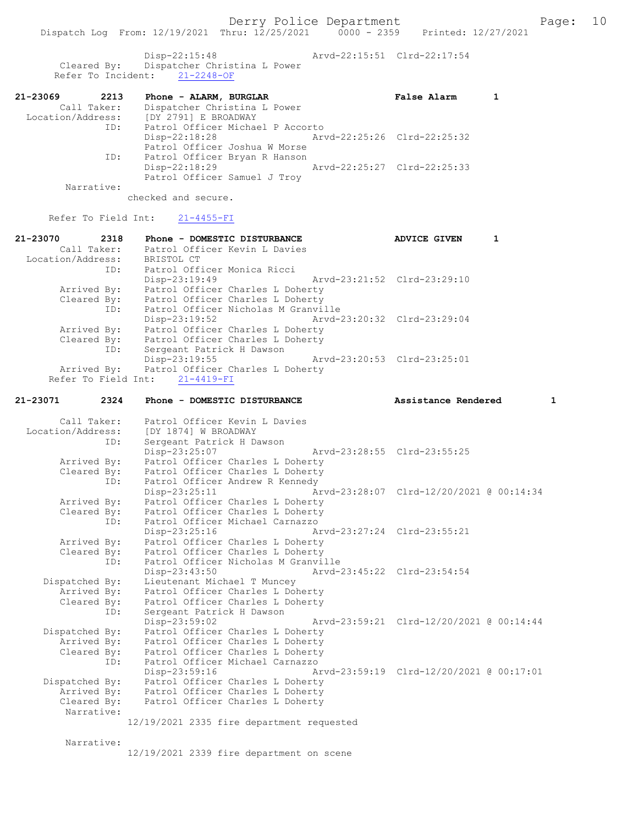Disp-22:15:48 Arvd-22:15:51 Clrd-22:17:54 Cleared By: Dispatcher Christina L Power Refer To Incident: 21-2248-OF

| 21-23069<br>2213  | Phone - ALARM, BURGLAR           |                             | <b>False Alarm</b> |  |
|-------------------|----------------------------------|-----------------------------|--------------------|--|
| Call Taker:       | Dispatcher Christina L Power     |                             |                    |  |
| Location/Address: | [DY 2791] E BROADWAY             |                             |                    |  |
| ID:               | Patrol Officer Michael P Accorto |                             |                    |  |
|                   | $Disp-22:18:28$                  | Arvd-22:25:26 Clrd-22:25:32 |                    |  |
|                   | Patrol Officer Joshua W Morse    |                             |                    |  |
| ID:               | Patrol Officer Bryan R Hanson    |                             |                    |  |
|                   | $Disp-22:18:29$                  | Arvd-22:25:27 Clrd-22:25:33 |                    |  |
|                   | Patrol Officer Samuel J Troy     |                             |                    |  |

Narrative:

checked and secure.

# Refer To Field Int: 21-4455-FI

| 2318<br>21-23070    | Phone - DOMESTIC DISTURBANCE                   | <b>ADVICE GIVEN</b> |  |
|---------------------|------------------------------------------------|---------------------|--|
| Call Taker:         | Patrol Officer Kevin L Davies                  |                     |  |
| Location/Address:   | BRISTOL CT                                     |                     |  |
| ID:                 | Patrol Officer Monica Ricci                    |                     |  |
|                     | Disp-23:19:49<br>Arvd-23:21:52 Clrd-23:29:10   |                     |  |
| Arrived By:         | Patrol Officer Charles L Doherty               |                     |  |
| Cleared By:         | Patrol Officer Charles L Doherty               |                     |  |
| ID:                 | Patrol Officer Nicholas M Granville            |                     |  |
|                     | Arvd-23:20:32 Clrd-23:29:04<br>Disp-23:19:52   |                     |  |
| Arrived By:         | Patrol Officer Charles L Doherty               |                     |  |
| Cleared By:         | Patrol Officer Charles L Doherty               |                     |  |
| ID:                 | Sergeant Patrick H Dawson                      |                     |  |
|                     | Arvd-23:20:53 Clrd-23:25:01<br>$Disp-23:19:55$ |                     |  |
|                     | Arrived By: Patrol Officer Charles L Doherty   |                     |  |
| Refer To Field Int: | $21 - 4419 - FI$                               |                     |  |

#### 21-23071 2324 Phone - DOMESTIC DISTURBANCE Assistance Rendered 1

| Location/Address: [DY 1874] W BROADWAY |     | Call Taker: Patrol Officer Kevin L Davies    |  |                                                                 |  |
|----------------------------------------|-----|----------------------------------------------|--|-----------------------------------------------------------------|--|
|                                        | ID: | Sergeant Patrick H Dawson                    |  |                                                                 |  |
|                                        |     | Disp-23:25:07                                |  | Arvd-23:28:55 Clrd-23:55:25                                     |  |
| Arrived By:                            |     | Patrol Officer Charles L Doherty             |  |                                                                 |  |
| Cleared By:                            |     | Patrol Officer Charles L Doherty             |  |                                                                 |  |
|                                        | ID: | Patrol Officer Andrew R Kennedy              |  |                                                                 |  |
|                                        |     |                                              |  | Disp-23:25:11 Arvd-23:28:07 Clrd-12/20/2021 @ 00:14:34          |  |
| Arrived By:                            |     | Patrol Officer Charles L Doherty             |  |                                                                 |  |
| Cleared By:                            |     | Patrol Officer Charles L Doherty             |  |                                                                 |  |
|                                        | ID: | Patrol Officer Michael Carnazzo              |  |                                                                 |  |
|                                        |     | Disp-23:25:16 Arvd-23:27:24 Clrd-23:55:21    |  |                                                                 |  |
| Arrived By:                            |     | Patrol Officer Charles L Doherty             |  |                                                                 |  |
|                                        |     | Cleared By: Patrol Officer Charles L Doherty |  |                                                                 |  |
|                                        | ID: | Patrol Officer Nicholas M Granville          |  |                                                                 |  |
|                                        |     | Disp-23:43:50 Arvd-23:45:22 Clrd-23:54:54    |  |                                                                 |  |
| Dispatched By:                         |     | Lieutenant Michael T Muncey                  |  |                                                                 |  |
| Arrived By:                            |     | Patrol Officer Charles L Doherty             |  |                                                                 |  |
|                                        |     | Cleared By: Patrol Officer Charles L Doherty |  |                                                                 |  |
|                                        | ID: | Sergeant Patrick H Dawson                    |  |                                                                 |  |
|                                        |     |                                              |  | Disp-23:59:02    Arvd-23:59:21    Clrd-12/20/2021    @ 00:14:44 |  |
| Dispatched By:                         |     | Patrol Officer Charles L Doherty             |  |                                                                 |  |
| Arrived By:                            |     | Patrol Officer Charles L Doherty             |  |                                                                 |  |
| Cleared By:                            |     | Patrol Officer Charles L Doherty             |  |                                                                 |  |
|                                        | ID: | Patrol Officer Michael Carnazzo              |  |                                                                 |  |
|                                        |     |                                              |  | Disp-23:59:16 Arvd-23:59:19 Clrd-12/20/2021 @ 00:17:01          |  |
| Dispatched By:                         |     | Patrol Officer Charles L Doherty             |  |                                                                 |  |
| Arrived By:                            |     | Patrol Officer Charles L Doherty             |  |                                                                 |  |
| Cleared By:                            |     | Patrol Officer Charles L Doherty             |  |                                                                 |  |
| Narrative:                             |     |                                              |  |                                                                 |  |
|                                        |     | 12/19/2021 2335 fire department requested    |  |                                                                 |  |
|                                        |     |                                              |  |                                                                 |  |

Narrative:

12/19/2021 2339 fire department on scene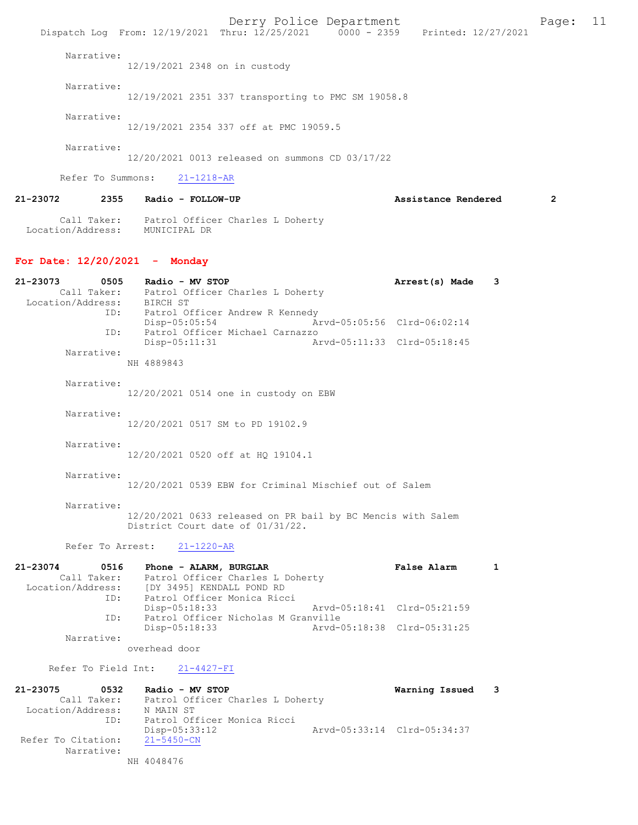Derry Police Department Form Page: 11 Dispatch Log From: 12/19/2021 Thru: 12/25/2021 0000 - 2359 Printed: 12/27/2021 Narrative: 12/19/2021 2348 on in custody Narrative: 12/19/2021 2351 337 transporting to PMC SM 19058.8 Narrative: 12/19/2021 2354 337 off at PMC 19059.5 Narrative: 12/20/2021 0013 released on summons CD 03/17/22 Refer To Summons: 21-1218-AR 21-23072 2355 Radio - FOLLOW-UP Assistance Rendered 2 Call Taker: Patrol Officer Charles L Doherty Location/Address: MUNICIPAL DR For Date: 12/20/2021 - Monday 21-23073 0505 Radio - MV STOP 120 121-23073 121-23073 Call Taker: Patrol Officer Charles L Doherty Location/Address: -<br>ID: Patrol Officer Andrew R Kennedy<br>Disp-05:05:54 Ar Disp-05:05:54 Arvd-05:05:56 Clrd-06:02:14<br>TD: Patrol Officer Michael Carnazzo Patrol Officer Michael Carnazzo<br>Disp-05:11:31 Ar Arvd-05:11:33 Clrd-05:18:45 Narrative: NH 4889843 Narrative: 12/20/2021 0514 one in custody on EBW Narrative: 12/20/2021 0517 SM to PD 19102.9 Narrative: 12/20/2021 0520 off at HQ 19104.1 Narrative: 12/20/2021 0539 EBW for Criminal Mischief out of Salem Narrative: 12/20/2021 0633 released on PR bail by BC Mencis with Salem District Court date of 01/31/22. Refer To Arrest: 21-1220-AR 21-23074 0516 Phone - ALARM, BURGLAR False Alarm 1 Call Taker: Patrol Officer Charles L Doherty Location/Address: [DY 3495] KENDALL POND RD<br>ID: Patrol Officer Monica Ricc ...<br>Patrol Officer Monica Ricci<br>Disp-05:18:33 Disp-05:18:33 Arvd-05:18:41 Clrd-05:21:59 ID: Patrol Officer Nicholas M Granville<br>Disp-05:18:33 Arvd- Disp-05:18:33 Arvd-05:18:38 Clrd-05:31:25 Narrative: overhead door Refer To Field Int: 21-4427-FI 21-23075 0532 Radio - MV STOP Warning Issued 3 Call Taker: Patrol Officer Charles L Doherty<br>ion/Address: N MAIN ST Location/Address:<br>ID: ท พคเก จา<br>Patrol Officer Monica Ricci<br>Disp-05:33:12 Disp-05:33:12 Arvd-05:33:14 Clrd-05:34:37 Refer To Citation: Narrative: NH 4048476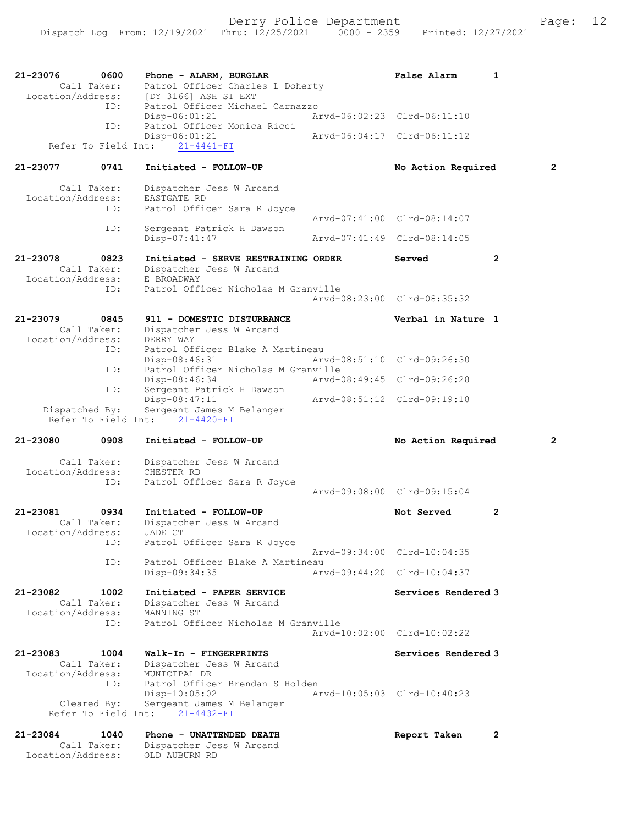| 21-23076<br>0600<br>Call Taker:                      | Phone - ALARM, BURGLAR<br>Patrol Officer Charles L Doherty<br>Location/Address: [DY 3166] ASH ST EXT                 |                             | <b>False Alarm</b>          | 1              |
|------------------------------------------------------|----------------------------------------------------------------------------------------------------------------------|-----------------------------|-----------------------------|----------------|
| ID:<br>ID:                                           | Patrol Officer Michael Carnazzo<br>Disp-06:01:21<br>Patrol Officer Monica Ricci                                      | Arvd-06:02:23 Clrd-06:11:10 |                             |                |
| Refer To Field Int:                                  | Disp-06:01:21<br>$21 - 4441 - FI$                                                                                    |                             | Arvd-06:04:17 Clrd-06:11:12 |                |
| 21-23077<br>0741                                     | Initiated - FOLLOW-UP                                                                                                |                             | No Action Required          | $\overline{2}$ |
| Call Taker:<br>Location/Address:<br>ID:              | Dispatcher Jess W Arcand<br>EASTGATE RD<br>Patrol Officer Sara R Joyce                                               |                             | Arvd-07:41:00 Clrd-08:14:07 |                |
| ID:                                                  | Sergeant Patrick H Dawson<br>Disp-07:41:47                                                                           |                             | Arvd-07:41:49 Clrd-08:14:05 |                |
| 21-23078<br>0823<br>Call Taker:<br>Location/Address: | Initiated - SERVE RESTRAINING ORDER<br>Dispatcher Jess W Arcand<br>E BROADWAY<br>Patrol Officer Nicholas M Granville |                             | Served                      | $\mathbf{2}$   |
| ID:                                                  |                                                                                                                      |                             | Arvd-08:23:00 Clrd-08:35:32 |                |
| 21-23079<br>0845<br>Call Taker:<br>Location/Address: | 911 - DOMESTIC DISTURBANCE<br>Dispatcher Jess W Arcand<br>DERRY WAY                                                  |                             | Verbal in Nature 1          |                |
| ID:                                                  | Patrol Officer Blake A Martineau<br>Disp-08:46:31                                                                    |                             | Arvd-08:51:10 Clrd-09:26:30 |                |
| ID:                                                  | Patrol Officer Nicholas M Granville<br>Disp-08:46:34                                                                 |                             | Arvd-08:49:45 Clrd-09:26:28 |                |
| ID:<br>Dispatched By:<br>Refer To Field Int:         | Sergeant Patrick H Dawson<br>Disp-08:47:11<br>Sergeant James M Belanger<br>$21 - 4420 - FI$                          |                             | Arvd-08:51:12 Clrd-09:19:18 |                |
| 21-23080<br>0908                                     | Initiated - FOLLOW-UP                                                                                                |                             | No Action Required          | $\overline{2}$ |
| Call Taker:<br>Location/Address:<br>ID:              | Dispatcher Jess W Arcand<br>CHESTER RD<br>Patrol Officer Sara R Joyce                                                |                             |                             |                |
|                                                      |                                                                                                                      |                             | Arvd-09:08:00 Clrd-09:15:04 |                |
| 21-23081<br>0934<br>Call Taker:<br>Location/Address: | Initiated - FOLLOW-UP<br>Dispatcher Jess W Arcand<br>JADE CT                                                         |                             | Not Served                  | 2              |
| ID:<br>ID:                                           | Patrol Officer Sara R Joyce<br>Patrol Officer Blake A Martineau                                                      |                             | Arvd-09:34:00 Clrd-10:04:35 |                |
|                                                      | Disp-09:34:35                                                                                                        |                             | Arvd-09:44:20 Clrd-10:04:37 |                |
| 21-23082<br>1002<br>Call Taker:<br>Location/Address: | Initiated - PAPER SERVICE<br>Dispatcher Jess W Arcand<br>MANNING ST                                                  |                             | Services Rendered 3         |                |
| ID:                                                  | Patrol Officer Nicholas M Granville                                                                                  |                             | Aryd-10:02:00 Clrd-10:02:22 |                |
| 21-23083<br>1004<br>Call Taker:                      | Walk-In - FINGERPRINTS<br>Dispatcher Jess W Arcand                                                                   |                             | Services Rendered 3         |                |
| Location/Address:<br>ID:                             | MUNICIPAL DR<br>Patrol Officer Brendan S Holden                                                                      |                             |                             |                |
| Cleared By:<br>Refer To Field Int:                   | $Disp-10:05:02$<br>Sergeant James M Belanger<br>$21 - 4432 - FI$                                                     |                             | Arvd-10:05:03 Clrd-10:40:23 |                |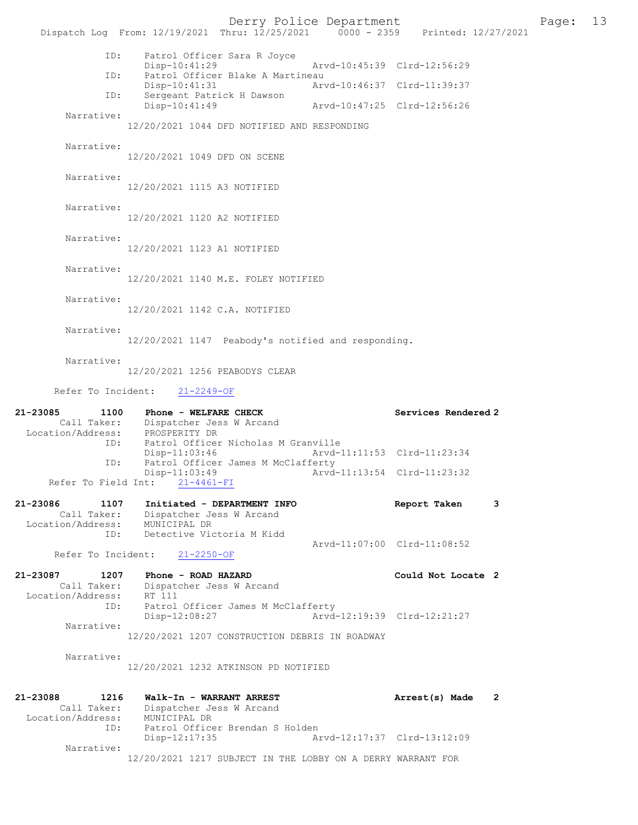Derry Police Department The Page: 13 Dispatch Log From:  $12/19/2021$  Thru:  $12/25/2021$  0000 - 2359 Printed:  $12/27/2021$  ID: Patrol Officer Sara R Joyce Disp-10:41:29 Arvd-10:45:39 Clrd-12:56:29<br>TD: Patrol Officer Blake A Martineau Patrol Officer Blake A Martineau<br>Disp-10:41:31 Arw Disp-10:41:31 Arvd-10:46:37 Clrd-11:39:37 ID: Sergeant Patrick H Dawson Disp-10:41:49 Arvd-10:47:25 Clrd-12:56:26 Narrative: 12/20/2021 1044 DFD NOTIFIED AND RESPONDING Narrative: 12/20/2021 1049 DFD ON SCENE Narrative: 12/20/2021 1115 A3 NOTIFIED Narrative: 12/20/2021 1120 A2 NOTIFIED Narrative: 12/20/2021 1123 A1 NOTIFIED Narrative: 12/20/2021 1140 M.E. FOLEY NOTIFIED Narrative: 12/20/2021 1142 C.A. NOTIFIED Narrative: 12/20/2021 1147 Peabody's notified and responding. Narrative: 12/20/2021 1256 PEABODYS CLEAR Refer To Incident: 21-2249-OF 21-23085 1100 Phone - WELFARE CHECK Services Rendered 2 Call Taker: Dispatcher Jess W Arcand Location/Address: PROSPERITY DR ID: Patrol Officer Nicholas M Granville<br>Disp-11:03:46 Arvd-1 Disp-11:03:46 Arvd-11:11:53 Clrd-11:23:34<br>ID: Patrol Officer James M McClafferty Patrol Officer James M McClafferty<br>Disp-11:03:49 Arvd Arvd-11:13:54 Clrd-11:23:32 Refer To Field Int: 21-4461-FI 21-23086 1107 Initiated - DEPARTMENT INFO Report Taken 3 Call Taker: Dispatcher Jess W Arcand Location/Address: MUNICIPAL DR Detective Victoria M Kidd Arvd-11:07:00 Clrd-11:08:52 Refer To Incident: 21-2250-OF 21-23087 1207 Phone - ROAD HAZARD Could Not Locate 2 Call Taker: Dispatcher Jess W Arcand Location/Address: RT 111<br>ID: Patrol Patrol Officer James M McClafferty Disp-12:08:27 Arvd-12:19:39 Clrd-12:21:27 Narrative: 12/20/2021 1207 CONSTRUCTION DEBRIS IN ROADWAY Narrative: 12/20/2021 1232 ATKINSON PD NOTIFIED 21-23088 1216 Walk-In - WARRANT ARREST Arrest(s) Made 2 Call Taker: Dispatcher Jess W Arcand Location/Address: MUNICIPAL DR ID: Patrol Officer Brendan S Holden<br>Disp-12:17:35 Ar Disp-12:17:35 Arvd-12:17:37 Clrd-13:12:09 Narrative: 12/20/2021 1217 SUBJECT IN THE LOBBY ON A DERRY WARRANT FOR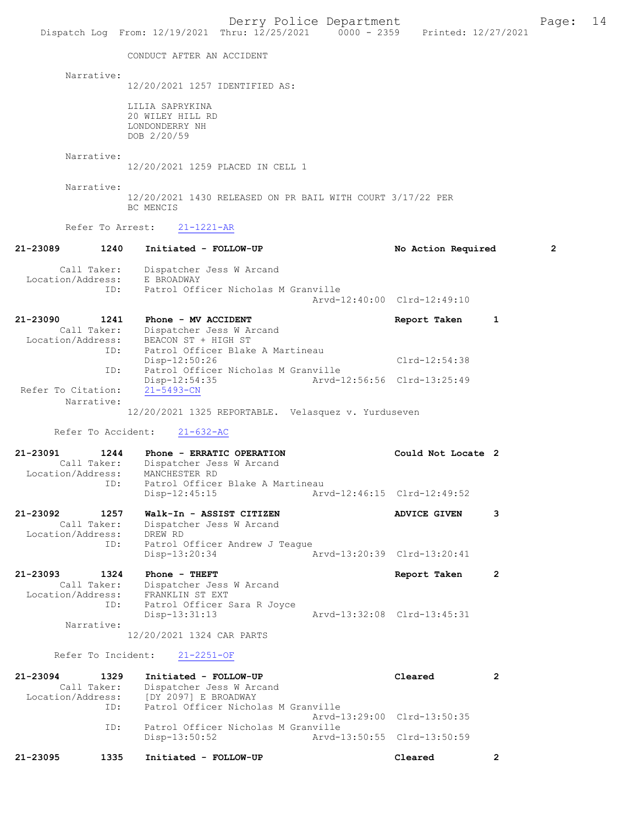Derry Police Department Form Page: 14 Dispatch Log From: 12/19/2021 Thru: 12/25/2021 0000 - 2359 Printed: 12/27/2021 CONDUCT AFTER AN ACCIDENT Narrative: 12/20/2021 1257 IDENTIFIED AS: LILIA SAPRYKINA 20 WILEY HILL RD LONDONDERRY NH DOB 2/20/59 Narrative: 12/20/2021 1259 PLACED IN CELL 1 Narrative: 12/20/2021 1430 RELEASED ON PR BAIL WITH COURT 3/17/22 PER BC MENCIS Refer To Arrest: 21-1221-AR 21-23089 1240 Initiated - FOLLOW-UP No Action Required 2 Call Taker: Dispatcher Jess W Arcand Location/Address: E BROADWAY ID: Patrol Officer Nicholas M Granville Arvd-12:40:00 Clrd-12:49:10 21-23090 1241 Phone - MV ACCIDENT Report Taken 1 Call Taker: Dispatcher Jess W Arcand Call Taker: Dispatcher Jess W Arcand Location/Address: BEACON ST + HIGH ST ID: Patrol Officer Blake A Martineau Disp-12:50:26 Clrd-12:54:38 ID: Patrol Officer Nicholas M Granville Disp-12:54:35 Arvd-12:56:56 Clrd-13:25:49 Refer To Citation: Narrative: 12/20/2021 1325 REPORTABLE. Velasquez v. Yurduseven Refer To Accident: 21-632-AC 21-23091 1244 Phone - ERRATIC OPERATION Could Not Locate 2 Call Taker: Dispatcher Jess W Arcand<br>Location/Address: MANCHESTER RD MANCHESTER RD ID: Patrol Officer Blake A Martineau<br>Disp-12:45:15 Art Disp-12:45:15 Arvd-12:46:15 Clrd-12:49:52 21-23092 1257 Walk-In - ASSIST CITIZEN ADVICE GIVEN 3 Call Taker: Dispatcher Jess W Arcand Location/Address:<br>ID: DREW RD<br>Patrol Officer Andrew J Teague<br>Disp-13:20:34 Disp-13:20:34 Arvd-13:20:39 Clrd-13:20:41 21-23093 1324 Phone - THEFT Report Taken 2 Call Taker: Dispatcher Jess W Arcand Location/Address: FRANKLIN ST EXT ID: Patrol Officer Sara R Joyce Disp-13:31:13 Arvd-13:32:08 Clrd-13:45:31 Narrative: 12/20/2021 1324 CAR PARTS Refer To Incident: 21-2251-OF 21-23094 1329 Initiated - FOLLOW-UP Cleared 2<br>Call Taker: Dispatcher Jess W Arcand Call Taker: Dispatcher Jess W Arcand Location/Address: [DY 2097] E BROADWAY ID: Patrol Officer Nicholas M Granville Arvd-13:29:00 Clrd-13:50:35<br>TD: Patrol Officer Nicholas M Granville Patrol Officer Nicholas M Granville<br>Disp-13:50:52 Arvd- Disp-13:50:52 Arvd-13:50:55 Clrd-13:50:59 21-23095 1335 Initiated - FOLLOW-UP Cleared 2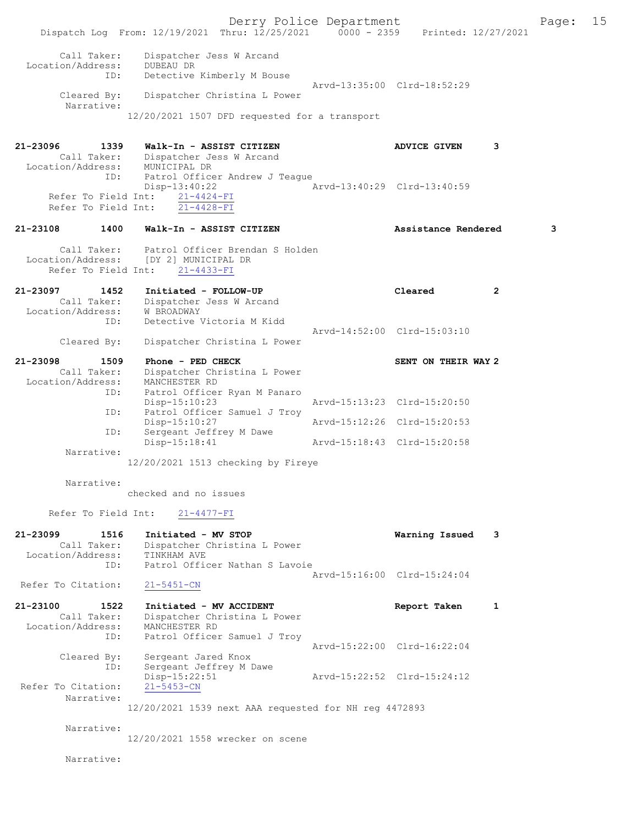|                                                             | Dispatch Log From: 12/19/2021 Thru: 12/25/2021 0000 - 2359 Printed: 12/27/2021                                     | Derry Police Department |                             |                | Page: | 15 |
|-------------------------------------------------------------|--------------------------------------------------------------------------------------------------------------------|-------------------------|-----------------------------|----------------|-------|----|
| Call Taker:<br>Location/Address:<br>ID:<br>Cleared By:      | Dispatcher Jess W Arcand<br><b>DUBEAU DR</b><br>Detective Kimberly M Bouse<br>Dispatcher Christina L Power         |                         | Arvd-13:35:00 Clrd-18:52:29 |                |       |    |
| Narrative:                                                  |                                                                                                                    |                         |                             |                |       |    |
|                                                             | 12/20/2021 1507 DFD requested for a transport                                                                      |                         |                             |                |       |    |
| 21-23096<br>1339<br>Location/Address:<br>ID:                | Walk-In - ASSIST CITIZEN<br>Call Taker: Dispatcher Jess W Arcand<br>MUNICIPAL DR<br>Patrol Officer Andrew J Teague |                         | <b>ADVICE GIVEN</b>         | 3              |       |    |
| Refer To Field Int:<br>Refer To Field Int:                  | Disp-13:40:22<br>$21 - 4424 - FI$<br>$21 - 4428 - FI$                                                              |                         | Arvd-13:40:29 Clrd-13:40:59 |                |       |    |
| 21-23108<br>1400                                            | Walk-In - ASSIST CITIZEN                                                                                           |                         | Assistance Rendered         |                | 3     |    |
| Call Taker:<br>Location/Address:<br>Refer To Field Int:     | Patrol Officer Brendan S Holden<br>[DY 2] MUNICIPAL DR<br>$21 - 4433 - FI$                                         |                         |                             |                |       |    |
| 21-23097<br>1452<br>Location/Address: W BROADWAY<br>ID:     | Initiated - FOLLOW-UP<br>Call Taker: Dispatcher Jess W Arcand<br>Detective Victoria M Kidd                         |                         | Cleared                     | $\overline{2}$ |       |    |
| Cleared By:                                                 | Dispatcher Christina L Power                                                                                       |                         | Arvd-14:52:00 Clrd-15:03:10 |                |       |    |
|                                                             |                                                                                                                    |                         |                             |                |       |    |
| 21-23098<br>1509<br>Call Taker:<br>Location/Address:<br>ID: | Phone - PED CHECK<br>Dispatcher Christina L Power<br>MANCHESTER RD<br>Patrol Officer Ryan M Panaro                 |                         | SENT ON THEIR WAY 2         |                |       |    |
| ID:                                                         | $Disp-15:10:23$<br>Patrol Officer Samuel J Troy                                                                    |                         | Arvd-15:13:23 Clrd-15:20:50 |                |       |    |
| ID:                                                         | Disp-15:10:27<br>Sergeant Jeffrey M Dawe                                                                           |                         | Arvd-15:12:26 Clrd-15:20:53 |                |       |    |
| Narrative:                                                  | Disp-15:18:41                                                                                                      |                         | Arvd-15:18:43 Clrd-15:20:58 |                |       |    |
|                                                             | 12/20/2021 1513 checking by Fireye                                                                                 |                         |                             |                |       |    |
| Narrative:                                                  | checked and no issues                                                                                              |                         |                             |                |       |    |
| Refer To Field Int:                                         | $21 - 4477 - FI$                                                                                                   |                         |                             |                |       |    |
| 21-23099<br>1516<br>Call Taker:<br>Location/Address:<br>ID: | Initiated - MV STOP<br>Dispatcher Christina L Power<br>TINKHAM AVE<br>Patrol Officer Nathan S Lavoie               |                         | Warning Issued              | 3              |       |    |
|                                                             |                                                                                                                    |                         | Arvd-15:16:00 Clrd-15:24:04 |                |       |    |
| Refer To Citation:                                          | $21 - 5451 - CN$                                                                                                   |                         |                             |                |       |    |
| 21-23100<br>1522<br>Call Taker:                             | Initiated - MV ACCIDENT<br>Dispatcher Christina L Power                                                            |                         | Report Taken                | 1              |       |    |
| Location/Address:<br>ID:                                    | MANCHESTER RD<br>Patrol Officer Samuel J Troy                                                                      |                         |                             |                |       |    |
| Cleared By:<br>ID:                                          | Sergeant Jared Knox<br>Sergeant Jeffrey M Dawe                                                                     |                         | Arvd-15:22:00 Clrd-16:22:04 |                |       |    |
| Refer To Citation:                                          | Disp-15:22:51<br>$21 - 5453 - CN$                                                                                  |                         | Arvd-15:22:52 Clrd-15:24:12 |                |       |    |
| Narrative:                                                  | 12/20/2021 1539 next AAA requested for NH reg 4472893                                                              |                         |                             |                |       |    |
| Narrative:                                                  | 12/20/2021 1558 wrecker on scene                                                                                   |                         |                             |                |       |    |
| Narrative:                                                  |                                                                                                                    |                         |                             |                |       |    |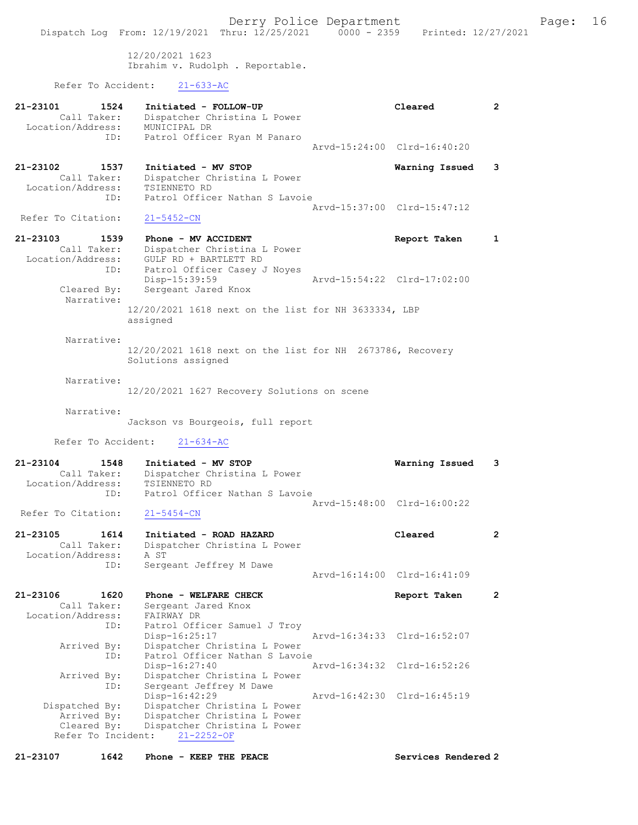12/20/2021 1623 Ibrahim v. Rudolph . Reportable.

Refer To Accident: 21-633-AC

| 21-23101<br>1524<br>Call Taker:<br>Location/Address:               | Initiated - FOLLOW-UP<br>Dispatcher Christina L Power<br>MUNICIPAL DR                                                             |               | Cleared                     | $\mathbf{2}^{\circ}$ |
|--------------------------------------------------------------------|-----------------------------------------------------------------------------------------------------------------------------------|---------------|-----------------------------|----------------------|
| ID:                                                                | Patrol Officer Ryan M Panaro                                                                                                      |               | Arvd-15:24:00 Clrd-16:40:20 |                      |
| 21-23102<br>1537<br>Call Taker:<br>Location/Address:<br>ID:        | Initiated - MV STOP<br>Dispatcher Christina L Power<br>TSIENNETO RD<br>Patrol Officer Nathan S Lavoie                             |               | Warning Issued              | 3                    |
| Refer To Citation:                                                 | $21 - 5452 - CN$                                                                                                                  |               | Arvd-15:37:00 Clrd-15:47:12 |                      |
| 21-23103<br>1539<br>Call Taker:<br>Location/Address:<br>ID:        | Phone - MV ACCIDENT<br>Dispatcher Christina L Power<br>GULF RD + BARTLETT RD<br>Patrol Officer Casey J Noyes                      |               | Report Taken                | 1                    |
| Cleared By:                                                        | Disp-15:39:59<br>Sergeant Jared Knox                                                                                              |               | Arvd-15:54:22 Clrd-17:02:00 |                      |
| Narrative:                                                         | 12/20/2021 1618 next on the list for NH 3633334, LBP<br>assigned                                                                  |               |                             |                      |
| Narrative:                                                         | 12/20/2021 1618 next on the list for NH 2673786, Recovery<br>Solutions assigned                                                   |               |                             |                      |
| Narrative:                                                         | 12/20/2021 1627 Recovery Solutions on scene                                                                                       |               |                             |                      |
| Narrative:                                                         | Jackson vs Bourgeois, full report                                                                                                 |               |                             |                      |
| Refer To Accident:                                                 | $21 - 634 - AC$                                                                                                                   |               |                             |                      |
| 21-23104<br>1548<br>Call Taker:<br>Location/Address:               | Initiated - MV STOP<br>Dispatcher Christina L Power<br>TSIENNETO RD                                                               |               | Warning Issued              | 3                    |
| ID:                                                                | Patrol Officer Nathan S Lavoie                                                                                                    |               | Aryd-15:48:00 Clrd-16:00:22 |                      |
| Refer To Citation:                                                 | $21 - 5454 - CN$                                                                                                                  |               |                             |                      |
| 21-23105<br>1614<br>Call Taker:<br>Location/Address:<br>ID:        | Initiated - ROAD HAZARD<br>Dispatcher Christina L Power<br>A ST<br>Sergeant Jeffrey M Dawe                                        |               | Cleared                     | $\mathbf{2}$         |
|                                                                    |                                                                                                                                   |               | Arvd-16:14:00 Clrd-16:41:09 |                      |
| 21-23106<br>1620<br>Call Taker:<br>Location/Address:<br>ID:        | Phone - WELFARE CHECK<br>Sergeant Jared Knox<br>FAIRWAY DR<br>Patrol Officer Samuel J Troy                                        |               | Report Taken                | $\mathbf{2}$         |
| Arrived By:                                                        | Disp-16:25:17<br>Dispatcher Christina L Power                                                                                     |               | Arvd-16:34:33 Clrd-16:52:07 |                      |
| ID:<br>Arrived By:<br>ID:                                          | Patrol Officer Nathan S Lavoie<br>Disp-16:27:40<br>Dispatcher Christina L Power<br>Sergeant Jeffrey M Dawe                        | Arvd-16:34:32 | Clrd-16:52:26               |                      |
| Dispatched By:<br>Arrived By:<br>Cleared By:<br>Refer To Incident: | Disp-16:42:29<br>Dispatcher Christina L Power<br>Dispatcher Christina L Power<br>Dispatcher Christina L Power<br>$21 - 2252 - OF$ |               | Arvd-16:42:30 Clrd-16:45:19 |                      |

21-23107 1642 Phone - KEEP THE PEACE Services Rendered 2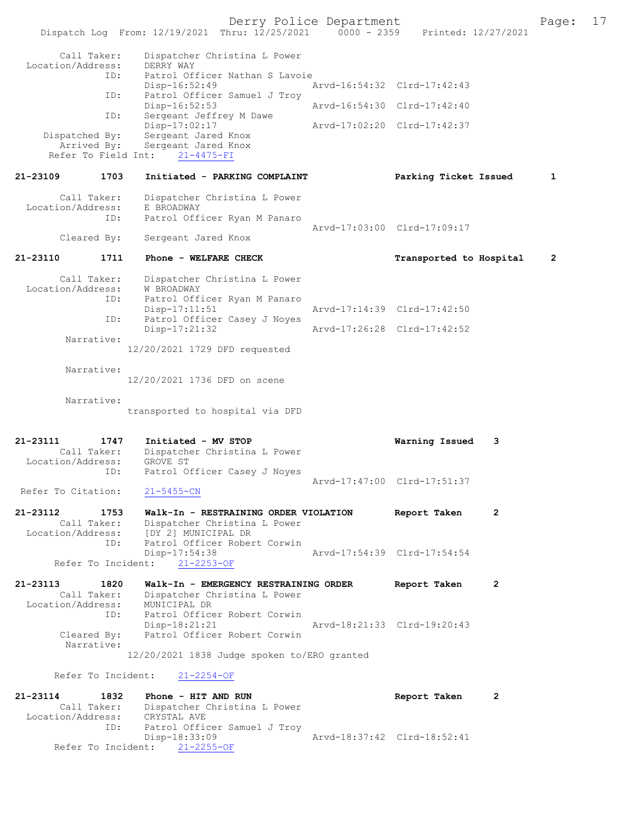Derry Police Department Fage: 17 Dispatch Log From: 12/19/2021 Thru: 12/25/2021 0000 - 2359 Printed: 12/27/2021 Call Taker: Dispatcher Christina L Power Location/Address: DERRY WAY<br>ID: Patrol Of -<br>Patrol Officer Nathan S Lavoie<br>Disp-16:52:49 Arvd-16:54:32 Clrd-17:42:43 ID: Patrol Officer Samuel J Troy Arvd-16:54:30 Clrd-17:42:40 ID: Sergeant Jeffrey M Dawe<br>Disp-17:02:17 Disp-17:02:17 <br>Dispatched By: Sergeant Jared Knox Arvd-17:02:20 Clrd-17:42:37 Sergeant Jared Knox Arrived By: Sergeant Jared Knox Refer To Field Int: 21-4475-FI 21-23109 1703 Initiated - PARKING COMPLAINT Parking Ticket Issued 1 Call Taker: Dispatcher Christina L Power Location/Address: E BROADWAY<br>TD: Patrol Off Patrol Officer Ryan M Panaro Arvd-17:03:00 Clrd-17:09:17<br>Cleared By: Sergeant Jared Knox Sergeant Jared Knox 21-23110 1711 Phone - WELFARE CHECK Transported to Hospital 2 Call Taker: Dispatcher Christina L Power Location/Address: W BROADWAY ID: Patrol Officer Ryan M Panaro Disp-17:11:51 Arvd-17:14:39 Clrd-17:42:50<br>TD: Patrol Officer Casey J Noves Patrol Officer Casey J Noyes Disp-17:21:32 Arvd-17:26:28 Clrd-17:42:52 Narrative: 12/20/2021 1729 DFD requested Narrative: 12/20/2021 1736 DFD on scene Narrative: transported to hospital via DFD 21-23111 1747 Initiated - MV STOP Warning Issued 3 Call Taker: Dispatcher Christina L Power<br>ion/Address: GROVE ST Location/Address:<br>ID: Patrol Officer Casey J Noyes Arvd-17:47:00 Clrd-17:51:37<br>21-5455-CN Refer To Citation: 21-23112 1753 Walk-In - RESTRAINING ORDER VIOLATION Report Taken 2<br>Call Taker: Dispatcher Christina L Power Call Taker: Dispatcher Christina L Power<br>Location/Address: [DY 2] MUNICIPAL DR ess: [DY 2] MUNICIPAL DR<br>ID: Patrol Officer Rober Patrol Officer Robert Corwin<br>Disp-17:54:38 -17:54:38 Arvd-17:54:39 Clrd-17:54:54<br>21-2253-OF Refer To Incident: 21-23113 1820 Walk-In - EMERGENCY RESTRAINING ORDER Report Taken 2 Call Taker: Dispatcher Christina L Power<br>ion/Address: MUNICIPAL DR Location/Address: ID: Patrol Officer Robert Corwin<br>Disp-18:21:21 Disp-18:21:21 Arvd-18:21:33 Clrd-19:20:43<br>Cleared By: Patrol Officer Robert Corwin Patrol Officer Robert Corwin Narrative: 12/20/2021 1838 Judge spoken to/ERO granted Refer To Incident: 21-2254-OF 21-23114 1832 Phone - HIT AND RUN Report Taken 2 Call Taker: Dispatcher Christina L Power Location/Address: CRYSTAL AVE Patrol Officer Samuel J Troy<br>Disp-18:33:09 Disp-18:33:09 Arvd-18:37:42 Clrd-18:52:41 Refer To Incident: 21-2255-OF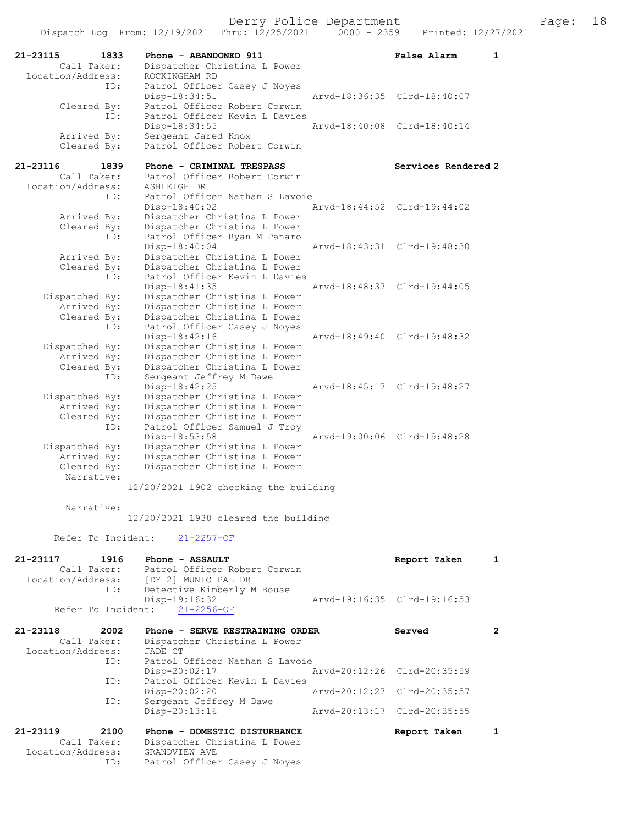| 21-23115                         | 1833<br>Phone - ABANDONED 911                                              | <b>False Alarm</b><br>1     |
|----------------------------------|----------------------------------------------------------------------------|-----------------------------|
| Call Taker:<br>Location/Address: | Dispatcher Christina L Power<br>ROCKINGHAM RD                              |                             |
|                                  | Patrol Officer Casey J Noyes<br>ID:                                        |                             |
|                                  | Disp-18:34:51                                                              | Arvd-18:36:35 Clrd-18:40:07 |
| Cleared By:                      | Patrol Officer Robert Corwin                                               |                             |
|                                  | Patrol Officer Kevin L Davies<br>ID:                                       |                             |
|                                  | Disp-18:34:55                                                              | Arvd-18:40:08 Clrd-18:40:14 |
| Arrived By:<br>Cleared By:       | Sergeant Jared Knox<br>Patrol Officer Robert Corwin                        |                             |
|                                  |                                                                            |                             |
| 21-23116                         | Phone - CRIMINAL TRESPASS<br>1839                                          | Services Rendered 2         |
| Call Taker:                      | Patrol Officer Robert Corwin                                               |                             |
| Location/Address:                | ASHLEIGH DR                                                                |                             |
|                                  | Patrol Officer Nathan S Lavoie<br>ID:<br>Disp-18:40:02                     | Arvd-18:44:52 Clrd-19:44:02 |
| Arrived By:                      | Dispatcher Christina L Power                                               |                             |
| Cleared By:                      | Dispatcher Christina L Power                                               |                             |
|                                  | Patrol Officer Ryan M Panaro<br>ID:                                        |                             |
|                                  | Disp-18:40:04                                                              | Arvd-18:43:31 Clrd-19:48:30 |
| Arrived By:                      | Dispatcher Christina L Power                                               |                             |
| Cleared By:                      | Dispatcher Christina L Power<br>Patrol Officer Kevin L Davies              |                             |
|                                  | ID:<br>Disp-18:41:35                                                       | Arvd-18:48:37 Clrd-19:44:05 |
| Dispatched By:                   | Dispatcher Christina L Power                                               |                             |
| Arrived By:                      | Dispatcher Christina L Power                                               |                             |
| Cleared By:                      | Dispatcher Christina L Power                                               |                             |
|                                  | Patrol Officer Casey J Noyes<br>ID:                                        |                             |
|                                  | Disp-18:42:16                                                              | Arvd-18:49:40 Clrd-19:48:32 |
| Dispatched By:<br>Arrived By:    | Dispatcher Christina L Power<br>Dispatcher Christina L Power               |                             |
| Cleared By:                      | Dispatcher Christina L Power                                               |                             |
|                                  | Sergeant Jeffrey M Dawe<br>ID:                                             |                             |
|                                  | Disp-18:42:25                                                              | Arvd-18:45:17 Clrd-19:48:27 |
| Dispatched By:                   | Dispatcher Christina L Power                                               |                             |
| Arrived By:                      | Dispatcher Christina L Power                                               |                             |
| Cleared By:                      | Dispatcher Christina L Power<br>Patrol Officer Samuel J Troy<br>ID:        |                             |
|                                  | Disp-18:53:58                                                              | Arvd-19:00:06 Clrd-19:48:28 |
| Dispatched By:                   | Dispatcher Christina L Power                                               |                             |
| Arrived By:                      | Dispatcher Christina L Power                                               |                             |
| Cleared By:                      | Dispatcher Christina L Power                                               |                             |
| Narrative:                       |                                                                            |                             |
|                                  | 12/20/2021 1902 checking the building                                      |                             |
| Narrative:                       |                                                                            |                             |
|                                  | 12/20/2021 1938 cleared the building                                       |                             |
|                                  |                                                                            |                             |
| Refer To Incident:               | $21 - 2257 - OF$                                                           |                             |
|                                  |                                                                            |                             |
| 21-23117                         | 1916<br>Phone - ASSAULT                                                    | Report Taken<br>1           |
| Call Taker:                      | Patrol Officer Robert Corwin                                               |                             |
|                                  | Location/Address: [DY 2] MUNICIPAL DR<br>ID:<br>Detective Kimberly M Bouse |                             |
|                                  | Disp-19:16:32                                                              | Arvd-19:16:35 Clrd-19:16:53 |
| Refer To Incident:               | $21 - 2256 - OF$                                                           |                             |
|                                  |                                                                            |                             |
| 21-23118                         | 2002<br>Phone - SERVE RESTRAINING ORDER                                    | Served<br>$\mathbf{2}$      |
| Call Taker:                      | Dispatcher Christina L Power                                               |                             |
| Location/Address:                | JADE CT                                                                    |                             |
|                                  | Patrol Officer Nathan S Lavoie<br>ID:<br>Disp-20:02:17                     | Arvd-20:12:26 Clrd-20:35:59 |
|                                  | Patrol Officer Kevin L Davies<br>ID:                                       |                             |
|                                  | $Disp-20:02:20$                                                            | Arvd-20:12:27 Clrd-20:35:57 |
|                                  | ID:<br>Sergeant Jeffrey M Dawe                                             |                             |
|                                  | Disp-20:13:16                                                              | Arvd-20:13:17 Clrd-20:35:55 |
|                                  |                                                                            |                             |
| 21-23119<br>Call Taker:          | 2100<br>Phone - DOMESTIC DISTURBANCE<br>Dispatcher Christina L Power       | Report Taken<br>1           |
| Location/Address:                | GRANDVIEW AVE                                                              |                             |
|                                  | ID:<br>Patrol Officer Casey J Noyes                                        |                             |
|                                  |                                                                            |                             |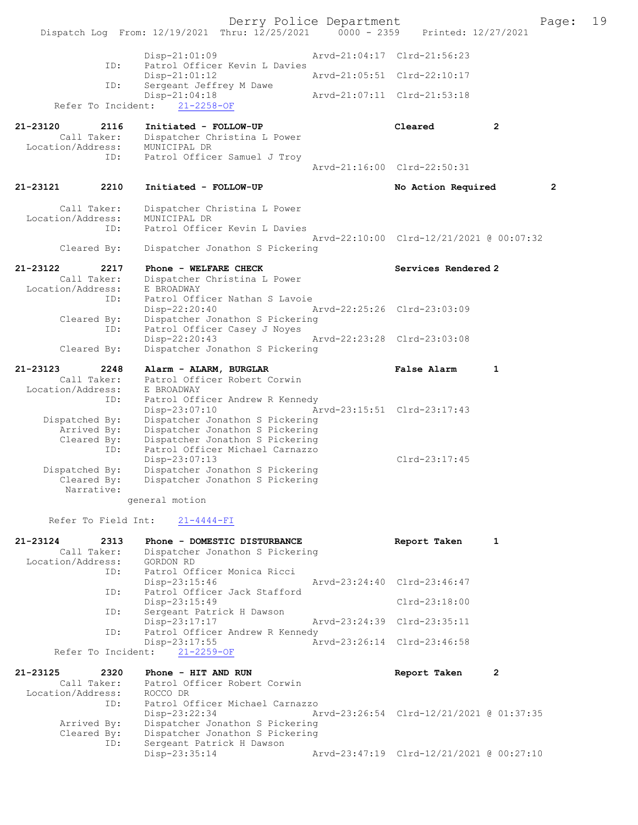Derry Police Department Page: 19 Dispatch Log From: 12/19/2021 Thru: 12/25/2021 Disp-21:01:09 Arvd-21:04:17 Clrd-21:56:23 ID: Patrol Officer Kevin L Davies Disp-21:01:12 Arvd-21:05:51 Clrd-22:10:17<br>TD: Sergeant Jeffrey M Dawe Sergeant Jeffrey M Dawe<br>Disp-21:04:18 Disp-21:04:18 Arvd-21:07:11 Clrd-21:53:18 Refer To Incident: 21-2258-OF 21-23120 2116 Initiated - FOLLOW-UP Cleared 2 Call Taker: Dispatcher Christina L Power Location/Address: MUNICIPAL DR ID: Patrol Officer Samuel J Troy Arvd-21:16:00 Clrd-22:50:31 21-23121 2210 Initiated - FOLLOW-UP No Action Required 2 Call Taker: Dispatcher Christina L Power Location/Address: MUNICIPAL DR<br>ID: Patrol Office Patrol Officer Kevin L Davies Arvd-22:10:00 Clrd-12/21/2021 @ 00:07:32 Cleared By: Dispatcher Jonathon S Pickering 21-23122 2217 Phone - WELFARE CHECK Services Rendered 2<br>Call Taker: Dispatcher Christina L Power Dispatcher Christina L Power Location/Address: E BROADWAY ID: Patrol Officer Nathan S Lavoie<br>Disp-22:20:40 Disp-22:20:40 Arvd-22:25:26 Clrd-23:03:09<br>Cleared By: Dispatcher Jonathon S Pickering Cleared By: Dispatcher Jonathon S Pickering ID: Patrol Officer Casey J Noyes Disp-22:20:43 Arvd-22:23:28 Clrd-23:03:08 Cleared By: Dispatcher Jonathon S Pickering 21-23123 2248 Alarm - ALARM, BURGLAR False Alarm 1 Call Taker: Patrol Officer Robert Corwin Location/Address: E BROADWAY ID: Patrol Officer Andrew R Kennedy<br>Disp-23:07:10 Ar Disp-23:07:10 Arvd-23:15:51 Clrd-23:17:43<br>Dispatched By: Dispatcher Jonathon S Pickering Dispatcher Jonathon S Pickering Arrived By: Dispatcher Jonathon S Pickering Cleared By: Dispatcher Jonathon S Pickering ID: Patrol Officer Michael Carnazzo Disp-23:07:13 Disp-23:07:13 Dispatched By: Dispatcher Jonathon S Pickering Clrd-23:17:45 patched By: Dispatcher Jonathon S Pickering<br>Cleared By: Dispatcher Jonathon S Pickering Dispatcher Jonathon S Pickering Narrative: general motion Refer To Field Int: 21-4444-FI 21-23124 2313 Phone - DOMESTIC DISTURBANCE Report Taken 1 Call Taker: Dispatcher Jonathon S Pickering<br>ion/Address: GORDON RD Location/Address:<br>ID: Patrol Officer Monica Ricci<br>Disp-23:15:46 Disp-23:15:46 Arvd-23:24:40 Clrd-23:46:47 Patrol Officer Jack Stafford Disp-23:15:49 Clrd-23:18:00<br>TD: Sergeant Patrick H Dawson Sergeant Patrick H Dawson<br>Disp-23:17:17 Arvd-23:24:39 Clrd-23:35:11 ID: Patrol Officer Andrew R Kennedy<br>Disp-23:17:55 Az -23:17:55 <br>
21-2259-OF <br>
Arvd-23:26:14 Clrd-23:46:58 Refer To Incident: 21-23125 2320 Phone - HIT AND RUN 2000 2000 Report Taken 2 Call Taker: Patrol Officer Robert Corwin<br>ion/Address: ROCCO DR Location/Address:<br>TD: Patrol Officer Michael Carnazzo<br>Disp-23:22:34 Am Disp-23:22:34 Arvd-23:26:54 Clrd-12/21/2021 @ 01:37:35 Arrived By: Dispatcher Jonathon S Pickering Cleared By: Dispatcher Jonathon S Pickering<br>ID: Sergeant Patrick H Dawson Sergeant Patrick H Dawson<br>Disp-23:35:14 Disp-23:35:14 Arvd-23:47:19 Clrd-12/21/2021 @ 00:27:10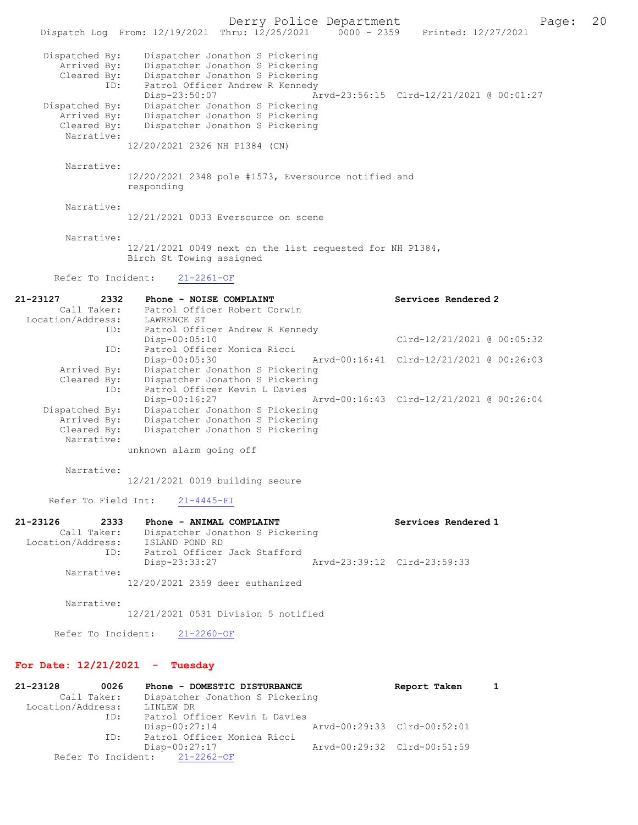Derry Police Department The Page: 20 Dispatch Log From: 12/19/2021 Thru: 12/25/2021 0000 - 2359 Printed: 12/27/2021 Dispatched By: Dispatcher Jonathon S Pickering Arrived By: Dispatcher Jonathon S Pickering Cleared By: Dispatcher Jonathon S Pickering ID: Patrol Officer Andrew R Kennedy<br>Disp-23:50:07 A Disp-23:50:07 Arvd-23:56:15 Clrd-12/21/2021 @ 00:01:27 Dispatched By: Dispatcher Jonathon S Pickering<br>Arrived By: Dispatcher Jonathon S Pickering Arrived By: Dispatcher Jonathon S Pickering Cleared By: Dispatcher Jonathon S Pickering Narrative: 12/20/2021 2326 NH P1384 (CN) Narrative: 12/20/2021 2348 pole #1573, Eversource notified and responding Narrative: 12/21/2021 0033 Eversource on scene Narrative: 12/21/2021 0049 next on the list requested for NH P1384, Birch St Towing assigned Refer To Incident: 21-2261-OF 21-23127 2332 Phone - NOISE COMPLAINT Services Rendered 2 Call Taker: Patrol Officer Robert Corwin<br>ion/Address: LAWRENCE ST Location/Address: ID: Patrol Officer Andrew R Kennedy<br>Disp-00:05:10  $Clrd-12/21/2021$  @ 00:05:32 ID: Patrol Officer Monica Ricci Arvd-00:16:41 Clrd-12/21/2021 @ 00:26:03 Arrived By: Dispatcher Jonathon S Pickering Cleared By: Dispatcher Jonathon S Pickering ID: Patrol Officer Kevin L Davies Disp-00:16:27 Arvd-00:16:43 Clrd-12/21/2021 @ 00:26:04 Dispatched By: Dispatcher Jonathon S Pickering Arrived By: Dispatcher Jonathon S Pickering<br>Cleared By: Dispatcher Jonathon S Pickering Dispatcher Jonathon S Pickering Narrative: unknown alarm going off Narrative: 12/21/2021 0019 building secure Refer To Field Int: 21-4445-FI 21-23126 2333 Phone - ANIMAL COMPLAINT<br>Call Taker: Dispatcher Jonathon S Pickering<br>Call Taker: Dispatcher Jonathon S Pickering Dispatcher Jonathon S Pickering<br>ISLAND POND RD Location/Address: ID: Patrol Officer Jack Stafford<br>Disp-23:33:27 Disp-23:33:27 Arvd-23:39:12 Clrd-23:59:33 Narrative: 12/20/2021 2359 deer euthanized Narrative: 12/21/2021 0531 Division 5 notified Refer To Incident: 21-2260-OF For Date: 12/21/2021 - Tuesday

21-23128 0026 Phone - DOMESTIC DISTURBANCE Report Taken 1 Call Taker: Dispatcher Jonathon S Pickering Location/Address: LINLEW DR ID: Patrol Officer Kevin L Davies<br>Disp-00:27:14 Disp-00:27:14 Arvd-00:29:33 Clrd-00:52:01<br>TD: Patrol Officer Monica Ricci Patrol Officer Monica Ricci Disp-00:27:17 <br>ht: 21-2262-OF <br>Arvd-00:29:32 Clrd-00:51:59 Refer To Incident: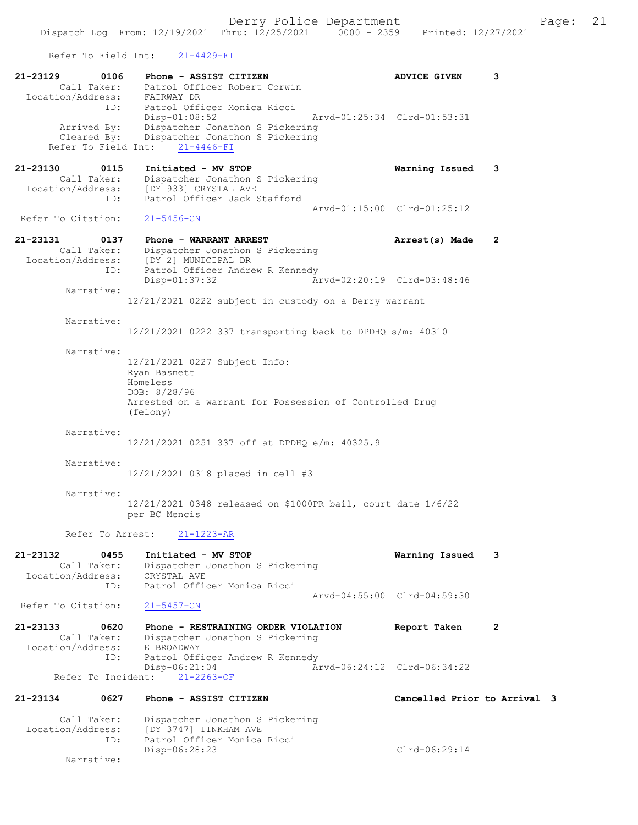Refer To Field Int: 21-4429-FI

| 21-23129<br>0106<br>Location/Address:                       | Phone - ASSIST CITIZEN<br>Call Taker: Patrol Officer Robert Corwin<br>FAIRWAY DR                                                                   | <b>ADVICE GIVEN</b>          | 3              |  |
|-------------------------------------------------------------|----------------------------------------------------------------------------------------------------------------------------------------------------|------------------------------|----------------|--|
| ID:<br>Arrived By:<br>Cleared By:<br>Refer To Field Int:    | Patrol Officer Monica Ricci<br>$Disp-01:08:52$<br>Dispatcher Jonathon S Pickering<br>Dispatcher Jonathon S Pickering<br>$21 - 4446 - FI$           | Arvd-01:25:34 Clrd-01:53:31  |                |  |
| 21-23130<br>0115<br>Call Taker:<br>Location/Address:<br>ID: | Initiated - MV STOP<br>Dispatcher Jonathon S Pickering<br>Dispatcher John<br>[DY 933] CRYSTAL AVE<br>- ASSANT Jack<br>Patrol Officer Jack Stafford | Warning Issued               | 3              |  |
| Refer To Citation:                                          | 21-5456-CN                                                                                                                                         | Arvd-01:15:00 Clrd-01:25:12  |                |  |
| 21–23131<br>0137<br>Call Taker:<br>Location/Address:        | Phone - WARRANT ARREST<br>Dispatcher Jonathon S Pickering<br>DY 2] MUNICIPAL DR<br>[DY 2] MUNICIPAL DR<br>Patrol Off'                              | Arrest(s) Made               | 2              |  |
| ID:<br>Narrative:                                           | Patrol Officer Andrew R Kennedy<br>Disp-01:37:32                                                                                                   | Arvd-02:20:19 Clrd-03:48:46  |                |  |
| Narrative:                                                  | 12/21/2021 0222 subject in custody on a Derry warrant                                                                                              |                              |                |  |
|                                                             | $12/21/2021$ 0222 337 transporting back to DPDHQ s/m: 40310                                                                                        |                              |                |  |
| Narrative:                                                  | 12/21/2021 0227 Subject Info:<br>Ryan Basnett<br>Homeless<br>DOB: 8/28/96<br>Arrested on a warrant for Possession of Controlled Drug<br>(felony)   |                              |                |  |
| Narrative:                                                  | 12/21/2021 0251 337 off at DPDHQ e/m: 40325.9                                                                                                      |                              |                |  |
| Narrative:                                                  | 12/21/2021 0318 placed in cell #3                                                                                                                  |                              |                |  |
| Narrative:                                                  | 12/21/2021 0348 released on \$1000PR bail, court date 1/6/22<br>per BC Mencis                                                                      |                              |                |  |
|                                                             | Refer To Arrest: 21-1223-AR                                                                                                                        |                              |                |  |
| 21-23132<br>0455<br>Call Taker:<br>Location/Address:        | Initiated - MV STOP<br>Dispatcher Jonathon S Pickering<br>CRYSTAL AVE                                                                              | Warning Issued               | 3              |  |
| ID:<br>Refer To Citation:                                   | Patrol Officer Monica Ricci<br>$21 - 5457 - CN$                                                                                                    | Arvd-04:55:00 Clrd-04:59:30  |                |  |
| 21-23133<br>0620<br>Call Taker:<br>Location/Address:        | Phone - RESTRAINING ORDER VIOLATION<br>Dispatcher Jonathon S Pickering<br>E BROADWAY                                                               | Report Taken                 | $\overline{2}$ |  |
| ID:<br>Refer To Incident:                                   | Patrol Officer Andrew R Kennedy<br>$Disp-06:21:04$<br>$21 - 2263 - OF$                                                                             | Arvd-06:24:12 Clrd-06:34:22  |                |  |
| 21-23134<br>0627                                            | Phone - ASSIST CITIZEN                                                                                                                             | Cancelled Prior to Arrival 3 |                |  |
| Call Taker:<br>Location/Address:<br>ID:                     | Dispatcher Jonathon S Pickering<br>[DY 3747] TINKHAM AVE<br>Patrol Officer Monica Ricci                                                            | Clrd-06:29:14                |                |  |
| Narrative:                                                  | Disp-06:28:23                                                                                                                                      |                              |                |  |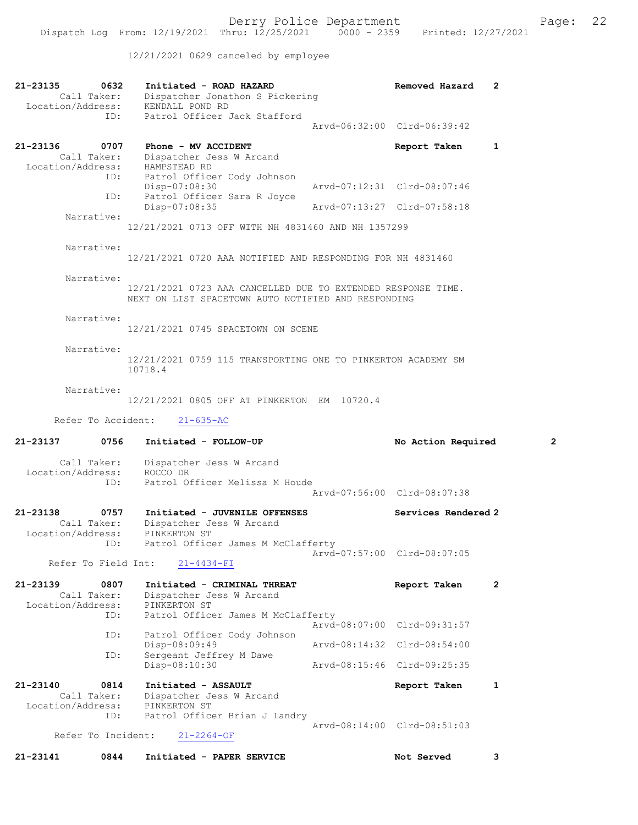12/21/2021 0629 canceled by employee

| 21-23135<br>0632<br>Call Taker:<br>Location/Address: | Initiated - ROAD HAZARD<br>Dispatcher Jonathon S Pickering<br>KENDALL POND RD                                       |                             | Removed Hazard              | 2              |
|------------------------------------------------------|---------------------------------------------------------------------------------------------------------------------|-----------------------------|-----------------------------|----------------|
| ID:                                                  | Patrol Officer Jack Stafford                                                                                        |                             | Arvd-06:32:00 Clrd-06:39:42 |                |
| 21-23136<br>0707<br>Call Taker:                      | Phone - MV ACCIDENT<br>Dispatcher Jess W Arcand<br>Call Taker: Dispatcher J<br>Location/Address: HAMPSTEAD RD       |                             | Report Taken                | 1              |
| ID:                                                  | Patrol Officer Cody Johnson<br>ID:<br>Disp-07:08:30<br>Patrol Officer Sara R Joyce                                  | Arvd-07:12:31 Clrd-08:07:46 |                             |                |
| Narrative:                                           | Disp-07:08:35                                                                                                       | Arvd-07:13:27 Clrd-07:58:18 |                             |                |
|                                                      | 12/21/2021 0713 OFF WITH NH 4831460 AND NH 1357299                                                                  |                             |                             |                |
| Narrative:                                           | 12/21/2021 0720 AAA NOTIFIED AND RESPONDING FOR NH 4831460                                                          |                             |                             |                |
| Narrative:                                           | 12/21/2021 0723 AAA CANCELLED DUE TO EXTENDED RESPONSE TIME.<br>NEXT ON LIST SPACETOWN AUTO NOTIFIED AND RESPONDING |                             |                             |                |
| Narrative:                                           | 12/21/2021 0745 SPACETOWN ON SCENE                                                                                  |                             |                             |                |
| Narrative:                                           | 12/21/2021 0759 115 TRANSPORTING ONE TO PINKERTON ACADEMY SM<br>10718.4                                             |                             |                             |                |
| Narrative:                                           | 12/21/2021 0805 OFF AT PINKERTON EM 10720.4                                                                         |                             |                             |                |
| Refer To Accident:                                   | $21 - 635 - AC$                                                                                                     |                             |                             |                |
|                                                      |                                                                                                                     |                             |                             |                |
| 21-23137<br>0756                                     | Initiated - FOLLOW-UP                                                                                               |                             | No Action Required          | $\overline{2}$ |
| Call Taker:<br>Location/Address:                     | Dispatcher Jess W Arcand<br>ROCCO DR                                                                                |                             |                             |                |
| ID:                                                  | Patrol Officer Melissa M Houde                                                                                      |                             | Arvd-07:56:00 Clrd-08:07:38 |                |
| 21-23138<br>0757<br>Call Taker:<br>Location/Address: | Initiated - JUVENILE OFFENSES<br>Dispatcher Jess W Arcand<br>PINKERTON ST                                           |                             | Services Rendered 2         |                |
| ID:<br>Refer To Field Int:                           | Patrol Officer James M McClafferty<br>$21 - 4434 - FI$                                                              |                             | Arvd-07:57:00 Clrd-08:07:05 |                |
| 21-23139<br>0807<br>Call Taker:<br>Location/Address: | Initiated - CRIMINAL THREAT<br>Dispatcher Jess W Arcand<br>PINKERTON ST                                             |                             | Report Taken                | $\overline{2}$ |
| ID:                                                  | Patrol Officer James M McClafferty                                                                                  |                             | Arvd-08:07:00 Clrd-09:31:57 |                |
| ID:                                                  | Patrol Officer Cody Johnson<br>Disp-08:09:49                                                                        |                             | Arvd-08:14:32 Clrd-08:54:00 |                |
| ID:                                                  | Sergeant Jeffrey M Dawe<br>Disp-08:10:30                                                                            |                             | Arvd-08:15:46 Clrd-09:25:35 |                |
| 21-23140<br>0814<br>Call Taker:<br>Location/Address: | Initiated - ASSAULT<br>Dispatcher Jess W Arcand<br>PINKERTON ST                                                     |                             | Report Taken                | 1              |
| ID:<br>Refer To Incident:                            | Patrol Officer Brian J Landry<br>$21 - 2264 - OF$                                                                   |                             | Arvd-08:14:00 Clrd-08:51:03 |                |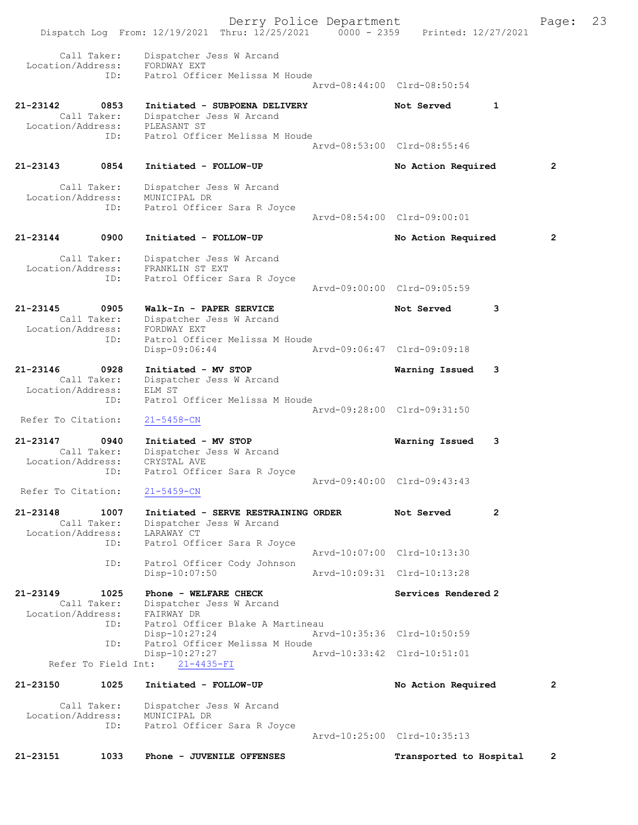Derry Police Department Fage: 23 Dispatch Log From: 12/19/2021 Thru: 12/25/2021 0000 - 2359 Printed: 12/27/2021 Call Taker: Dispatcher Jess W Arcand Location/Address: FORDWAY EXT ID: Patrol Officer Melissa M Houde Arvd-08:44:00 Clrd-08:50:54 21-23142 0853 Initiated - SUBPOENA DELIVERY Not Served 1 Call Taker: Dispatcher Jess W Arcand Location/Address: PLEASANT ST ID: Patrol Officer Melissa M Houde Arvd-08:53:00 Clrd-08:55:46 21-23143 0854 Initiated - FOLLOW-UP No Action Required 2 Call Taker: Dispatcher Jess W Arcand Location/Address: MUNICIPAL DR ID: Patrol Officer Sara R Joyce Arvd-08:54:00 Clrd-09:00:01 21-23144 0900 Initiated - FOLLOW-UP No Action Required 2 Call Taker: Dispatcher Jess W Arcand Location/Address: FRANKLIN ST EXT ID: Patrol Officer Sara R Joyce Arvd-09:00:00 Clrd-09:05:59 21-23145 0905 Walk-In - PAPER SERVICE Not Served 3 Call Taker: Dispatcher Jess W Arcand Location/Address: FORDWAY EXT ID: Patrol Officer Melissa M Houde Disp-09:06:44 Arvd-09:06:47 Clrd-09:09:18 21-23146 0928 Initiated - MV STOP Warning Issued 3 Call Taker: Dispatcher Jess W Arcand Location/Address: ELM ST ID: Patrol Officer Melissa M Houde Arvd-09:28:00 Clrd-09:31:50 Refer To Citation: 21-5458-CN 21-23147 0940 Initiated - MV STOP Warning Issued 3 Call Taker: Dispatcher Jess W Arcand Location/Address: CRYSTAL AVE ID: Patrol Officer Sara R Joyce Arvd-09:40:00 Clrd-09:43:43 Refer To Citation: 21-5459-CN 21-23148 1007 Initiated - SERVE RESTRAINING ORDER Not Served 2 Call Taker: Dispatcher Jess W Arcand Location/Address: LARAWAY CT ID: Patrol Officer Sara R Joyce Arvd-10:07:00 Clrd-10:13:30 ID: Patrol Officer Cody Johnson Disp-10:07:50 Arvd-10:09:31 Clrd-10:13:28 21-23149 1025 Phone - WELFARE CHECK Services Rendered 2 Call Taker: Dispatcher Jess W Arcand Location/Address: FAIRWAY DR ID: Patrol Officer Blake A Martineau Disp-10:27:24 Arvd-10:35:36 Clrd-10:50:59<br>ID: Patrol Officer Melissa M Houde Patrol Officer Melissa M Houde Disp-10:27:27 Arvd-10:33:42 Clrd-10:51:01 Refer To Field Int: 21-4435-FI 21-23150 1025 Initiated - FOLLOW-UP No Action Required 2 Call Taker: Dispatcher Jess W Arcand Location/Address: MUNICIPAL DR ID: Patrol Officer Sara R Joyce Arvd-10:25:00 Clrd-10:35:13 21-23151 1033 Phone - JUVENILE OFFENSES Transported to Hospital 2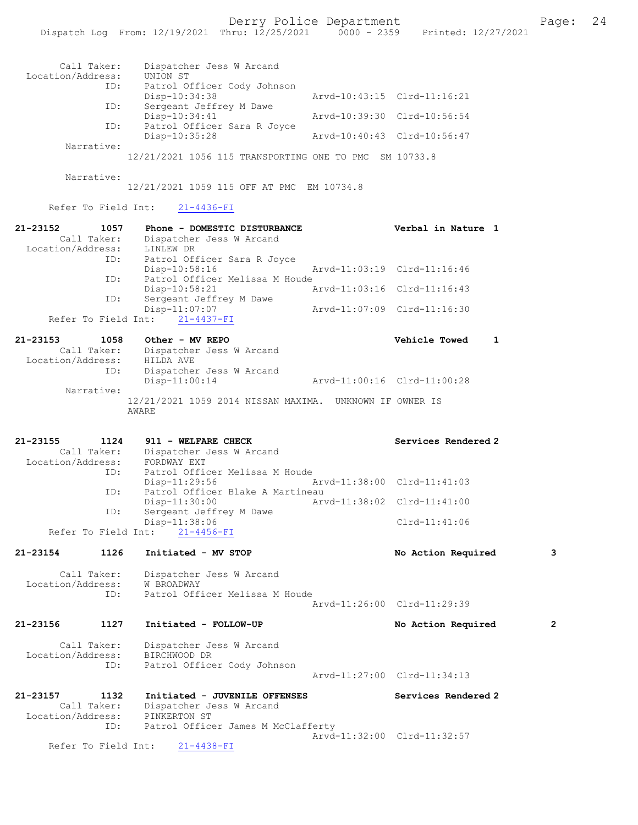| Call Taker:<br>Location/Address:<br>ID:<br>ID:<br>Narrative:<br>Narrative:                       | Dispatcher Jess W Arcand<br>UNION ST<br>Patrol Officer Cody Johnson<br>ID:<br>Disp-10:34:38<br>Sergeant Jeffrey M Dawe<br>Disp-10:34:41<br>Patrol Officer Sara R Joyce<br>Disp-10:35:28<br>12/21/2021 1056 115 TRANSPORTING ONE TO PMC SM 10733.8<br>12/21/2021 1059 115 OFF AT PMC EM 10734.8 | Arvd-10:43:15 Clrd-11:16:21<br>Arvd-10:39:30 Clrd-10:56:54<br>Arvd-10:40:43 Clrd-10:56:47 |                                      |              |
|--------------------------------------------------------------------------------------------------|------------------------------------------------------------------------------------------------------------------------------------------------------------------------------------------------------------------------------------------------------------------------------------------------|-------------------------------------------------------------------------------------------|--------------------------------------|--------------|
| Refer To Field Int:                                                                              | $21 - 4436 - FI$                                                                                                                                                                                                                                                                               |                                                                                           |                                      |              |
| 21-23152<br>1057<br>Call Taker:<br>Location/Address: LINLEW DR<br>ID:                            | Phone - DOMESTIC DISTURBANCE<br>Dispatcher Jess W Arcand<br>ID: Patrol Officer Sara R Joyce<br>Disp-10:58:16<br>ID: Patrol Officer Melissa M Houde<br>Disp-10:58:21<br>Sergeant Jeffrey M Dawe<br>$Disp-11:07:07$<br>Refer To Field Int: 21-4437-FI                                            | Arvd-11:03:19 Clrd-11:16:46<br>Arvd-11:03:16 Clrd-11:16:43<br>Arvd-11:07:09 Clrd-11:16:30 | Verbal in Nature 1                   |              |
| $21 - 23153$<br>1058                                                                             | Other - MV REPO                                                                                                                                                                                                                                                                                |                                                                                           | <b>Vehicle Towed</b><br>$\mathbf{1}$ |              |
| Location/Address:<br>ID:<br>Narrative:                                                           | Call Taker: Dispatcher Jess W Arcand<br>HILDA AVE<br>Dispatcher Jess W Arcand<br>$Disp-11:00:14$<br>12/21/2021 1059 2014 NISSAN MAXIMA. UNKNOWN IF OWNER IS<br>AWARE                                                                                                                           | Arvd-11:00:16 Clrd-11:00:28                                                               |                                      |              |
| 21-23155<br>1124<br>Call Taker:<br>Location/Address:<br>ID:<br>ID:<br>ID:<br>Refer To Field Int: | 911 - WELFARE CHECK<br>Dispatcher Jess W Arcand<br>FORDWAY EXT<br>Patrol Officer Melissa M Houde<br>Disp-11:29:56<br>Patrol Officer Blake A Martineau<br>Disp-11:30:00<br>Sergeant Jeffrey M Dawe<br>Disp-11:38:06<br>$21 - 4456 - FI$                                                         | Arvd-11:38:00 Clrd-11:41:03<br>Arvd-11:38:02 Clrd-11:41:00                                | Services Rendered 2<br>Clrd-11:41:06 |              |
| 21-23154<br>1126                                                                                 | Initiated - MV STOP                                                                                                                                                                                                                                                                            |                                                                                           | No Action Required                   | 3            |
| Call Taker:<br>Location/Address:<br>ID:                                                          | Dispatcher Jess W Arcand<br>W BROADWAY<br>Patrol Officer Melissa M Houde                                                                                                                                                                                                                       | Arvd-11:26:00 Clrd-11:29:39                                                               |                                      |              |
| 21-23156<br>1127                                                                                 | Initiated - FOLLOW-UP                                                                                                                                                                                                                                                                          |                                                                                           | No Action Required                   | $\mathbf{2}$ |
| Call Taker:<br>Location/Address:<br>ID:                                                          | Dispatcher Jess W Arcand<br>BIRCHWOOD DR<br>Patrol Officer Cody Johnson                                                                                                                                                                                                                        | Arvd-11:27:00 Clrd-11:34:13                                                               |                                      |              |
| 21-23157<br>1132<br>Call Taker:<br>Location/Address:<br>ID:                                      | Initiated - JUVENILE OFFENSES<br>Dispatcher Jess W Arcand<br>PINKERTON ST<br>Patrol Officer James M McClafferty                                                                                                                                                                                |                                                                                           | Services Rendered 2                  |              |
| Refer To Field Int:                                                                              | $21 - 4438 - FI$                                                                                                                                                                                                                                                                               |                                                                                           | Arvd-11:32:00 Clrd-11:32:57          |              |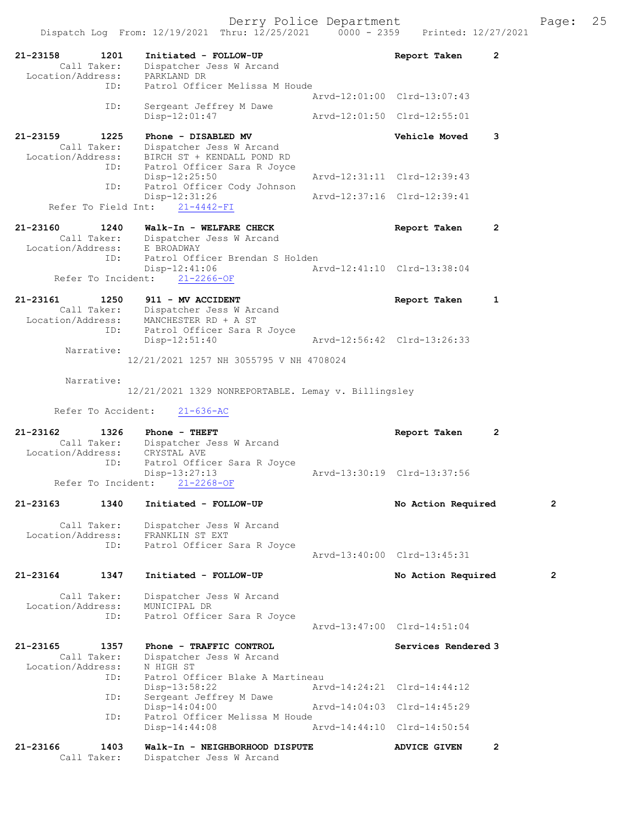| 21-23158<br>Location/Address:    | 1201<br>Call Taker: | Initiated - FOLLOW-UP<br>Dispatcher Jess W Arcand<br>PARKLAND DR | Report Taken                | 2              |
|----------------------------------|---------------------|------------------------------------------------------------------|-----------------------------|----------------|
|                                  | ID:                 | Patrol Officer Melissa M Houde                                   |                             |                |
|                                  | ID:                 | Sergeant Jeffrey M Dawe                                          | Arvd-12:01:00 Clrd-13:07:43 |                |
|                                  |                     | $Disp-12:01:47$                                                  | Arvd-12:01:50 Clrd-12:55:01 |                |
| 21-23159                         | 1225                | Phone - DISABLED MV                                              | Vehicle Moved               | 3              |
|                                  | Call Taker:         | Dispatcher Jess W Arcand                                         |                             |                |
|                                  |                     | Location/Address: BIRCH ST + KENDALL POND RD                     |                             |                |
|                                  | ID:                 | Patrol Officer Sara R Joyce<br>$Disp-12:25:50$                   | Arvd-12:31:11 Clrd-12:39:43 |                |
|                                  | ID:                 | Patrol Officer Cody Johnson<br>$Disp-12:31:26$                   | Arvd-12:37:16 Clrd-12:39:41 |                |
|                                  | Refer To Field Int: | $21 - 4442 - FI$                                                 |                             |                |
| 21-23160                         | 1240                | Walk-In - WELFARE CHECK                                          | Report Taken                | $\mathbf{2}$   |
|                                  | Call Taker:         | Dispatcher Jess W Arcand                                         |                             |                |
| Location/Address:                |                     | E BROADWAY                                                       |                             |                |
|                                  | ID:                 | Patrol Officer Brendan S Holden                                  |                             |                |
|                                  | Refer To Incident:  | $Disp-12:41:06$<br>$21 - 2266 - OF$                              | Arvd-12:41:10 Clrd-13:38:04 |                |
|                                  |                     |                                                                  |                             |                |
| 21-23161                         | 1250                | 911 - MV ACCIDENT                                                | Report Taken                | 1              |
|                                  | Call Taker:         | Dispatcher Jess W Arcand                                         |                             |                |
|                                  |                     | Location/Address: MANCHESTER RD + A ST                           |                             |                |
|                                  | ID:                 | Patrol Officer Sara R Joyce                                      |                             |                |
|                                  | Narrative:          | $Disp-12:51:40$                                                  | Arvd-12:56:42 Clrd-13:26:33 |                |
|                                  |                     | 12/21/2021 1257 NH 3055795 V NH 4708024                          |                             |                |
|                                  |                     |                                                                  |                             |                |
|                                  | Narrative:          |                                                                  |                             |                |
|                                  |                     | 12/21/2021 1329 NONREPORTABLE. Lemay v. Billingsley              |                             |                |
|                                  | Refer To Accident:  | $21 - 636 - AC$                                                  |                             |                |
| 21-23162                         | 1326                | Phone - THEFT                                                    | Report Taken                | $\overline{2}$ |
|                                  | Call Taker:         | Dispatcher Jess W Arcand                                         |                             |                |
| Location/Address:                |                     | CRYSTAL AVE                                                      |                             |                |
|                                  | ID:                 | Patrol Officer Sara R Joyce                                      |                             |                |
|                                  | Refer To Incident:  | $Disp-13:27:13$<br>$21 - 2268 - OF$                              | Arvd-13:30:19 Clrd-13:37:56 |                |
|                                  |                     |                                                                  |                             |                |
| 21-23163                         | 1340                |                                                                  |                             |                |
|                                  |                     | Initiated - FOLLOW-UP                                            | No Action Required          | $\mathbf{2}$   |
|                                  |                     |                                                                  |                             |                |
| Call Taker:<br>Location/Address: |                     | Dispatcher Jess W Arcand<br>FRANKLIN ST EXT                      |                             |                |
|                                  | ID:                 | Patrol Officer Sara R Joyce                                      |                             |                |
|                                  |                     |                                                                  | Aryd-13:40:00 Clrd-13:45:31 |                |
|                                  |                     |                                                                  |                             |                |
| $21 - 23164$                     | 1347                | Initiated - FOLLOW-UP                                            | No Action Required          | $\mathbf{2}$   |
|                                  | Call Taker:         | Dispatcher Jess W Arcand                                         |                             |                |
| Location/Address:                |                     | MUNICIPAL DR                                                     |                             |                |
|                                  | ID:                 | Patrol Officer Sara R Joyce                                      |                             |                |
|                                  |                     |                                                                  | Arvd-13:47:00 Clrd-14:51:04 |                |
|                                  |                     |                                                                  |                             |                |
| 21-23165                         | 1357<br>Call Taker: | Phone - TRAFFIC CONTROL<br>Dispatcher Jess W Arcand              | Services Rendered 3         |                |
| Location/Address:                |                     | N HIGH ST                                                        |                             |                |
|                                  | ID:                 | Patrol Officer Blake A Martineau                                 |                             |                |
|                                  |                     | $Disp-13:58:22$                                                  | Arvd-14:24:21 Clrd-14:44:12 |                |
|                                  | ID:                 | Sergeant Jeffrey M Dawe                                          |                             |                |
|                                  | ID:                 | Disp-14:04:00<br>Patrol Officer Melissa M Houde                  | Arvd-14:04:03 Clrd-14:45:29 |                |
|                                  |                     | $Disp-14:44:08$                                                  | Arvd-14:44:10 Clrd-14:50:54 |                |
| 21-23166                         | 1403                | Walk-In - NEIGHBORHOOD DISPUTE                                   | <b>ADVICE GIVEN</b>         | $\overline{2}$ |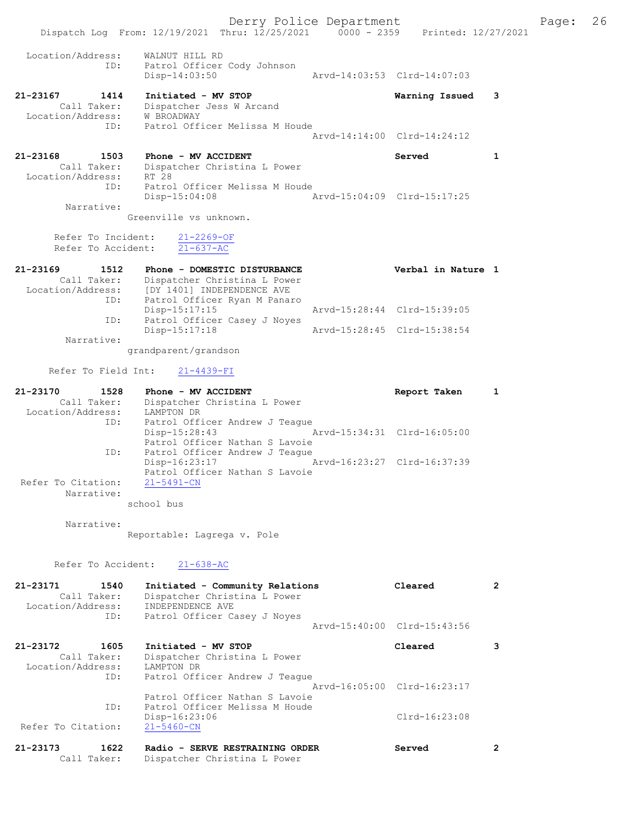Derry Police Department Fage: 26 Dispatch Log From: 12/19/2021 Thru: 12/25/2021 0000 - 2359 Printed: 12/27/2021 Location/Address: WALNUT HILL RD ID: Patrol Officer Cody Johnson Disp-14:03:50 Arvd-14:03:53 Clrd-14:07:03 21-23167 1414 Initiated - MV STOP Warning Issued 3 Call Taker: Dispatcher Jess W Arcand Location/Address: W BROADWAY ID: Patrol Officer Melissa M Houde Arvd-14:14:00 Clrd-14:24:12 21-23168 1503 Phone - MV ACCIDENT Served 1 Call Taker: Dispatcher Christina L Power Location/Address: RT 28 ID: Patrol Officer Melissa M Houde Disp-15:04:08 Arvd-15:04:09 Clrd-15:17:25 Narrative: Greenville vs unknown. Refer To Incident: 21-2269-OF Refer To Accident: 21-637-AC 21-23169 1512 Phone - DOMESTIC DISTURBANCE Verbal in Nature 1 Call Taker: Dispatcher Christina L Power Location/Address: [DY 1401] INDEPENDENCE AVE ID: Patrol Officer Ryan M Panaro Disp-15:17:15 Arvd-15:28:44 Clrd-15:39:05 ID: Patrol Officer Casey J Noyes Disp-15:17:18 Arvd-15:28:45 Clrd-15:38:54 Narrative: grandparent/grandson Refer To Field Int: 21-4439-FI 21-23170 1528 Phone - MV ACCIDENT Report Taken 1 Call Taker: Dispatcher Christina L Power Location/Address: LAMPTON DR ID: Patrol Officer Andrew J Teague Disp-15:28:43 Arvd-15:34:31 Clrd-16:05:00 Patrol Officer Nathan S Lavoie ID: Patrol Officer Andrew J Teague Disp-16:23:17 Arvd-16:23:27 Clrd-16:37:39 Patrol Officer Nathan S Lavoie Refer To Citation: Narrative: school bus Narrative: Reportable: Lagrega v. Pole Refer To Accident: 21-638-AC 21-23171 1540 Initiated - Community Relations Cleared 2

 Call Taker: Dispatcher Christina L Power Location/Address: INDEPENDENCE AVE ID: Patrol Officer Casey J Noyes Arvd-15:40:00 Clrd-15:43:56 21-23172 1605 Initiated - MV STOP Cleared 3 Call Taker: Dispatcher Christina L Power Location/Address: LAMPTON DR ID: Patrol Officer Andrew J Teague Arvd-16:05:00 Clrd-16:23:17 Patrol Officer Nathan S Lavoie ID: Patrol Officer Melissa M Houde Disp-16:23:06 Clrd-16:23:08 Refer To Citation: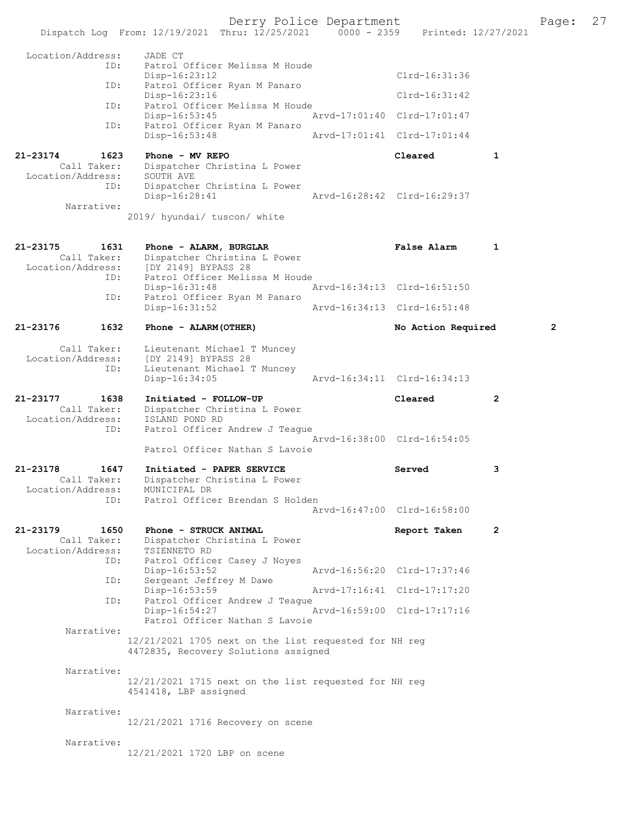Derry Police Department The Page: 27 Dispatch Log From: 12/19/2021 Thru: 12/25/2021 0000 - 2359 Printed: 12/27/2021 Location/Address: JADE CT ID: Patrol Officer Melissa M Houde Disp-16:23:12 Clrd-16:31:36 ID: Patrol Officer Ryan M Panaro Disp-16:23:16 Clrd-16:31:42 ID: Patrol Officer Melissa M Houde Disp-16:53:45 Arvd-17:01:40 Clrd-17:01:47 ID: Patrol Officer Ryan M Panaro<br>Disp-16:53:48 Disp-16:53:48 Arvd-17:01:41 Clrd-17:01:44 21-23174 1623 Phone - MV REPO Cleared 1 Call Taker: Dispatcher Christina L Power Location/Address: SOUTH AVE ID: Dispatcher Christina L Power Disp-16:28:41 Arvd-16:28:42 Clrd-16:29:37 Narrative: 2019/ hyundai/ tuscon/ white 21-23175 1631 Phone - ALARM, BURGLAR False Alarm 1 Call Taker: Dispatcher Christina L Power Location/Address: [DY 2149] BYPASS 28 ID: Patrol Officer Melissa M Houde Disp-16:31:48 Arvd-16:34:13 Clrd-16:51:50<br>TD: Patrol Officer Ryan M Panaro Patrol Officer Ryan M Panaro<br>Disp-16:31:52 Arvd-16:34:13 Clrd-16:51:48 21-23176 1632 Phone - ALARM(OTHER) No Action Required 2 Call Taker: Lieutenant Michael T Muncey Location/Address: [DY 2149] BYPASS 28 ID: Lieutenant Michael T Muncey<br>Disp-16:34:05 Disp-16:34:05 Arvd-16:34:11 Clrd-16:34:13 21-23177 1638 Initiated - FOLLOW-UP Cleared 2 Call Taker: Dispatcher Christina L Power Location/Address: ISLAND POND RD ID: Patrol Officer Andrew J Teague Arvd-16:38:00 Clrd-16:54:05 Patrol Officer Nathan S Lavoie 21-23178 1647 Initiated - PAPER SERVICE 3 Call Taker: Dispatcher Christina L Power Location/Address: MUNICIPAL DR ID: Patrol Officer Brendan S Holden Arvd-16:47:00 Clrd-16:58:00 21-23179 1650 Phone - STRUCK ANIMAL 100 Report Taken 2 Call Taker: Dispatcher Christina L Power Location/Address: TSIENNETO RD ID: Patrol Officer Casey J Noyes Disp-16:53:52 Arvd-16:56:20 Clrd-17:37:46<br>ID: Sergeant Jeffrey M Dawe Sergeant Jeffrey M Dawe Disp-16:53:59 Arvd-17:16:41 Clrd-17:17:20<br>TD: Patrol Officer Andrew J Teague Patrol Officer Andrew J Teague<br>Disp-16:54:27 Disp-16:54:27 Arvd-16:59:00 Clrd-17:17:16 Patrol Officer Nathan S Lavoie Narrative: 12/21/2021 1705 next on the list requested for NH reg 4472835, Recovery Solutions assigned Narrative: 12/21/2021 1715 next on the list requested for NH reg 4541418, LBP assigned Narrative: 12/21/2021 1716 Recovery on scene Narrative: 12/21/2021 1720 LBP on scene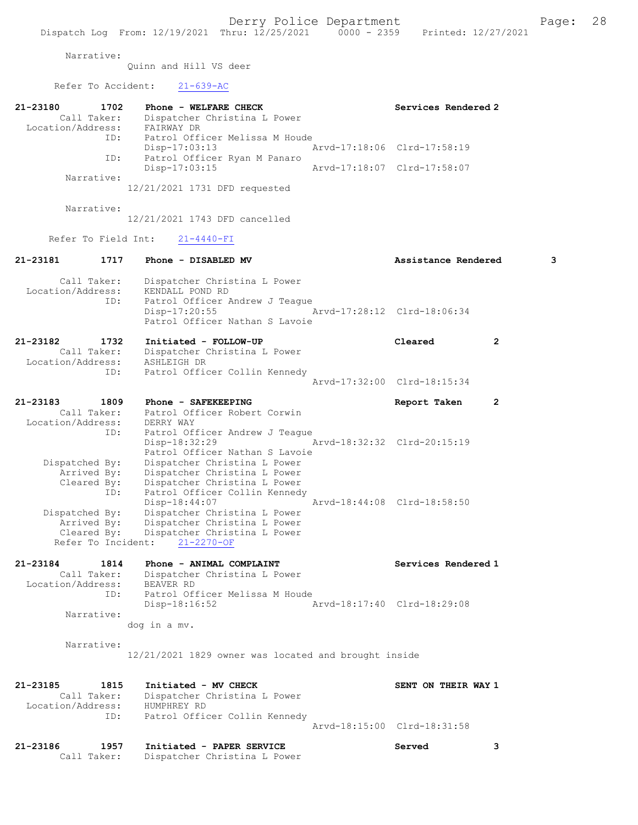Narrative:

Quinn and Hill VS deer

Refer To Accident: 21-639-AC

| 21-23180<br>1702           | Phone - WELFARE CHECK                                        | Services Rendered 2         |              |
|----------------------------|--------------------------------------------------------------|-----------------------------|--------------|
| Call Taker:                | Dispatcher Christina L Power                                 |                             |              |
| Location/Address:<br>ID:   | FAIRWAY DR<br>Patrol Officer Melissa M Houde                 |                             |              |
| ID:                        | $Disp-17:03:13$<br>Patrol Officer Ryan M Panaro              | Arvd-17:18:06 Clrd-17:58:19 |              |
|                            | Disp-17:03:15                                                | Arvd-17:18:07 Clrd-17:58:07 |              |
| Narrative:                 |                                                              |                             |              |
|                            | 12/21/2021 1731 DFD requested                                |                             |              |
| Narrative:                 |                                                              |                             |              |
|                            | 12/21/2021 1743 DFD cancelled                                |                             |              |
| Refer To Field Int:        | $21 - 4440 - FI$                                             |                             |              |
| 21-23181<br>1717           | Phone - DISABLED MV                                          | Assistance Rendered         | 3            |
| Call Taker:                | Dispatcher Christina L Power                                 |                             |              |
| Location/Address:          | KENDALL POND RD                                              |                             |              |
| ID:                        | Patrol Officer Andrew J Teague                               |                             |              |
|                            | $Disp-17:20:55$                                              | Arvd-17:28:12 Clrd-18:06:34 |              |
|                            | Patrol Officer Nathan S Lavoie                               |                             |              |
| 21-23182<br>1732           | Initiated - FOLLOW-UP                                        | Cleared                     | $\mathbf{2}$ |
| Call Taker:                | Dispatcher Christina L Power                                 |                             |              |
| Location/Address:          | ASHLEIGH DR                                                  |                             |              |
| ID:                        | Patrol Officer Collin Kennedy                                |                             |              |
|                            |                                                              | Arvd-17:32:00 Clrd-18:15:34 |              |
| 21-23183<br>1809           | Phone - SAFEKEEPING                                          |                             | 2            |
| Call Taker:                | Patrol Officer Robert Corwin                                 | Report Taken                |              |
| Location/Address:          | DERRY WAY                                                    |                             |              |
| ID:                        | Patrol Officer Andrew J Teague                               |                             |              |
|                            | Disp-18:32:29                                                | Arvd-18:32:32 Clrd-20:15:19 |              |
|                            | Patrol Officer Nathan S Lavoie                               |                             |              |
| Dispatched By:             | Dispatcher Christina L Power                                 |                             |              |
| Arrived By:                | Dispatcher Christina L Power                                 |                             |              |
| Cleared By:                | Dispatcher Christina L Power                                 |                             |              |
| ID:                        | Patrol Officer Collin Kennedy                                |                             |              |
|                            | Disp-18:44:07                                                | Arvd-18:44:08 Clrd-18:58:50 |              |
| Dispatched By:             | Dispatcher Christina L Power                                 |                             |              |
| Arrived By:<br>Cleared By: | Dispatcher Christina L Power<br>Dispatcher Christina L Power |                             |              |
| Refer To Incident:         | $21 - 2270 - OF$                                             |                             |              |
|                            |                                                              |                             |              |
| 21-23184<br>1814           | Phone - ANIMAL COMPLAINT                                     | Services Rendered 1         |              |
| Call Taker:                | Dispatcher Christina L Power                                 |                             |              |
| Location/Address:          | BEAVER RD                                                    |                             |              |
| ID:                        | Patrol Officer Melissa M Houde                               |                             |              |
|                            | Disp-18:16:52                                                | Arvd-18:17:40 Clrd-18:29:08 |              |
| Narrative:                 |                                                              |                             |              |
|                            | dog in a mv.                                                 |                             |              |
| Narrative:                 |                                                              |                             |              |
|                            | 12/21/2021 1829 owner was located and brought inside         |                             |              |
|                            |                                                              |                             |              |
|                            |                                                              |                             |              |
| $21 - 23185$<br>1815       | Initiated - MV CHECK                                         | SENT ON THEIR WAY 1         |              |
| Call Taker:                | Dispatcher Christina L Power                                 |                             |              |
| Location/Address:          | HUMPHREY RD                                                  |                             |              |
| ID:                        | Patrol Officer Collin Kennedy                                |                             |              |
|                            |                                                              | Arvd-18:15:00 Clrd-18:31:58 |              |
| 21-23186<br>1957           | Initiated - PAPER SERVICE                                    | Served                      | 3            |
| Call Taker:                | Dispatcher Christina L Power                                 |                             |              |
|                            |                                                              |                             |              |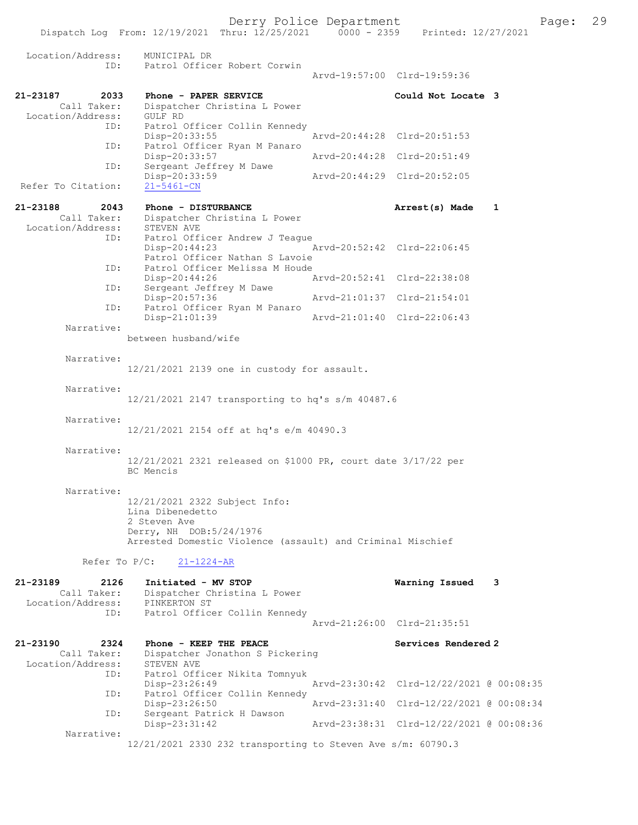Location/Address: MUNICIPAL DR ID: Patrol Officer Robert Corwin Arvd-19:57:00 Clrd-19:59:36 21-23187 2033 Phone - PAPER SERVICE Could Not Locate 3 Call Taker: Dispatcher Christina L Power<br>ion/Address: GULF RD Location/Address:<br>ID: Patrol Officer Collin Kennedy<br>Disp-20:33:55 Disp-20:33:55 Arvd-20:44:28 Clrd-20:51:53 ID: Patrol Officer Ryan M Panaro Disp-20:33:57 Arvd-20:44:28 Clrd-20:51:49<br>TD: Sergeant Jeffrey M Dawe Sergeant Jeffrey M Dawe<br>Disp-20:33:59 Disp-20:33:59 Arvd-20:44:29 Clrd-20:52:05 Refer To Citation: 21-23188 2043 Phone - DISTURBANCE 21-23188 2043 Phone - DISTURBANCE 21-23188 2043 Phone - Dispatcher Christina L Power Dispatcher Christina L Power<br>STEVEN AVE Location/Address: ID: Patrol Officer Andrew J Teague<br>Disp-20:44:23 Arvd-20:52:42 Clrd-22:06:45 Patrol Officer Nathan S Lavoie ID: Patrol Officer Melissa M Houde<br>Disp-20:44:26 Disp-20:44:26 Arvd-20:52:41 Clrd-22:38:08 ID: Sergeant Jeffrey M Dawe<br>Disp-20:57:36 Arvd-21:01:37 Clrd-21:54:01 ID: Patrol Officer Ryan M Panaro Disp-21:01:39 Arvd-21:01:40 Clrd-22:06:43 Narrative: between husband/wife Narrative: 12/21/2021 2139 one in custody for assault. Narrative: 12/21/2021 2147 transporting to hq's s/m 40487.6 Narrative: 12/21/2021 2154 off at hq's e/m 40490.3 Narrative: 12/21/2021 2321 released on \$1000 PR, court date 3/17/22 per BC Mencis Narrative: 12/21/2021 2322 Subject Info: Lina Dibenedetto 2 Steven Ave Derry, NH DOB:5/24/1976 Arrested Domestic Violence (assault) and Criminal Mischief Refer To P/C: 21-1224-AR 21-23189 2126 Initiated - MV STOP **Warning Issued 3**<br>Call Taker: Dispatcher Christina L Power Dispatcher Christina L Power<br>PINKERTON ST Location/Address: ID: Patrol Officer Collin Kennedy Arvd-21:26:00 Clrd-21:35:51 21-23190 2324 Phone - KEEP THE PEACE<br>Call Taker: Dispatcher Jonathon S Pickering<br>Call Taker: Dispatcher Jonathon S Pickering Dispatcher Jonathon S Pickering<br>STEVEN AVE Location/Address: ID: Patrol Officer Nikita Tomnyuk Disp-23:26:49 Arvd-23:30:42 Clrd-12/22/2021 @ 00:08:35 ID: Patrol Officer Collin Kennedy<br>Disp-23:26:50 Disp-23:26:50 Arvd-23:31:40 Clrd-12/22/2021 @ 00:08:34 ID: Sergeant Patrick H Dawson<br>Disp-23:31:42 Arvd-23:38:31 Clrd-12/22/2021 @ 00:08:36 Narrative: 12/21/2021 2330 232 transporting to Steven Ave s/m: 60790.3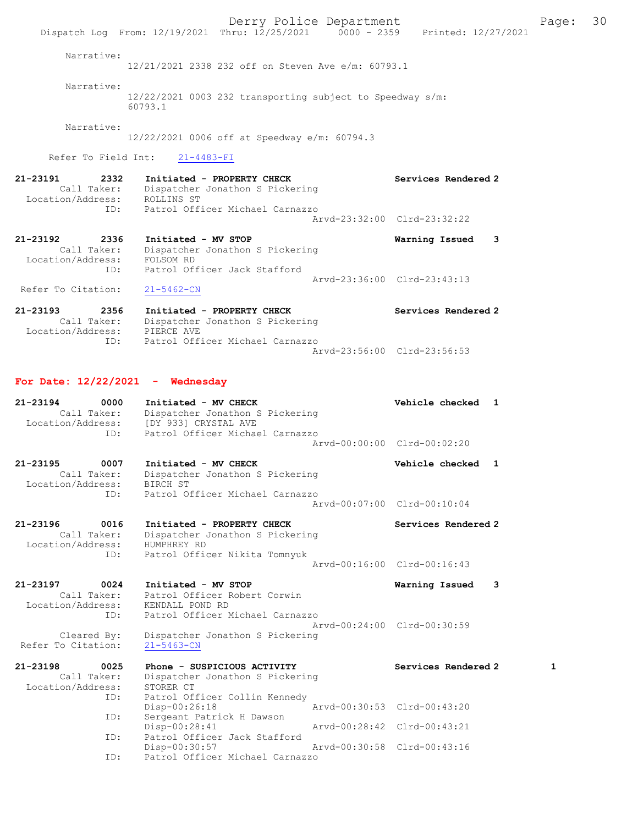Derry Police Department Fage: 30 Dispatch Log From: 12/19/2021 Thru: 12/25/2021 0000 - 2359 Printed: 12/27/2021 Narrative: 12/21/2021 2338 232 off on Steven Ave e/m: 60793.1 Narrative: 12/22/2021 0003 232 transporting subject to Speedway s/m: 60793.1 Narrative: 12/22/2021 0006 off at Speedway e/m: 60794.3 Refer To Field Int: 21-4483-FI 21-23191 2332 Initiated - PROPERTY CHECK Services Rendered 2 Call Taker: Dispatcher Jonathon S Pickering Location/Address: ROLLINS ST ID: Patrol Officer Michael Carnazzo Arvd-23:32:00 Clrd-23:32:22 21-23192 2336 Initiated - MV STOP Warning Issued 3 Call Taker: Dispatcher Jonathon S Pickering Location/Address: FOLSOM RD ID: Patrol Officer Jack Stafford Arvd-23:36:00 Clrd-23:43:13 Refer To Citation: 21-5462-CN 21-23193 2356 Initiated - PROPERTY CHECK Services Rendered 2 Call Taker: Dispatcher Jonathon S Pickering Location/Address: PIERCE AVE ID: Patrol Officer Michael Carnazzo Arvd-23:56:00 Clrd-23:56:53 For Date: 12/22/2021 - Wednesday 21-23194 0000 Initiated - MV CHECK Vehicle checked 1 Call Taker: Dispatcher Jonathon S Pickering Location/Address: [DY 933] CRYSTAL AVE ID: Patrol Officer Michael Carnazzo Arvd-00:00:00 Clrd-00:02:20 21-23195 0007 Initiated - MV CHECK Vehicle checked 1 Call Taker: Dispatcher Jonathon S Pickering Location/Address: BIRCH ST ID: Patrol Officer Michael Carnazzo Arvd-00:07:00 Clrd-00:10:04 21-23196 0016 Initiated - PROPERTY CHECK Services Rendered 2 Call Taker: Dispatcher Jonathon S Pickering Location/Address: HUMPHREY RD ID: Patrol Officer Nikita Tomnyuk Arvd-00:16:00 Clrd-00:16:43 21-23197 0024 Initiated - MV STOP Warning Issued 3 Call Taker: Patrol Officer Robert Corwin Location/Address: KENDALL POND RD ID: Patrol Officer Michael Carnazzo Arvd-00:24:00 Clrd-00:30:59 Cleared By: Dispatcher Jonathon S Pickering Refer To Citation: 21-5463-CN 21-23198 0025 Phone - SUSPICIOUS ACTIVITY Services Rendered 2 1 Call Taker: Dispatcher Jonathon S Pickering Location/Address: STORER CT ID: Patrol Officer Collin Kennedy Disp-00:26:18 Arvd-00:30:53 Clrd-00:43:20 ID: Sergeant Patrick H Dawson Disp-00:28:41 Arvd-00:28:42 Clrd-00:43:21<br>ID: Patrol Officer Jack Stafford Patrol Officer Jack Stafford Disp-00:30:57 Arvd-00:30:58 Clrd-00:43:16 ID: Patrol Officer Michael Carnazzo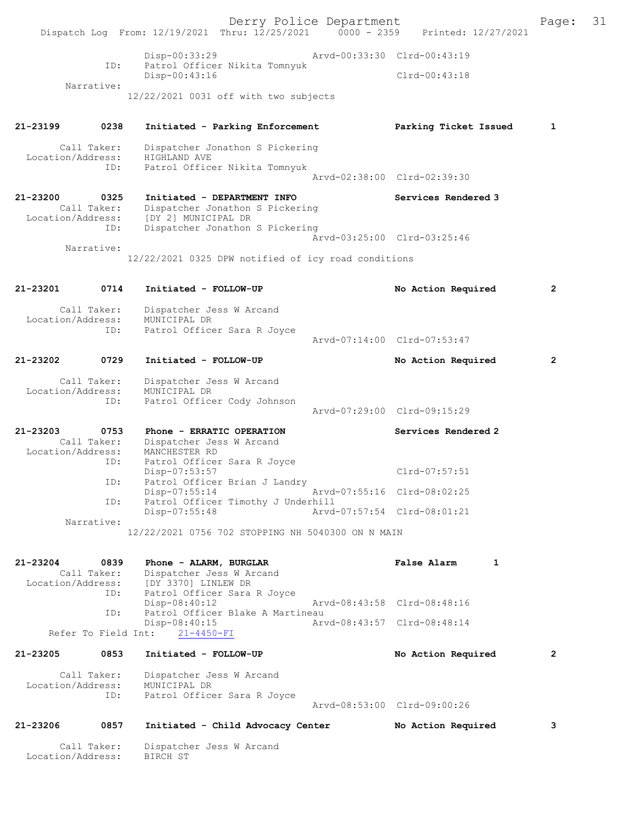Derry Police Department Fage: 31 Dispatch Log From: 12/19/2021 Thru: 12/25/2021 0000 - 2359 Printed: 12/27/2021 Disp-00:33:29 Arvd-00:33:30 Clrd-00:43:19 ID: Patrol Officer Nikita Tomnyuk Disp-00:43:16 Clrd-00:43:18 Narrative: 12/22/2021 0031 off with two subjects 21-23199 0238 Initiated - Parking Enforcement Parking Ticket Issued 1 Call Taker: Dispatcher Jonathon S Pickering Location/Address: HIGHLAND AVE ID: Patrol Officer Nikita Tomnyuk Arvd-02:38:00 Clrd-02:39:30 21-23200 0325 Initiated - DEPARTMENT INFO Services Rendered 3 Call Taker: Dispatcher Jonathon S Pickering Location/Address: [DY 2] MUNICIPAL DR ID: Dispatcher Jonathon S Pickering Arvd-03:25:00 Clrd-03:25:46 Narrative: 12/22/2021 0325 DPW notified of icy road conditions 21-23201 0714 Initiated - FOLLOW-UP No Action Required 2 Call Taker: Dispatcher Jess W Arcand<br>Location/Address: MUNICIPAL DR ess: MUNICIPAL DR<br>ID: Patrol Office Patrol Officer Sara R Joyce Arvd-07:14:00 Clrd-07:53:47 21-23202 0729 Initiated - FOLLOW-UP No Action Required 2 Call Taker: Dispatcher Jess W Arcand Location/Address: MUNICIPAL DR ID: Patrol Officer Cody Johnson Arvd-07:29:00 Clrd-09:15:29 21-23203 0753 Phone - ERRATIC OPERATION Services Rendered 2 Call Taker: Dispatcher Jess W Arcand Location/Address: MANCHESTER RD<br>ID: Patrol Officer Patrol Officer Sara R Joyce Disp-07:53:57 Clrd-07:57:51 ID: Patrol Officer Brian J Landry<br>Disp-07:55:14 Disp-07:55:14 Arvd-07:55:16 Clrd-08:02:25<br>ID: Patrol Officer Timothy J Underhill Patrol Officer Timothy J Underhill<br>Disp-07:55:48 Arvd Arvd-07:57:54 Clrd-08:01:21 Narrative: 12/22/2021 0756 702 STOPPING NH 5040300 ON N MAIN 21-23204 0839 Phone - ALARM, BURGLAR False Alarm 1 Call Taker: Dispatcher Jess W Arcand<br>Location/Address: [DY 3370] LINLEW DR [DY 3370] LINLEW DR ID: Patrol Officer Sara R Joyce Disp-08:40:12 Arvd-08:43:58 Clrd-08:48:16<br>ID: Patrol Officer Blake A Martineau Patrol Officer Blake A Martineau<br>Disp-08:40:15 Art Disp-08:40:15 Arvd-08:43:57 Clrd-08:48:14 Refer To Field Int: 21-4450-FI 21-23205 0853 Initiated - FOLLOW-UP No Action Required 2 Call Taker: Dispatcher Jess W Arcand Location/Address: MUNICIPAL DR ID: Patrol Officer Sara R Joyce Arvd-08:53:00 Clrd-09:00:26 21-23206 0857 Initiated - Child Advocacy Center No Action Required 3 Call Taker: Dispatcher Jess W Arcand Location/Address: BIRCH ST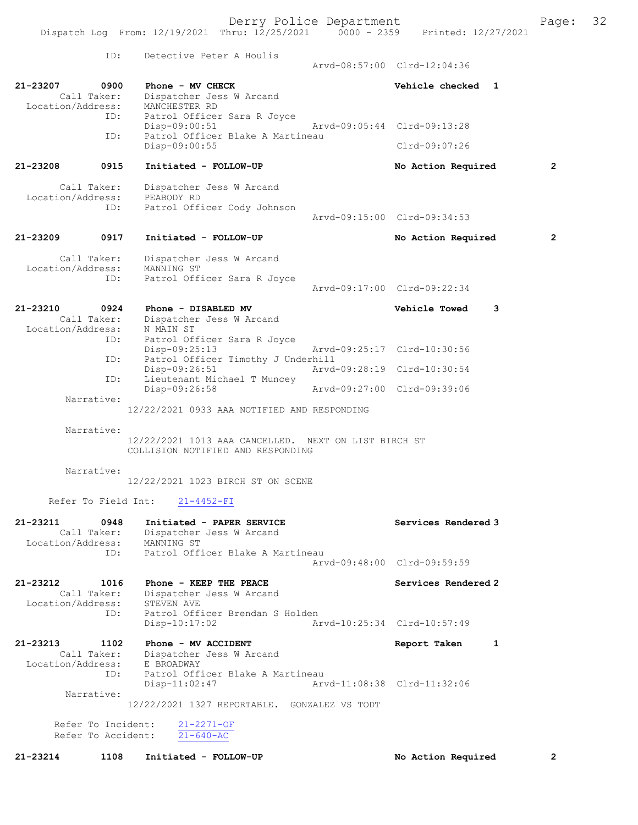Derry Police Department Form Page: 32 Dispatch Log From: 12/19/2021 Thru: 12/25/2021 0000 - 2359 Printed: 12/27/2021 ID: Detective Peter A Houlis Arvd-08:57:00 Clrd-12:04:36 21-23207 0900 Phone - MV CHECK Vehicle checked 1 Call Taker: Dispatcher Jess W Arcand Location/Address: MANCHESTER RD<br>ID: Patrol Officer Patrol Officer Sara R Joyce<br>Disp-09:00:51 Disp-09:00:51 Arvd-09:05:44 Clrd-09:13:28<br>The Patrol Officer Blake A Martineau Patrol Officer Blake A Martineau Disp-09:00:55 Clrd-09:07:26 21-23208 0915 Initiated - FOLLOW-UP No Action Required 2 Call Taker: Dispatcher Jess W Arcand Location/Address: PEABODY RD ID: Patrol Officer Cody Johnson Arvd-09:15:00 Clrd-09:34:53 21-23209 0917 Initiated - FOLLOW-UP No Action Required 2 Call Taker: Dispatcher Jess W Arcand Location/Address: MANNING ST ID: Patrol Officer Sara R Joyce Arvd-09:17:00 Clrd-09:22:34 21-23210 0924 Phone - DISABLED MV Vehicle Towed 3 Call Taker: Dispatcher Jess W Arcand -23210 --<br>Call Taker: Dispatcuer<br>Location/Address: N MAIN ST ID: Patrol Officer Sara R Joyce<br>Disp-09:25:13 Disp-09:25:13 Arvd-09:25:17 Clrd-10:30:56 ID: Patrol Officer Timothy J Underhill Disp-09:26:51 <br>ID: Lieutenant Michael T Muncey <br>D: Lieutenant Michael T Muncey Lieutenant Michael T Muncey<br>Disp-09:26:58 Disp-09:26:58 Arvd-09:27:00 Clrd-09:39:06 Narrative: 12/22/2021 0933 AAA NOTIFIED AND RESPONDING Narrative: 12/22/2021 1013 AAA CANCELLED. NEXT ON LIST BIRCH ST COLLISION NOTIFIED AND RESPONDING Narrative: 12/22/2021 1023 BIRCH ST ON SCENE Refer To Field Int: 21-4452-FI 21-23211 0948 Initiated - PAPER SERVICE Services Rendered 3 Call Taker: Dispatcher Jess W Arcand Location/Address: MANNING ST ID: Patrol Officer Blake A Martineau Arvd-09:48:00 Clrd-09:59:59 21-23212 1016 Phone - KEEP THE PEACE No. 2016 Services Rendered 2 Call Taker: Dispatcher Jess W Arcand Location/Address: STEVEN AVE ID: Patrol Officer Brendan S Holden Disp-10:17:02 Arvd-10:25:34 Clrd-10:57:49 21-23213 1102 Phone - MV ACCIDENT Report Taken 1 Call Taker: Dispatcher Jess W Arcand Call Taker: Interaction:<br>Location/Address: E BROADWAY<br>ID: Patrol Off Patrol Officer Blake A Martineau Disp-11:02:47 Arvd-11:08:38 Clrd-11:32:06 Narrative: 12/22/2021 1327 REPORTABLE. GONZALEZ VS TODT Refer To Incident:  $\frac{21-2271-OF}{21-640-AC}$ Refer To Accident:

21-23214 1108 Initiated - FOLLOW-UP No Action Required 2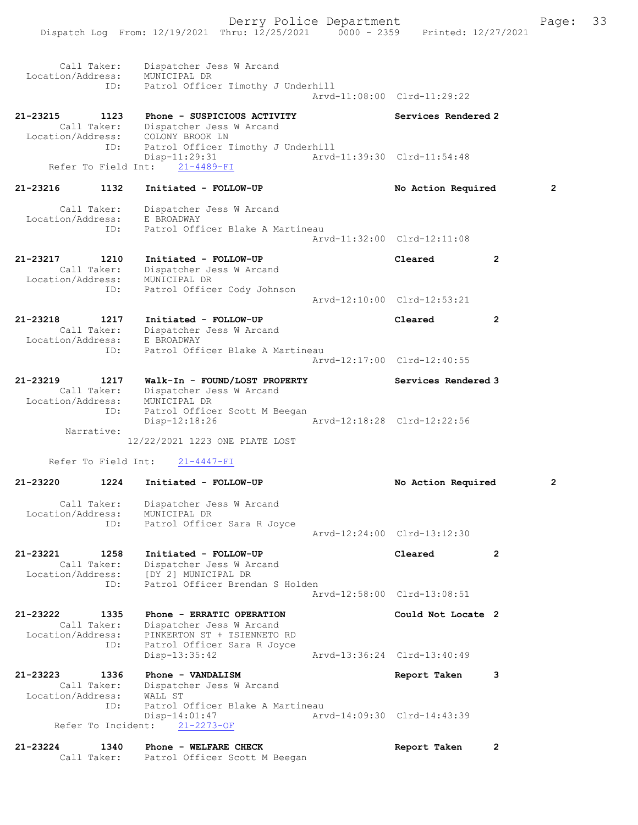|                               |                            | Dispatch Log From: 12/19/2021 Thru: 12/25/2021 0000 - 2359 Printed: 12/27/2021                             | Derry Police Department |                             |                | Page:          | 33 |
|-------------------------------|----------------------------|------------------------------------------------------------------------------------------------------------|-------------------------|-----------------------------|----------------|----------------|----|
| Location/Address:             | Call Taker:<br>ID:         | Dispatcher Jess W Arcand<br>MUNICIPAL DR<br>Patrol Officer Timothy J Underhill                             |                         | Arvd-11:08:00 Clrd-11:29:22 |                |                |    |
| 21-23215                      | 1123<br>Call Taker:        | Phone - SUSPICIOUS ACTIVITY<br>Dispatcher Jess W Arcand<br>Location/Address: COLONY BROOK LN               |                         | Services Rendered 2         |                |                |    |
|                               | ID:<br>Refer To Field Int: | Patrol Officer Timothy J Underhill<br>$Disp-11:29:31$<br>21-4489-FI                                        |                         | Arvd-11:39:30 Clrd-11:54:48 |                |                |    |
| 21-23216                      | 1132                       | Initiated - FOLLOW-UP                                                                                      |                         | No Action Required          |                | $\overline{2}$ |    |
| Location/Address:             | Call Taker:<br>ID:         | Dispatcher Jess W Arcand<br>E BROADWAY<br>Patrol Officer Blake A Martineau                                 |                         | Arvd-11:32:00 Clrd-12:11:08 |                |                |    |
| 21-23217<br>Location/Address: | 1210<br>Call Taker:        | Initiated - FOLLOW-UP<br>Dispatcher Jess W Arcand<br>MUNICIPAL DR                                          |                         | Cleared                     | $\overline{2}$ |                |    |
|                               | ID:                        | Patrol Officer Cody Johnson                                                                                |                         | Arvd-12:10:00 Clrd-12:53:21 |                |                |    |
| 21-23218<br>Location/Address: | 1217<br>Call Taker:<br>ID: | Initiated - FOLLOW-UP<br>Dispatcher Jess W Arcand<br>E BROADWAY<br>Patrol Officer Blake A Martineau        |                         | Cleared                     | $\overline{2}$ |                |    |
|                               |                            |                                                                                                            |                         | Arvd-12:17:00 Clrd-12:40:55 |                |                |    |
| 21-23219<br>Location/Address: | 1217<br>Call Taker:<br>ID: | Walk-In - FOUND/LOST PROPERTY<br>Dispatcher Jess W Arcand<br>MUNICIPAL DR<br>Patrol Officer Scott M Beegan |                         | Services Rendered 3         |                |                |    |
|                               | Narrative:                 | $Disp-12:18:26$<br>12/22/2021 1223 ONE PLATE LOST                                                          |                         | Arvd-12:18:28 Clrd-12:22:56 |                |                |    |
|                               | Refer To Field Int:        | $21 - 4447 - FI$                                                                                           |                         |                             |                |                |    |
| 21-23220                      | 1224                       | Initiated - FOLLOW-UP                                                                                      |                         | No Action Required          |                | $\overline{2}$ |    |
| Location/Address:             | Call Taker:                | Dispatcher Jess W Arcand<br>MUNICIPAL DR                                                                   |                         |                             |                |                |    |

Arvd-12:24:00 Clrd-13:12:30

| 21-23221                           | 1258<br>Call Taker:<br>ID: | Initiated - FOLLOW-UP<br>Dispatcher Jess W Arcand<br>Location/Address: [DY 2] MUNICIPAL DR<br>Patrol Officer Brendan S Holden |                             | Cleared                     | 2 |
|------------------------------------|----------------------------|-------------------------------------------------------------------------------------------------------------------------------|-----------------------------|-----------------------------|---|
|                                    |                            |                                                                                                                               |                             | Arvd-12:58:00 Clrd-13:08:51 |   |
| 21-23222 1335<br>Location/Address: | Call Taker:<br>ID:         | Phone - ERRATIC OPERATION<br>Dispatcher Jess W Arcand<br>PINKERTON ST + TSIENNETO RD<br>Patrol Officer Sara R Joyce           |                             | Could Not Locate 2          |   |
|                                    |                            | $Disp-13:35:42$                                                                                                               |                             | Arvd-13:36:24 Clrd-13:40:49 |   |
| 21-23223<br>Location/Address:      | 1336<br>Call Taker:        | Phone - VANDALISM<br>Dispatcher Jess W Arcand<br>WALL ST                                                                      |                             | Report Taken                | 3 |
|                                    | ID:                        | Patrol Officer Blake A Martineau<br>$Disp-14:01:47$<br>Refer To Incident: 21-2273-OF                                          | Arvd-14:09:30 Clrd-14:43:39 |                             |   |

ID: Patrol Officer Sara R Joyce

21-23224 1340 Phone - WELFARE CHECK Report Taken 2 Call Taker: Patrol Officer Scott M Beegan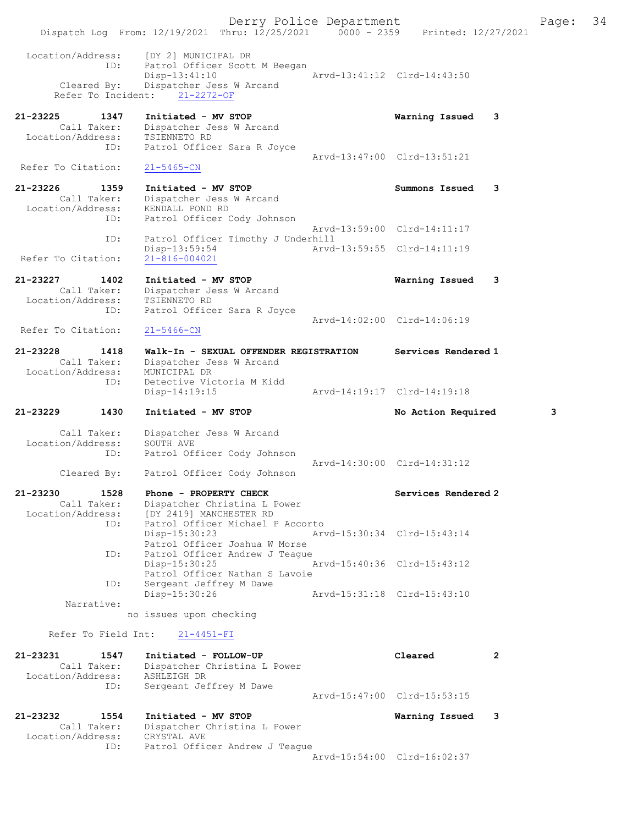Derry Police Department Fage: 34 Dispatch Log From: 12/19/2021 Thru: 12/25/2021 0000 - 2359 Printed: 12/27/2021 Location/Address: [DY 2] MUNICIPAL DR ID: Patrol Officer Scott M Beegan Disp-13:41:10 <br>Cleared By: Dispatcher Jess W Arcand Arvd-13:41:12 Clrd-14:43:50 Dispatcher Jess W Arcand Refer To Incident: 21-2272-OF 21-23225 1347 Initiated - MV STOP Warning Issued 3 Call Taker: Dispatcher Jess W Arcand Location/Address: TSIENNETO RD ID: Patrol Officer Sara R Joyce Arvd-13:47:00 Clrd-13:51:21 Refer To Citation: 21-5465-CN 21-23226 1359 Initiated - MV STOP Summons Issued 3 Call Taker: Dispatcher Jess W Arcand<br>Companion/Address: KENDALL POND RD Location/Address: ID: Patrol Officer Cody Johnson Arvd-13:59:00 Clrd-14:11:17 ID: Patrol Officer Timothy J Underhill<br>Disp-13:59:54 Arvd- Disp-13:59:54 Arvd-13:59:55 Clrd-14:11:19 Refer To Citation: 21-816-004021 21-23227 1402 Initiated - MV STOP Warning Issued 3 Call Taker: Dispatcher Jess W Arcand Location/Address: TSIENNETO RD ID: Patrol Officer Sara R Joyce Arvd-14:02:00 Clrd-14:06:19 Refer To Citation: 21-5466-CN 21-23228 1418 Walk-In - SEXUAL OFFENDER REGISTRATION Services Rendered 1 Call Taker: Dispatcher Jess W Arcand Location/Address: MUNICIPAL DR ID: Detective Victoria M Kidd Disp-14:19:15 Arvd-14:19:17 Clrd-14:19:18 21-23229 1430 Initiated - MV STOP No Action Required 3 Call Taker: Dispatcher Jess W Arcand Location/Address: SOUTH AVE ID: Patrol Officer Cody Johnson Arvd-14:30:00 Clrd-14:31:12<br>Cleared By: Patrol Officer Cody Johnson Patrol Officer Cody Johnson 21-23230 1528 Phone - PROPERTY CHECK Services Rendered 2 Call Taker: Dispatcher Christina L Power Location/Address: [DY 2419] MANCHESTER RD ID: Patrol Officer Michael P Accorto<br>Disp-15:30:23 Arv Disp-15:30:23 Arvd-15:30:34 Clrd-15:43:14 Patrol Officer Joshua W Morse ID: Patrol Officer Andrew J Teague<br>
Disp-15:30:25 Disp-15:30:25 Arvd-15:40:36 Clrd-15:43:12 Patrol Officer Nathan S Lavoie<br>TD: Sergeant Jeffrey M Dawe Sergeant Jeffrey M Dawe<br>Disp-15:30:26 Disp-15:30:26 Arvd-15:31:18 Clrd-15:43:10 Narrative: no issues upon checking Refer To Field Int: 21-4451-FI 21-23231 1547 Initiated - FOLLOW-UP Cleared 2 Call Taker: Dispatcher Christina L Power Location/Address: ASHLEIGH DR ID: Sergeant Jeffrey M Dawe Arvd-15:47:00 Clrd-15:53:15 21-23232 1554 Initiated - MV STOP Warning Issued 3 Call Taker: Dispatcher Christina L Power<br>ation/Address: CRYSTAL AVE Location/Address:<br>ID: Patrol Officer Andrew J Teague Arvd-15:54:00 Clrd-16:02:37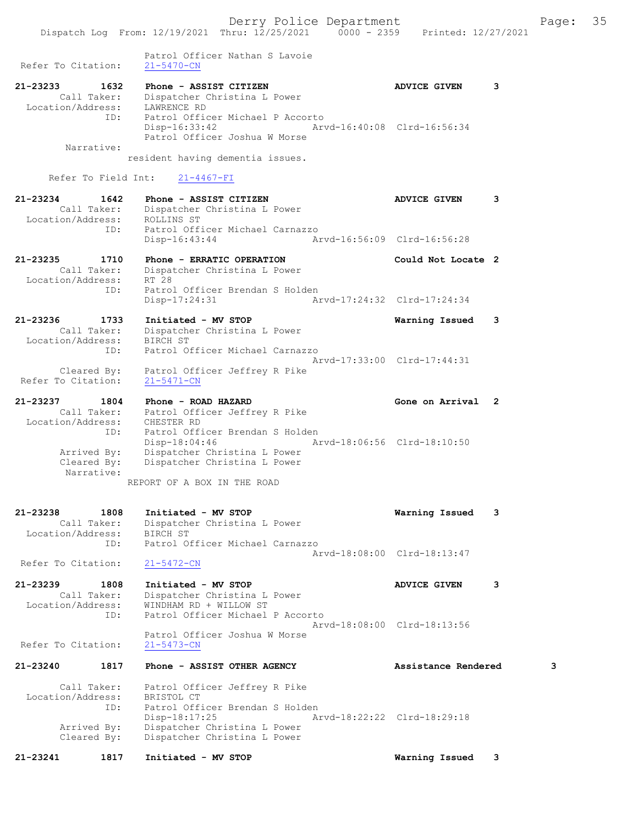Dispatch Log From: 12/19/2021 Thru: 12/25/2021 0000 - 2359 Printed: 12/27/2021 Patrol Officer Nathan S Lavoie<br>21-5470-CN Refer To Citation: 21-23233 1632 Phone - ASSIST CITIZEN ADVICE GIVEN 3 Call Taker: Dispatcher Christina L Power Location/Address: LAWRENCE RD ID: Patrol Officer Michael P Accorto Disp-16:33:42 Arvd-16:40:08 Clrd-16:56:34 Patrol Officer Joshua W Morse Narrative: resident having dementia issues. Refer To Field Int: 21-4467-FI 21-23234 1642 Phone - ASSIST CITIZEN ADVICE GIVEN 3 Call Taker: Dispatcher Christina L Power Location/Address: ROLLINS ST ID: Patrol Officer Michael Carnazzo Disp-16:43:44 Arvd-16:56:09 Clrd-16:56:28 21-23235 1710 Phone - ERRATIC OPERATION Could Not Locate 2 Call Taker: Dispatcher Christina L Power Location/Address: RT 28 ID: Patrol Officer Brendan S Holden Disp-17:24:31 Arvd-17:24:32 Clrd-17:24:34 21-23236 1733 Initiated - MV STOP Warning Issued 3 Call Taker: Dispatcher Christina L Power Location/Address: BIRCH ST ID: Patrol Officer Michael Carnazzo Arvd-17:33:00 Clrd-17:44:31 Cleared By: Patrol Officer Jeffrey R Pike Refer To Citation: 21-5471-CN 21-23237 1804 Phone - ROAD HAZARD Gone on Arrival 2 Call Taker: Patrol Officer Jeffrey R Pike Location/Address: CHESTER RD ID: Patrol Officer Brendan S Holden Disp-18:04:46 Arvd-18:06:56 Clrd-18:10:50 Arrived By: Dispatcher Christina L Power Cleared By: Dispatcher Christina L Power Narrative: REPORT OF A BOX IN THE ROAD 21-23238 1808 Initiated - MV STOP Warning Issued 3 Call Taker: Dispatcher Christina L Power Location/Address: BIRCH ST ID: Patrol Officer Michael Carnazzo Arvd-18:08:00 Clrd-18:13:47 Refer To Citation: 21-5472-CN 21-23239 1808 Initiated - MV STOP ADVICE GIVEN 3 Call Taker: Dispatcher Christina L Power Location/Address: WINDHAM RD + WILLOW ST Patrol Officer Michael P Accorto Arvd-18:08:00 Clrd-18:13:56 Patrol Officer Joshua W Morse Refer To Citation: 21-5473-CN 21-23240 1817 Phone - ASSIST OTHER AGENCY Assistance Rendered 3 Call Taker: Patrol Officer Jeffrey R Pike Location/Address: BRISTOL CT ID: Patrol Officer Brendan S Holden<br>Disp-18:17:25 Am Disp-18:17:25 Arvd-18:22:22 Clrd-18:29:18 Arrived By: Dispatcher Christina L Power Cleared By: Dispatcher Christina L Power

21-23241 1817 Initiated - MV STOP Warning Issued 3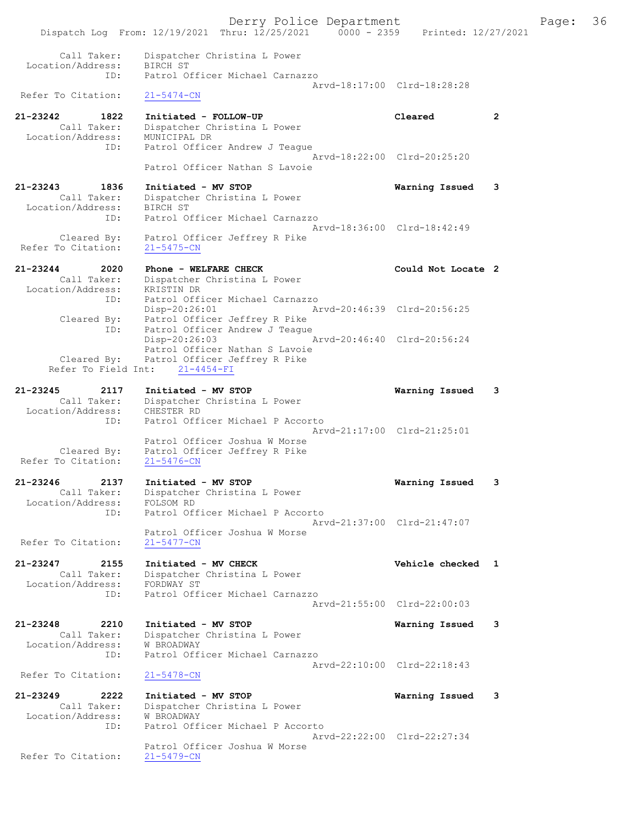Derry Police Department Fage: 36 Dispatch Log From: 12/19/2021 Thru: 12/25/2021 0000 - 2359 Printed: 12/27/2021 Call Taker: Dispatcher Christina L Power Location/Address: BIRCH ST ID: Patrol Officer Michael Carnazzo Arvd-18:17:00 Clrd-18:28:28 Refer To Citation: 21-5474-CN 21-23242 1822 Initiated - FOLLOW-UP Cleared 2 Call Taker: Dispatcher Christina L Power Location/Address: MUNICIPAL DR ID: Patrol Officer Andrew J Teague Arvd-18:22:00 Clrd-20:25:20 Patrol Officer Nathan S Lavoie 21-23243 1836 Initiated - MV STOP Warning Issued 3 Call Taker: Dispatcher Christina L Power Location/Address: BIRCH ST ID: Patrol Officer Michael Carnazzo Arvd-18:36:00 Clrd-18:42:49 Cleared By: Patrol Officer Jeffrey R Pike Refer To Citation: 21-5475-CN 21-23244 2020 Phone - WELFARE CHECK COULD Could Not Locate 2 Call Taker: Dispatcher Christina L Power Location/Address: KRISTIN DR ID: Patrol Officer Michael Carnazzo Disp-20:26:01 Arvd-20:46:39 Clrd-20:56:25 Cleared By: Patrol Officer Jeffrey R Pike ID: Patrol Officer Andrew J Teague Disp-20:26:03 Arvd-20:46:40 Clrd-20:56:24 Patrol Officer Nathan S Lavoie Cleared By: Patrol Officer Jeffrey R Pike Refer To Field Int: 21-4454-FI 21-23245 2117 Initiated - MV STOP Warning Issued 3 Call Taker: Dispatcher Christina L Power Location/Address: CHESTER RD ID: Patrol Officer Michael P Accorto Arvd-21:17:00 Clrd-21:25:01 Patrol Officer Joshua W Morse Cleared By: Patrol Officer Jeffrey R Pike Refer To Citation: 21-5476-CN 21-23246 2137 Initiated - MV STOP Warning Issued 3 Call Taker: Dispatcher Christina L Power Location/Address: FOLSOM RD ID: Patrol Officer Michael P Accorto Arvd-21:37:00 Clrd-21:47:07 Patrol Officer Joshua W Morse Refer To Citation: 21-5477-CN 21-23247 2155 Initiated - MV CHECK Vehicle checked 1 Call Taker: Dispatcher Christina L Power Location/Address: FORDWAY ST ID: Patrol Officer Michael Carnazzo Arvd-21:55:00 Clrd-22:00:03 21-23248 2210 Initiated - MV STOP Warning Issued 3 Call Taker: Dispatcher Christina L Power Location/Address: W BROADWAY ID: Patrol Officer Michael Carnazzo Arvd-22:10:00 Clrd-22:18:43 Refer To Citation: 21-5478-CN 21-23249 2222 Initiated - MV STOP Warning Issued 3 Call Taker: Dispatcher Christina L Power Location/Address: W BROADWAY ID: Patrol Officer Michael P Accorto Arvd-22:22:00 Clrd-22:27:34 Patrol Officer Joshua W Morse Refer To Citation: 21-5479-CN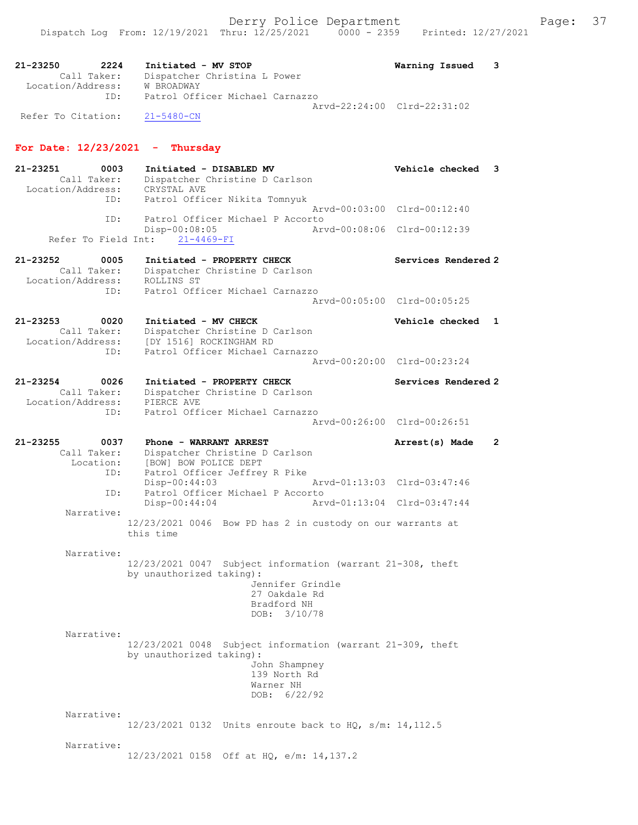21-23250 2224 Initiated - MV STOP Warning Issued 3 Call Taker: Dispatcher Christina L Power Location/Address: W BROADWAY ID: Patrol Officer Michael Carnazzo Arvd-22:24:00 Clrd-22:31:02 Refer To Citation: 21-5480-CN

# For Date:  $12/23/2021$  - Thursday

21-23251 0003 Initiated - DISABLED MV Vehicle checked 3 Call Taker: Dispatcher Christine D Carlson Location/Address: CRYSTAL AVE ID: Patrol Officer Nikita Tomnyuk Arvd-00:03:00 Clrd-00:12:40 ID: Patrol Officer Michael P Accorto Disp-00:08:05 Arvd-00:08:06 Clrd-00:12:39 Refer To Field Int: 21-4469-FI 21-23252 0005 Initiated - PROPERTY CHECK Services Rendered 2 Call Taker: Dispatcher Christine D Carlson Location/Address: ROLLINS ST ID: Patrol Officer Michael Carnazzo Arvd-00:05:00 Clrd-00:05:25 21-23253 0020 Initiated - MV CHECK Vehicle checked 1 Call Taker: Dispatcher Christine D Carlson Location/Address: [DY 1516] ROCKINGHAM RD ID: Patrol Officer Michael Carnazzo Arvd-00:20:00 Clrd-00:23:24 21-23254 0026 Initiated - PROPERTY CHECK Services Rendered 2 Call Taker: Dispatcher Christine D Carlson Location/Address: PIERCE AVE ID: Patrol Officer Michael Carnazzo Arvd-00:26:00 Clrd-00:26:51 21-23255 0037 Phone - WARRANT ARREST 21-23255 21-23255 Call Taker: Dispatcher Christine D Carlson Location: [BOW] BOW POLICE DEPT ID: Patrol Officer Jeffrey R Pike Disp-00:44:03 Arvd-01:13:03 Clrd-03:47:46 ID: Patrol Officer Michael P Accorto<br>Disp-00:44:04 Arv Disp-00:44:04 Arvd-01:13:04 Clrd-03:47:44 Narrative: 12/23/2021 0046 Bow PD has 2 in custody on our warrants at this time Narrative: 12/23/2021 0047 Subject information (warrant 21-308, theft by unauthorized taking): Jennifer Grindle 27 Oakdale Rd Bradford NH DOB: 3/10/78 Narrative: 12/23/2021 0048 Subject information (warrant 21-309, theft by unauthorized taking): John Shampney 139 North Rd Warner NH DOB: 6/22/92 Narrative: 12/23/2021 0132 Units enroute back to HQ, s/m: 14,112.5 Narrative: 12/23/2021 0158 Off at HQ, e/m: 14,137.2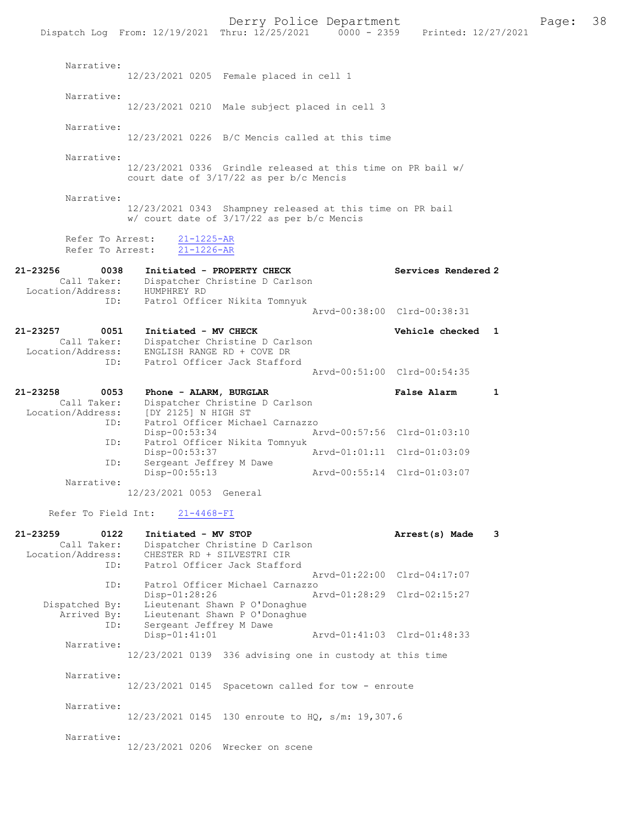Derry Police Department Fage: 38 Dispatch Log From: 12/19/2021 Thru: 12/25/2021 0000 - 2359 Printed: 12/27/2021 Narrative: 12/23/2021 0205 Female placed in cell 1 Narrative: 12/23/2021 0210 Male subject placed in cell 3 Narrative: 12/23/2021 0226 B/C Mencis called at this time Narrative: 12/23/2021 0336 Grindle released at this time on PR bail w/ court date of 3/17/22 as per b/c Mencis Narrative: 12/23/2021 0343 Shampney released at this time on PR bail w/ court date of 3/17/22 as per b/c Mencis Refer To Arrest: 21-1225-AR Refer To Arrest: 21-1226-AR 21-23256 0038 Initiated - PROPERTY CHECK Services Rendered 2 Call Taker: Dispatcher Christine D Carlson Location/Address: HUMPHREY RD ess: humrnnei iv<br>ID: Patrol Officer Nikita Tomnyuk Arvd-00:38:00 Clrd-00:38:31 21-23257 0051 Initiated - MV CHECK Vehicle checked 1 Call Taker: Dispatcher Christine D Carlson Location/Address: ENGLISH RANGE RD + COVE DR ID: Patrol Officer Jack Stafford Arvd-00:51:00 Clrd-00:54:35 21-23258 0053 Phone - ALARM, BURGLAR False Alarm 1 Call Taker: Dispatcher Christine D Carlson<br>Location/Address: [DY 2125] N HIGH ST Location/Address: [DY 2125] N HIGH ST ID: Patrol Officer Michael Carnazzo Disp-00:53:34 Arvd-00:57:56 Clrd-01:03:10 ID: Patrol Officer Nikita Tomnyuk<br>Disp-00:53:37 Mrvd-01:01:11 Clrd-01:03:09 Disp-00:53:37 Arvd-01:01:11 Clrd-01:03:09 ID: Sergeant Jeffrey M Dawe Disp-00:55:13 Arvd-00:55:14 Clrd-01:03:07 Narrative: 12/23/2021 0053 General Refer To Field Int: 21-4468-FI 21-23259 0122 Initiated - MV STOP Arrest(s) Made 3 Call Taker: Dispatcher Christine D Carlson Location/Address: CHESTER RD + SILVESTRI CIR ID: Patrol Officer Jack Stafford Arvd-01:22:00 Clrd-04:17:07<br>TD: Patrol Officer Michael Carnazzo ID: Patrol Officer Michael Carnazzo Disp-01:28:26 Arvd-01:28:29 Clrd-02:15:27 Dispatched By: Lieutenant Shawn P O'Donaghue Arrived By: Lieutenant Shawn P O'Donaghue ID: Sergeant Jeffrey M Dawe Disp-01:41:01 Arvd-01:41:03 Clrd-01:48:33 Narrative: 12/23/2021 0139 336 advising one in custody at this time Narrative: 12/23/2021 0145 Spacetown called for tow - enroute Narrative: 12/23/2021 0145 130 enroute to HQ, s/m: 19,307.6 Narrative:

12/23/2021 0206 Wrecker on scene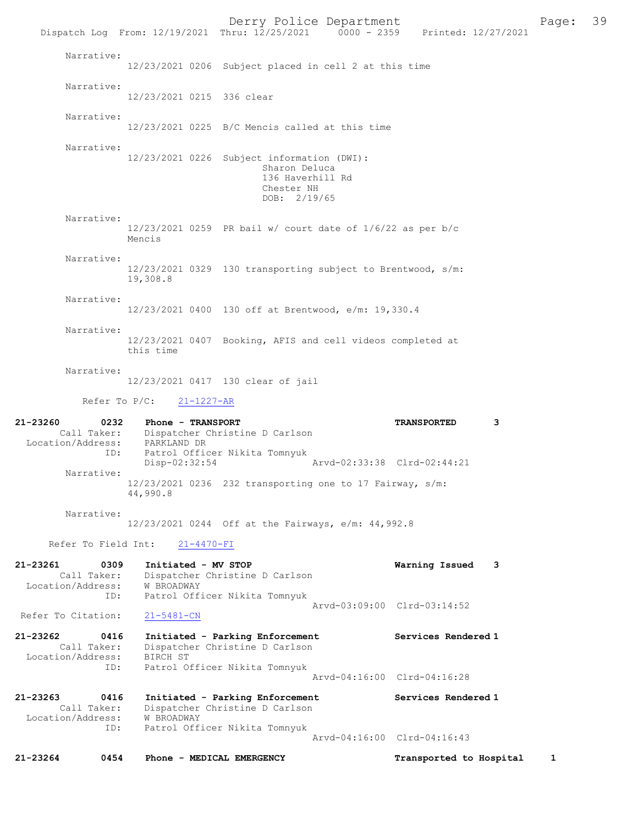Derry Police Department Fage: 39 Dispatch Log From:  $12/19/2021$  Thru:  $12/25/2021$  0000 - 2359 Printed:  $12/27/2021$  Narrative: 12/23/2021 0206 Subject placed in cell 2 at this time Narrative: 12/23/2021 0215 336 clear Narrative: 12/23/2021 0225 B/C Mencis called at this time Narrative: 12/23/2021 0226 Subject information (DWI): Sharon Deluca 136 Haverhill Rd Chester NH DOB: 2/19/65 Narrative:  $12/23/2021$  0259 PR bail w/ court date of  $1/6/22$  as per b/c Mencis Narrative: 12/23/2021 0329 130 transporting subject to Brentwood, s/m: 19,308.8 Narrative: 12/23/2021 0400 130 off at Brentwood, e/m: 19,330.4 Narrative: 12/23/2021 0407 Booking, AFIS and cell videos completed at this time Narrative: 12/23/2021 0417 130 clear of jail Refer To P/C: 21-1227-AR 21-23260 0232 Phone - TRANSPORT TRANSPORTED 3 Call Taker: Dispatcher Christine D Carlson Location/Address: PARKLAND DR ID: Patrol Officer Nikita Tomnyuk Disp-02:32:54 Narrative: 12/23/2021 0236 232 transporting one to 17 Fairway, s/m: 44,990.8 Narrative: 12/23/2021 0244 Off at the Fairways, e/m: 44,992.8 Refer To Field Int: 21-4470-FI 21-23261 0309 Initiated - MV STOP Warning Issued 3 Call Taker: Dispatcher Christine D Carlson Location/Address: W BROADWAY ID: Patrol Officer Nikita Tomnyuk Arvd-03:09:00 Clrd-03:14:52<br>
21-5481-CN Refer To Citation: 21-23262 0416 Initiated - Parking Enforcement Services Rendered 1 Call Taker: Dispatcher Christine D Carlson Location/Address: BIRCH ST ID: Patrol Officer Nikita Tomnyuk Arvd-04:16:00 Clrd-04:16:28 21-23263 0416 Initiated - Parking Enforcement Services Rendered 1 Call Taker: Dispatcher Christine D Carlson Location/Address: W BROADWAY ID: Patrol Officer Nikita Tomnyuk Arvd-04:16:00 Clrd-04:16:43 21-23264 0454 Phone - MEDICAL EMERGENCY Transported to Hospital 1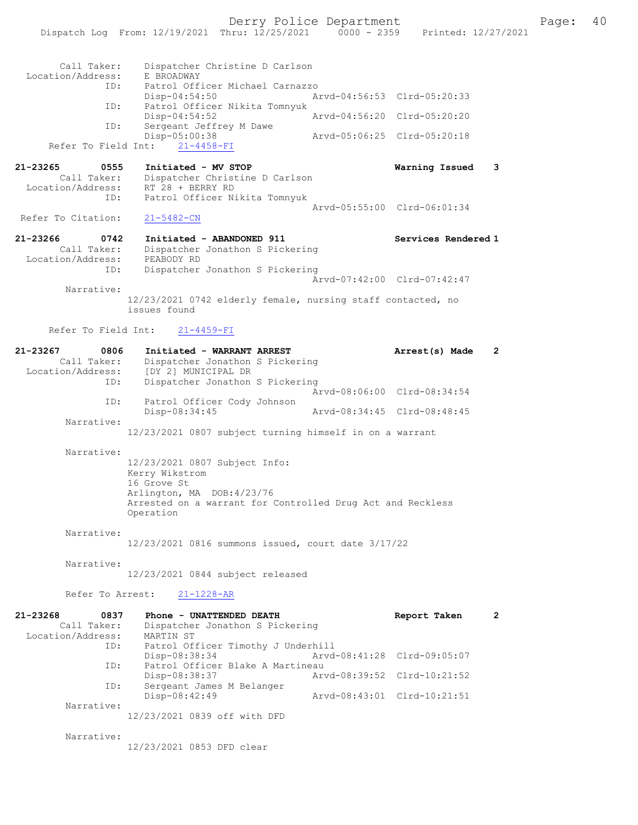Derry Police Department Fage: 40

|                                  | Dispatch Log From: 12/19/2021 Thru: 12/25/2021                              | $0000 - 2359$               |                             | Printed: 12/27/2021 |
|----------------------------------|-----------------------------------------------------------------------------|-----------------------------|-----------------------------|---------------------|
|                                  |                                                                             |                             |                             |                     |
| Call Taker:                      | Dispatcher Christine D Carlson                                              |                             |                             |                     |
| Location/Address:                | E BROADWAY                                                                  |                             |                             |                     |
| ID:                              | Patrol Officer Michael Carnazzo                                             |                             |                             |                     |
|                                  | $Disp-04:54:50$                                                             | Aryd-04:56:53 Clrd-05:20:33 |                             |                     |
| ID:                              | Patrol Officer Nikita Tomnyuk<br>Disp-04:54:52                              | Arvd-04:56:20 Clrd-05:20:20 |                             |                     |
| ID:                              | Sergeant Jeffrey M Dawe                                                     |                             |                             |                     |
|                                  | Disp-05:00:38                                                               |                             | Arvd-05:06:25 Clrd-05:20:18 |                     |
| Refer To Field Int:              | $21 - 4458 - FI$                                                            |                             |                             |                     |
| 21-23265<br>0555                 | Initiated - MV STOP                                                         |                             | Warning Issued              | 3                   |
| Call Taker:                      | Dispatcher Christine D Carlson                                              |                             |                             |                     |
| Location/Address:                | RT 28 + BERRY RD                                                            |                             |                             |                     |
| ID:                              | Patrol Officer Nikita Tomnyuk                                               | Arvd-05:55:00 Clrd-06:01:34 |                             |                     |
| Refer To Citation:               | $21 - 5482 - CN$                                                            |                             |                             |                     |
|                                  |                                                                             |                             |                             |                     |
| 21-23266<br>0742                 | Initiated - ABANDONED 911                                                   |                             | Services Rendered 1         |                     |
| Call Taker:<br>Location/Address: | Dispatcher Jonathon S Pickering<br>PEABODY RD                               |                             |                             |                     |
| ID:                              | Dispatcher Jonathon S Pickering                                             |                             |                             |                     |
|                                  |                                                                             |                             | Arvd-07:42:00 Clrd-07:42:47 |                     |
| Narrative:                       |                                                                             |                             |                             |                     |
|                                  | 12/23/2021 0742 elderly female, nursing staff contacted, no<br>issues found |                             |                             |                     |
|                                  |                                                                             |                             |                             |                     |
| Refer To Field Int:              | $21 - 4459 - FI$                                                            |                             |                             |                     |
|                                  |                                                                             |                             |                             |                     |
| 21-23267<br>0806<br>Call Taker:  | Initiated - WARRANT ARREST<br>Dispatcher Jonathon S Pickering               |                             | Arrest(s) Made              | $\mathbf{2}$        |
| Location/Address:                | [DY 2] MUNICIPAL DR                                                         |                             |                             |                     |
| ID:                              | Dispatcher Jonathon S Pickering                                             |                             |                             |                     |
|                                  |                                                                             | Arvd-08:06:00 Clrd-08:34:54 |                             |                     |
| ID:                              | Patrol Officer Cody Johnson<br>Disp-08:34:45                                | Arvd-08:34:45 Clrd-08:48:45 |                             |                     |
| Narrative:                       |                                                                             |                             |                             |                     |
|                                  | 12/23/2021 0807 subject turning himself in on a warrant                     |                             |                             |                     |
|                                  |                                                                             |                             |                             |                     |
| Narrative:                       | 12/23/2021 0807 Subject Info:                                               |                             |                             |                     |
|                                  | Kerry Wikstrom                                                              |                             |                             |                     |
|                                  | 16 Grove St                                                                 |                             |                             |                     |
|                                  | Arlington, MA DOB: 4/23/76                                                  |                             |                             |                     |
|                                  | Arrested on a warrant for Controlled Drug Act and Reckless<br>Operation     |                             |                             |                     |
|                                  |                                                                             |                             |                             |                     |
| Narrative:                       |                                                                             |                             |                             |                     |
|                                  | 12/23/2021 0816 summons issued, court date 3/17/22                          |                             |                             |                     |
| Narrative:                       |                                                                             |                             |                             |                     |
|                                  | 12/23/2021 0844 subject released                                            |                             |                             |                     |
|                                  |                                                                             |                             |                             |                     |
| Refer To Arrest:                 | $21 - 1228 - AR$                                                            |                             |                             |                     |
| $21 - 23268$<br>0837             | Phone - UNATTENDED DEATH                                                    |                             | Report Taken                | $\mathbf{2}$        |
| Call Taker:                      | Dispatcher Jonathon S Pickering                                             |                             |                             |                     |
| Location/Address:                | MARTIN ST                                                                   |                             |                             |                     |
| ID:                              | Patrol Officer Timothy J Underhill<br>Disp-08:38:34                         | Arvd-08:41:28 Clrd-09:05:07 |                             |                     |
| ID:                              | Patrol Officer Blake A Martineau                                            |                             |                             |                     |
|                                  | Disp-08:38:37                                                               | Arvd-08:39:52 Clrd-10:21:52 |                             |                     |
| ID:                              | Sergeant James M Belanger                                                   |                             |                             |                     |
| Narrative:                       | Disp-08:42:49                                                               | Arvd-08:43:01 Clrd-10:21:51 |                             |                     |
|                                  | 12/23/2021 0839 off with DFD                                                |                             |                             |                     |
|                                  |                                                                             |                             |                             |                     |

Narrative:

12/23/2021 0853 DFD clear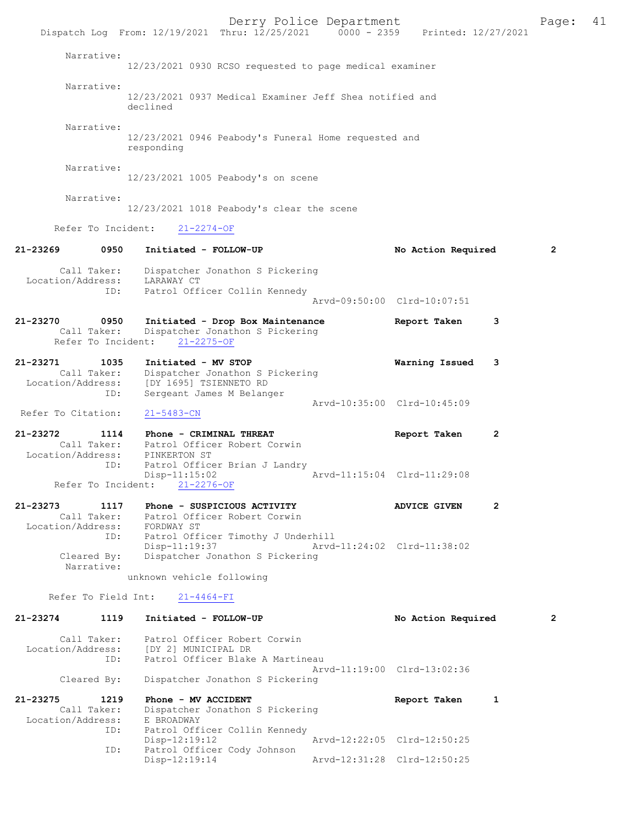Derry Police Department The Page: 41 Dispatch Log From: 12/19/2021 Thru: 12/25/2021 0000 - 2359 Printed: 12/27/2021 Narrative: 12/23/2021 0930 RCSO requested to page medical examiner Narrative: 12/23/2021 0937 Medical Examiner Jeff Shea notified and declined Narrative: 12/23/2021 0946 Peabody's Funeral Home requested and responding Narrative: 12/23/2021 1005 Peabody's on scene Narrative: 12/23/2021 1018 Peabody's clear the scene Refer To Incident: 21-2274-OF 21-23269 0950 Initiated - FOLLOW-UP No Action Required 2 Call Taker: Dispatcher Jonathon S Pickering Location/Address: LARAWAY CT ID: Patrol Officer Collin Kennedy Arvd-09:50:00 Clrd-10:07:51 21-23270 0950 Initiated - Drop Box Maintenance Report Taken 3 Call Taker: Dispatcher Jonathon S Pickering Refer To Incident: 21-2275-OF 21-23271 1035 Initiated - MV STOP Warning Issued 3 Call Taker: Dispatcher Jonathon S Pickering Location/Address: [DY 1695] TSIENNETO RD ID: Sergeant James M Belanger Arvd-10:35:00 Clrd-10:45:09 Refer To Citation: 21-5483-CN 21-23272 1114 Phone - CRIMINAL THREAT Report Taken 2 Call Taker: Patrol Officer Robert Corwin Location/Address: PINKERTON ST ID: Patrol Officer Brian J Landry Disp-11:15:02 Arvd-11:15:04 Clrd-11:29:08 Refer To Incident: 21-2276-OF 21-23273 1117 Phone - SUSPICIOUS ACTIVITY ADVICE GIVEN 2 Call Taker: Patrol Officer Robert Corwin Location/Address: FORDWAY ST ID: Patrol Officer Timothy J Underhill<br>Disp-11:19:37 Arvd-Disp-11:19:37 Arvd-11:24:02 Cleared By: Dispatcher Jonathon S Pickering Dispatcher Jonathon S Pickering Narrative: unknown vehicle following Refer To Field Int: 21-4464-FI 21-23274 1119 Initiated - FOLLOW-UP No Action Required 2 Call Taker: Patrol Officer Robert Corwin Location/Address: [DY 2] MUNICIPAL DR ID: Patrol Officer Blake A Martineau Arvd-11:19:00 Clrd-13:02:36 Cleared By: Dispatcher Jonathon S Pickering 21-23275 1219 Phone - MV ACCIDENT Report Taken 1<br>Call Taker: Dispatcher Jonathon S Pickering Call Taker: Dispatcher Jonathon S Pickering Location/Address: E BROADWAY ID: Patrol Officer Collin Kennedy<br>Disp-12:19:12 Arvd-12:22:05 Clrd-12:50:25 ID: Patrol Officer Cody Johnson Disp-12:19:14 Arvd-12:31:28 Clrd-12:50:25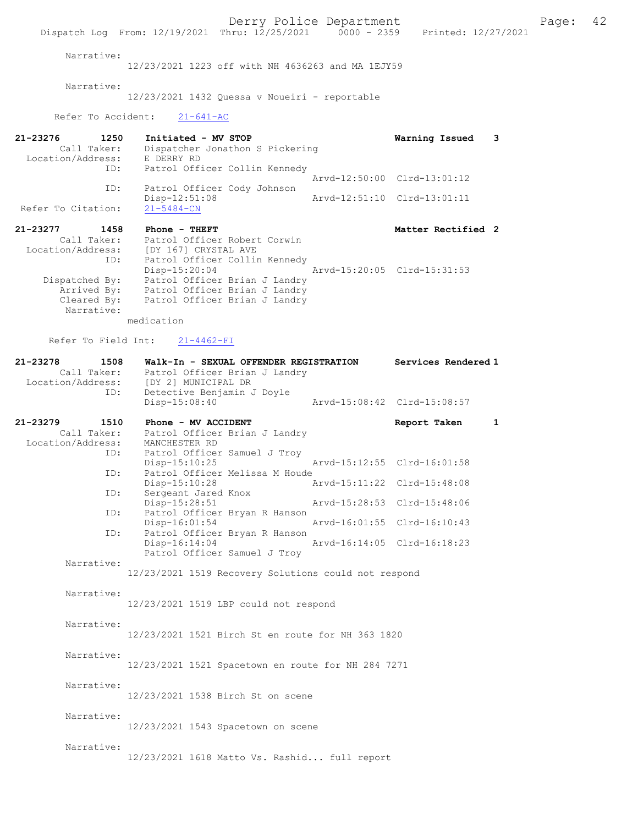Derry Police Department<br>
Page: 42<br>
Printed: 12/27/2021<br>
Printed: 12/27/2021 Dispatch Log From: 12/19/2021 Thru: 12/25/2021 Narrative: 12/23/2021 1223 off with NH 4636263 and MA 1EJY59 Narrative: 12/23/2021 1432 Quessa v Noueiri - reportable Refer To Accident: 21-641-AC 21-23276 1250 Initiated - MV STOP 1250 Warning Issued 3<br>Call Taker: Dispatcher Jonathon S Pickering Dispatcher Jonathon S Pickering<br>E DERRY RD Location/Address:<br>ID: Patrol Officer Collin Kennedy Arvd-12:50:00 Clrd-13:01:12<br>TD: Patrol Officer Cody Johnson Patrol Officer Cody Johnson<br>Disp-12:51:08 Disp-12:51:08 Arvd-12:51:10 Clrd-13:01:11 Refer To Citation: 21-23277 1458 Phone - THEFT Matter Rectified 2<br>Call Taker: Patrol Officer Robert Corwin Call Taker: Patrol Officer Robert Corwin<br>Location/Address: [DY 167] CRYSTAL AVE ess: [DY 167] CRYSTAL AVE<br>ID: Patrol Officer Collir Patrol Officer Collin Kennedy<br>Disp-15:20:04 Arvd-15:20:05 Clrd-15:31:53 Disp-15:20:04 Arvd-15:20:05 Clrd-15:31:53 Dispatched By: Patrol Officer Brian J Landry Arrived By: Patrol Officer Brian J Landry Cleared By: Patrol Officer Brian J Landry Narrative: medication Refer To Field Int: 21-4462-FI 21-23278 1508 Walk-In - SEXUAL OFFENDER REGISTRATION Services Rendered 1<br>Call Taker: Patrol Officer Brian J Landry Call Taker: Patrol Officer Brian J Landry<br>Location/Address: [DY 2] MUNICIPAL DR Location/Address: [DY 2] MUNICIPAL DR ID: Detective Benjamin J Doyle Disp-15:08:40 Arvd-15:08:42 Clrd-15:08:57 21-23279 1510 Phone - MV ACCIDENT Report Taken 1 Call Taker: Patrol Officer Brian J Landry Location/Address: MANCHESTER RD ID: Patrol Officer Samuel J Troy<br>Disp-15:10:25 Disp-15:10:25 <br>Disp-15:10:25 Arvd-15:12:55 Clrd-16:01:58<br>D: Patrol Officer Melissa M Houde Patrol Officer Melissa M Houde<br>Disp-15:10:28 Disp-15:10:28 Arvd-15:11:22 Clrd-15:48:08<br>ID: Sergeant Jared Knox Sergeant Jared Knox<br>Disp-15:28:51 Disp-15:28:51 Arvd-15:28:53 Clrd-15:48:06<br>TD: Patrol Officer Brvan R Hanson Patrol Officer Bryan R Hanson<br>Disp-16:01:54 Disp-16:01:54 Arvd-16:01:55 Clrd-16:10:43<br>ID: Patrol Officer Bryan R Hanson Patrol Officer Bryan R Hanson Disp-16:14:04 Arvd-16:14:05 Clrd-16:18:23 Patrol Officer Samuel J Troy Narrative: 12/23/2021 1519 Recovery Solutions could not respond Narrative: 12/23/2021 1519 LBP could not respond Narrative: 12/23/2021 1521 Birch St en route for NH 363 1820 Narrative: 12/23/2021 1521 Spacetown en route for NH 284 7271 Narrative: 12/23/2021 1538 Birch St on scene Narrative: 12/23/2021 1543 Spacetown on scene Narrative: 12/23/2021 1618 Matto Vs. Rashid... full report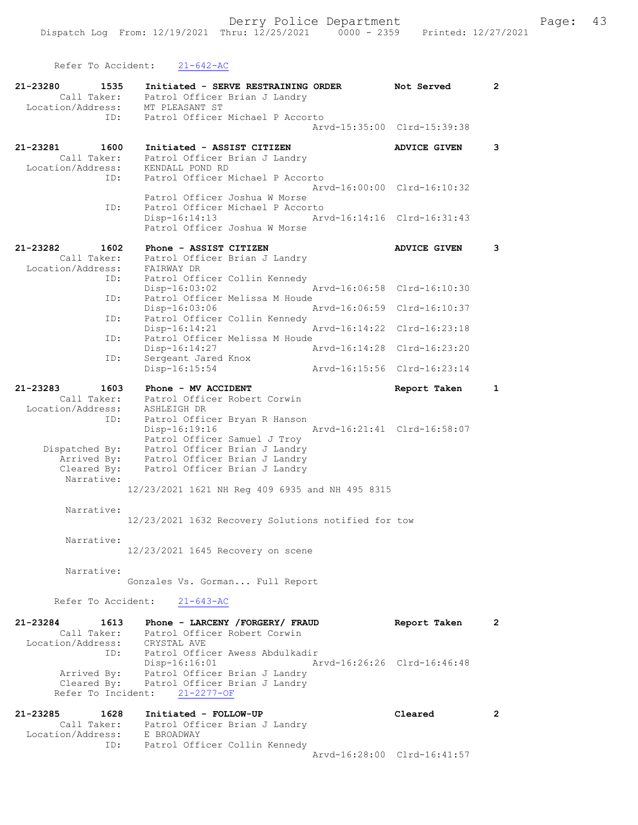Refer To Accident: 21-642-AC 21-23280 1535 Initiated - SERVE RESTRAINING ORDER Not Served 2 Call Taker: Patrol Officer Brian J Landry Location/Address: MT PLEASANT ST ID: Patrol Officer Michael P Accorto Arvd-15:35:00 Clrd-15:39:38 21-23281 1600 Initiated - ASSIST CITIZEN ADVICE GIVEN 3 Call Taker: Patrol Officer Brian J Landry Location/Address: KENDALL POND RD ID: Patrol Officer Michael P Accorto Arvd-16:00:00 Clrd-16:10:32 Patrol Officer Joshua W Morse ID: Patrol Officer Michael P Accorto<br>Disp-16:14:13 Ar Disp-16:14:13 Arvd-16:14:16 Clrd-16:31:43 Patrol Officer Joshua W Morse 21-23282 1602 Phone - ASSIST CITIZEN ANVICE GIVEN 3 Call Taker: Patrol Officer Brian J Landry Location/Address: FAIRWAY DR ID: Patrol Officer Collin Kennedy<br>Disp-16:03:02 Disp-16:03:02 Arvd-16:06:58 Clrd-16:10:30 ID: Patrol Officer Melissa M Houde<br>Disp-16:03:06 Mrvd-16:06:59 Clrd-16:10:37 Disp-16:03:06 Arvd-16:06:59 Clrd-16:10:37 ID: Patrol Officer Collin Kennedy Disp-16:14:21 Arvd-16:14:22 Clrd-16:23:18 ID: Patrol Officer Melissa M Houde Disp-16:14:27 Arvd-16:14:28 Clrd-16:23:20 ID: Sergeant Jared Knox<br>Disp-16:15:54 Disp-16:15:54 Arvd-16:15:56 Clrd-16:23:14 21-23283 1603 Phone - MV ACCIDENT Report Taken 1 Call Taker: Patrol Officer Robert Corwin Location/Address: ASHLEIGH DR ID: Patrol Officer Bryan R Hanson Disp-16:19:16 Arvd-16:21:41 Clrd-16:58:07 Patrol Officer Samuel J Troy Dispatched By: Patrol Officer Brian J Landry Arrived By: Patrol Officer Brian J Landry Cleared By: Patrol Officer Brian J Landry Narrative: 12/23/2021 1621 NH Reg 409 6935 and NH 495 8315 Narrative: 12/23/2021 1632 Recovery Solutions notified for tow Narrative: 12/23/2021 1645 Recovery on scene Narrative: Gonzales Vs. Gorman... Full Report Refer To Accident: 21-643-AC 21-23284 1613 Phone - LARCENY /FORGERY/ FRAUD Report Taken 2 Call Taker: Patrol Officer Robert Corwin Location/Address: CRYSTAL AVE ID: Patrol Officer Awess Abdulkadir Disp-16:16:01 Arvd-16:26:26 Clrd-16:46:48 Arrived By: Patrol Officer Brian J Landry Cleared By: Patrol Officer Brian J Landry Refer To Incident: 21-2277-OF 21-23285 1628 Initiated - FOLLOW-UP Cleared 2 Call Taker: Patrol Officer Brian J Landry Location/Address: E BROADWAY ID: Patrol Officer Collin Kennedy

Arvd-16:28:00 Clrd-16:41:57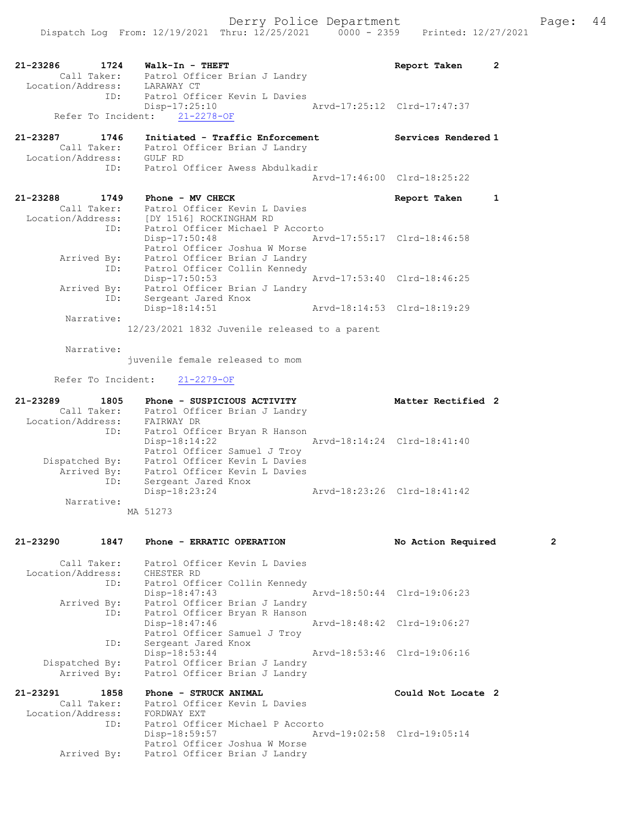Disp-17:25:10 Arvd-17:25:12 Clrd-17:47:37

21-23287 1746 Initiated - Traffic Enforcement Services Rendered 1 Call Taker: Patrol Officer Brian J Landry Location/Address: GULF RD ID: Patrol Officer Awess Abdulkadir

|                                                      |                                                                                                                       | Arvd-17:46:00 Clrd-18:25:22 |  |
|------------------------------------------------------|-----------------------------------------------------------------------------------------------------------------------|-----------------------------|--|
| 21-23288<br>1749<br>Call Taker:<br>Location/Address: | Phone - MV CHECK<br>Patrol Officer Kevin L Davies<br>[DY 1516] ROCKINGHAM RD                                          | Report Taken                |  |
| ID:<br>Arrived By:                                   | Patrol Officer Michael P Accorto<br>$Disp-17:50:48$<br>Patrol Officer Joshua W Morse<br>Patrol Officer Brian J Landry | Arvd-17:55:17 Clrd-18:46:58 |  |
| ID:<br>Arrived By:<br>ID:                            | Patrol Officer Collin Kennedy<br>Disp-17:50:53<br>Patrol Officer Brian J Landry<br>Sergeant Jared Knox                | Arvd-17:53:40 Clrd-18:46:25 |  |
| Narrative:                                           | Disp-18:14:51                                                                                                         | Arvd-18:14:53 Clrd-18:19:29 |  |

12/23/2021 1832 Juvenile released to a parent

Narrative:

juvenile female released to mom

Refer To Incident: 21-2279-OF

Refer To Incident: 21-2278-OF

| 21-23289<br>1805  | Phone - SUSPICIOUS ACTIVITY                    | Matter Rectified 2          |
|-------------------|------------------------------------------------|-----------------------------|
| Call Taker:       | Patrol Officer Brian J Landry                  |                             |
| Location/Address: | FAIRWAY DR                                     |                             |
| ID:               | Patrol Officer Bryan R Hanson                  |                             |
|                   | Arvd-18:14:24 Clrd-18:41:40<br>$Disp-18:14:22$ |                             |
|                   | Patrol Officer Samuel J Troy                   |                             |
| Dispatched By:    | Patrol Officer Kevin L Davies                  |                             |
| Arrived By:       | Patrol Officer Kevin L Davies                  |                             |
| ID:               | Sergeant Jared Knox                            |                             |
|                   | Disp-18:23:24                                  | Arvd-18:23:26 Clrd-18:41:42 |
| Narrative:        |                                                |                             |
|                   | MA 51273                                       |                             |

### 21-23290 1847 Phone - ERRATIC OPERATION No Action Required 2 Call Taker: Patrol Officer Kevin L Davies Location/Address: CHESTER RD ID: Patrol Officer Collin Kennedy Disp-18:47:43 Arvd-18:50:44 Clrd-19:06:23 Arrived By: Patrol Officer Brian J Landry ID: Patrol Officer Bryan R Hanson Disp-18:47:46 Arvd-18:48:42 Clrd-19:06:27 Patrol Officer Samuel J Troy ID: Sergeant Jared Knox Disp-18:53:44 Arvd-18:53:46 Clrd-19:06:16 Dispatched By: Patrol Officer Brian J Landry Arrived By: Patrol Officer Brian J Landry 21-23291 1858 Phone - STRUCK ANIMAL Could Not Locate 2 Call Taker: Patrol Officer Kevin L Davies Location/Address: FORDWAY EXT ID: Patrol Officer Michael P Accorto<br>Disp-18:59:57 Art Arvd-19:02:58 Clrd-19:05:14

 Patrol Officer Joshua W Morse Arrived By: Patrol Officer Brian J Landry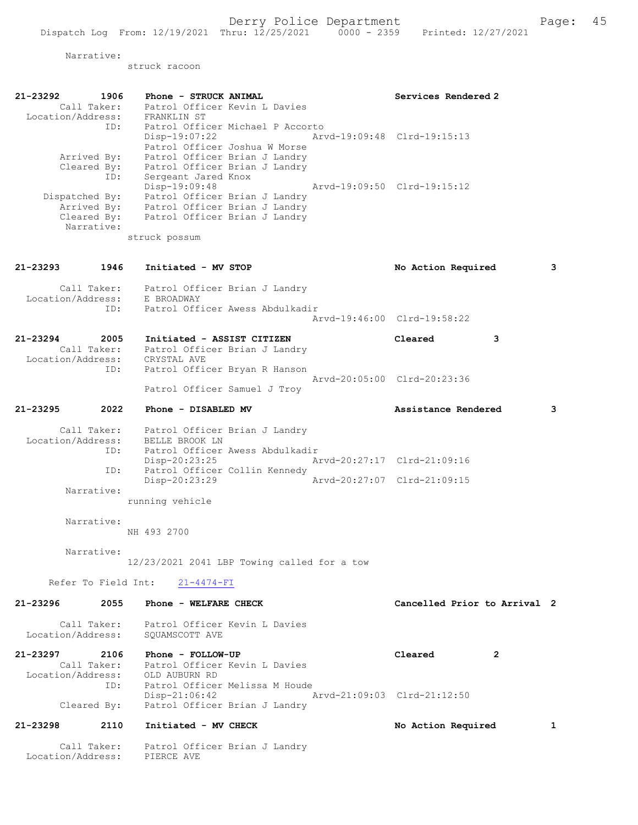Narrative:

Location/Address: PIERCE AVE

struck racoon

| 21-23292<br>1906                                                         | Phone - STRUCK ANIMAL                                       | Services Rendered 2          |   |
|--------------------------------------------------------------------------|-------------------------------------------------------------|------------------------------|---|
| Call Taker:<br>Location/Address:                                         | Patrol Officer Kevin L Davies<br>FRANKLIN ST                |                              |   |
| ID:                                                                      | Patrol Officer Michael P Accorto                            |                              |   |
|                                                                          | Disp-19:07:22                                               | Arvd-19:09:48 Clrd-19:15:13  |   |
|                                                                          | Patrol Officer Joshua W Morse                               |                              |   |
| Arrived By:                                                              | Patrol Officer Brian J Landry                               |                              |   |
| Cleared By:                                                              | Patrol Officer Brian J Landry                               |                              |   |
| ID:                                                                      | Sergeant Jared Knox<br>Disp-19:09:48                        | Arvd-19:09:50 Clrd-19:15:12  |   |
| Dispatched By:                                                           | Patrol Officer Brian J Landry                               |                              |   |
|                                                                          | Arrived By: Patrol Officer Brian J Landry                   |                              |   |
|                                                                          | Cleared By: Patrol Officer Brian J Landry                   |                              |   |
| Narrative:                                                               |                                                             |                              |   |
|                                                                          | struck possum                                               |                              |   |
| 21-23293<br>1946                                                         | Initiated - MV STOP                                         | No Action Required           | 3 |
| Call Taker:                                                              | Patrol Officer Brian J Landry                               |                              |   |
| Location/Address:                                                        | E BROADWAY                                                  |                              |   |
| ID:                                                                      | Patrol Officer Awess Abdulkadir                             | Arvd-19:46:00 Clrd-19:58:22  |   |
|                                                                          |                                                             |                              |   |
| 21-23294<br>2005                                                         | Initiated - ASSIST CITIZEN                                  | Cleared<br>3                 |   |
| Call Taker:<br>Call Taker: Patrol Offic<br>Location/Address: CRYSTAL AVE | Patrol Officer Brian J Landry                               |                              |   |
|                                                                          |                                                             |                              |   |
| ID:                                                                      | Patrol Officer Bryan R Hanson                               | Arvd-20:05:00 Clrd-20:23:36  |   |
|                                                                          | Patrol Officer Samuel J Troy                                |                              |   |
| 2022<br>21-23295                                                         | Phone - DISABLED MV                                         | Assistance Rendered          | 3 |
|                                                                          | Call Taker: Patrol Officer Brian J Landry                   |                              |   |
| Location/Address:                                                        | BELLE BROOK LN                                              |                              |   |
| ID:                                                                      | Patrol Officer Awess Abdulkadir                             |                              |   |
|                                                                          | Disp-20:23:25                                               | Arvd-20:27:17 Clrd-21:09:16  |   |
| ID:                                                                      | Patrol Officer Collin Kennedy<br>Disp-20:23:29              | Arvd-20:27:07 Clrd-21:09:15  |   |
| Narrative:                                                               |                                                             |                              |   |
|                                                                          | running vehicle                                             |                              |   |
|                                                                          |                                                             |                              |   |
| Narrative:                                                               |                                                             |                              |   |
|                                                                          | NH 493 2700                                                 |                              |   |
| Narrative:                                                               |                                                             |                              |   |
|                                                                          | 12/23/2021 2041 LBP Towing called for a tow                 |                              |   |
|                                                                          |                                                             |                              |   |
|                                                                          | Refer To Field Int: 21-4474-FI                              |                              |   |
| 21-23296<br>2055                                                         | Phone - WELFARE CHECK                                       | Cancelled Prior to Arrival 2 |   |
|                                                                          |                                                             |                              |   |
| Location/Address:                                                        | Call Taker: Patrol Officer Kevin L Davies<br>SQUAMSCOTT AVE |                              |   |
|                                                                          |                                                             |                              |   |
|                                                                          |                                                             | Cleared<br>2                 |   |
|                                                                          | Call Taker: Patrol Officer Kevin L Davies                   |                              |   |
| Location/Address: OLD AUBURN RD<br>ID: Patrol Office:                    | Patrol Officer Melissa M Houde                              |                              |   |
|                                                                          | $Disp-21:06:42$                                             | Arvd-21:09:03 Clrd-21:12:50  |   |
| Cleared By:                                                              | Patrol Officer Brian J Landry                               |                              |   |
| 21-23298<br>2110                                                         |                                                             |                              |   |
|                                                                          | Initiated - MV CHECK                                        | No Action Required           | 1 |
| Call Taker:                                                              | Patrol Officer Brian J Landry                               |                              |   |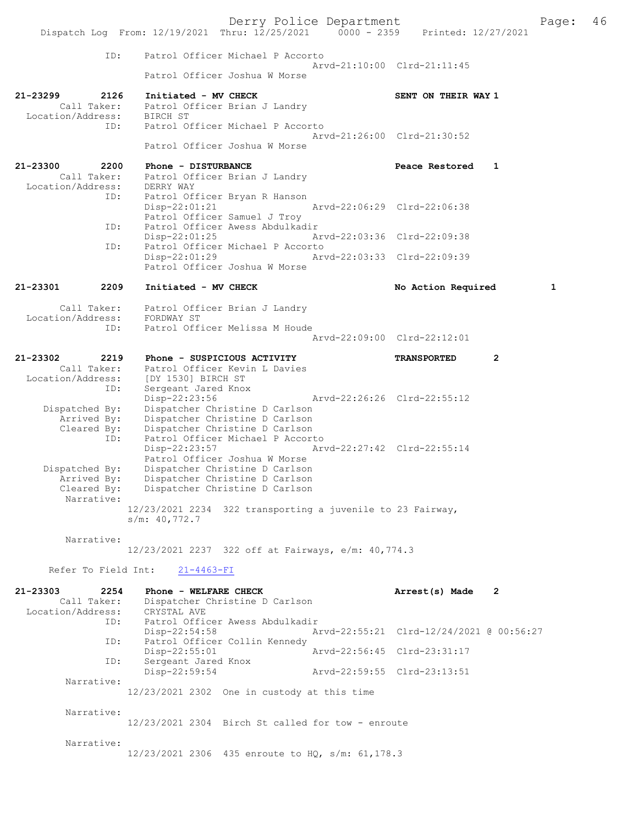Derry Police Department<br>
Page: 46<br>
Printed: 12/27/2021<br>
Printed: 12/27/2021 Dispatch Log From:  $12/19/2021$  Thru:  $12/25/2021$  0000 - 2359 ID: Patrol Officer Michael P Accorto Arvd-21:10:00 Clrd-21:11:45 Patrol Officer Joshua W Morse 21-23299 2126 Initiated - MV CHECK SENT ON THEIR WAY 1 Call Taker: Patrol Officer Brian J Landry<br>ion/Address: BIRCH ST Location/Address:<br>ID: Patrol Officer Michael P Accorto Arvd-21:26:00 Clrd-21:30:52 Patrol Officer Joshua W Morse 21-23300 2200 Phone - DISTURBANCE Peace Restored 1 Call Taker: Patrol Officer Brian J Landry<br>ion/Address: DERRY WAY Location/Address: ID: Patrol Officer Bryan R Hanson Disp-22:01:21 Arvd-22:06:29 Clrd-22:06:38 Patrol Officer Samuel J Troy<br>The Patrol Officer Awess Abdulkad Patrol Officer Awess Abdulkadir<br>Disp-22:01:25 A Disp-22:01:25 Arvd-22:03:36 Clrd-22:09:38 ID: Patrol Officer Michael P Accorto<br>Disp-22:01:29 Ar Disp-22:01:29 Arvd-22:03:33 Clrd-22:09:39 Patrol Officer Joshua W Morse 21-23301 2209 Initiated - MV CHECK No Action Required 1 Call Taker: Patrol Officer Brian J Landry<br>ion/Address: FORDWAY ST Location/Address:<br>ID: Patrol Officer Melissa M Houde Arvd-22:09:00 Clrd-22:12:01 21-23302 2219 Phone - SUSPICIOUS ACTIVITY TRANSPORTED 2 Call Taker: Patrol Officer Kevin L Davies Location/Address: [DY 1530] BIRCH ST ID: Sergeant Jared Knox<br>Disp-22:23:56 Disp-22:23:56 Arvd-22:26:26 Clrd-22:55:12 Dispatched By: Dispatcher Christine D Carlson Arrived By: Dispatcher Christine D Carlson Cleared By: Dispatcher Christine D Carlson ID: Patrol Officer Michael P Accorto<br>Disp-22:23:57 Arv Disp-22:23:57 Arvd-22:27:42 Clrd-22:55:14 Patrol Officer Joshua W Morse Dispatched By: Dispatcher Christine D Carlson Arrived By: Dispatcher Christine D Carlson<br>Cleared By: Dispatcher Christine D Carlson Dispatcher Christine D Carlson Narrative: 12/23/2021 2234 322 transporting a juvenile to 23 Fairway, s/m: 40,772.7 Narrative: 12/23/2021 2237 322 off at Fairways, e/m: 40,774.3 Refer To Field Int: 21-4463-FI 21-23303 2254 Phone - WELFARE CHECK Arrest(s) Made 2 Call Taker: Dispatcher Christine D Carlson<br>on/Address: CRYSTAL AVE Location/Address:<br>ID: ENIUINE ...<br>Patrol Officer Awess Abdulkadir Disp-22:54:58 Arvd-22:55:21 Clrd-12/24/2021 @ 00:56:27<br>TD: Patrol Officer Collin Kennedy Patrol Officer Collin Kennedy<br>Disp-22:55:01 Disp-22:55:01 Arvd-22:56:45 Clrd-23:31:17 ID: Sergeant Jared Knox<br>Disp-22:59:54 Arvd-22:59:55 Clrd-23:13:51 Narrative: 12/23/2021 2302 One in custody at this time Narrative: 12/23/2021 2304 Birch St called for tow - enroute Narrative: 12/23/2021 2306 435 enroute to HQ, s/m: 61,178.3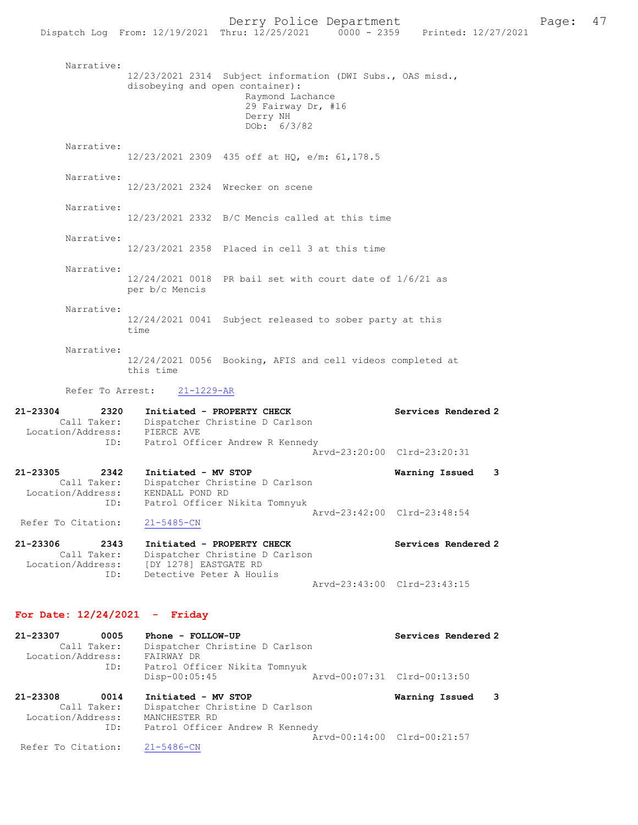Narrative: 12/23/2021 2314 Subject information (DWI Subs., OAS misd., disobeying and open container): Raymond Lachance 29 Fairway Dr, #16 Derry NH  $DOb: 6/3/82$  Narrative: 12/23/2021 2309 435 off at HQ, e/m: 61,178.5 Narrative: 12/23/2021 2324 Wrecker on scene Narrative: 12/23/2021 2332 B/C Mencis called at this time Narrative: 12/23/2021 2358 Placed in cell 3 at this time Narrative: 12/24/2021 0018 PR bail set with court date of 1/6/21 as per b/c Mencis Narrative: 12/24/2021 0041 Subject released to sober party at this time Narrative: 12/24/2021 0056 Booking, AFIS and cell videos completed at this time Refer To Arrest: 21-1229-AR 21-23304 2320 Initiated - PROPERTY CHECK Services Rendered 2 Call Taker: Dispatcher Christine D Carlson Location/Address: PIERCE AVE ID: Patrol Officer Andrew R Kennedy Arvd-23:20:00 Clrd-23:20:31 21-23305 2342 Initiated - MV STOP Warning Issued 3 Call Taker: Dispatcher Christine D Carlson

 Location/Address: KENDALL POND RD ID: Patrol Officer Nikita Tomnyuk Arvd-23:42:00 Clrd-23:48:54 Refer To Citation: 21-5485-CN

21-23306 2343 Initiated - PROPERTY CHECK Services Rendered 2 Call Taker: Dispatcher Christine D Carlson Location/Address: [DY 1278] EASTGATE RD ID: Detective Peter A Houlis Arvd-23:43:00 Clrd-23:43:15

#### For Date: 12/24/2021 - Friday

| 21-23307          | 0005        | Phone - FOLLOW-UP               | Services Rendered 2         |  |
|-------------------|-------------|---------------------------------|-----------------------------|--|
|                   | Call Taker: | Dispatcher Christine D Carlson  |                             |  |
| Location/Address: |             | FAIRWAY DR                      |                             |  |
|                   | ID:         | Patrol Officer Nikita Tomnyuk   |                             |  |
|                   |             | $Disp-00:05:45$                 | Arvd-00:07:31 Clrd-00:13:50 |  |
| 21-23308          | 0014        | Initiated - MV STOP             | Warning Issued 3            |  |
|                   | Call Taker: | Dispatcher Christine D Carlson  |                             |  |
| Location/Address: |             | MANCHESTER RD                   |                             |  |
|                   | ID:         | Patrol Officer Andrew R Kennedy |                             |  |

Arvd-00:14:00 Clrd-00:21:57<br>21-5486-CN

Refer To Citation: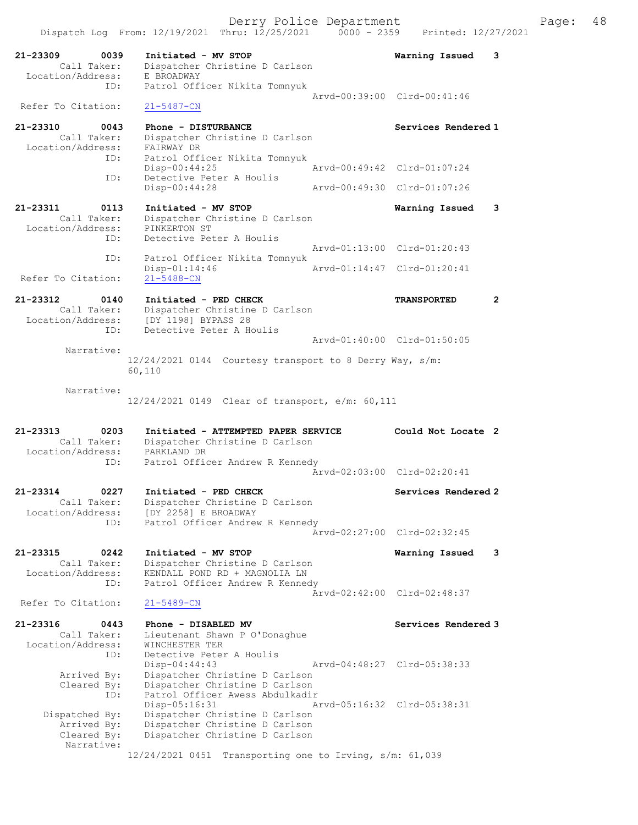21-23309 0039 Initiated - MV STOP Warning Issued 3 Call Taker: Dispatcher Christine D Carlson Location/Address: E BROADWAY ID: Patrol Officer Nikita Tomnyuk Arvd-00:39:00 Clrd-00:41:46 Refer To Citation: 21-5487-CN 21-23310 0043 Phone - DISTURBANCE Services Rendered 1 Call Taker: Dispatcher Christine D Carlson Location/Address: FAIRWAY DR ID: Patrol Officer Nikita Tomnyuk Disp-00:44:25 Arvd-00:49:42 Clrd-01:07:24 ID: Detective Peter A Houlis<br>Disp-00:44:28 Disp-00:44:28 Arvd-00:49:30 Clrd-01:07:26 21-23311 0113 Initiated - MV STOP Warning Issued 3 Call Taker: Dispatcher Christine D Carlson Location/Address: PINKERTON ST ID: Detective Peter A Houlis Arvd-01:13:00 Clrd-01:20:43 ID: Patrol Officer Nikita Tomnyuk Disp-01:14:46 Arvd-01:14:47 Clrd-01:20:41 Refer To Citation: 21-5488-CN 21-23312 0140 Initiated - PED CHECK TRANSPORTED 2 Call Taker: Dispatcher Christine D Carlson Location/Address: [DY 1198] BYPASS 28 ID: Detective Peter A Houlis Arvd-01:40:00 Clrd-01:50:05 Narrative: 12/24/2021 0144 Courtesy transport to 8 Derry Way, s/m: 60,110 Narrative: 12/24/2021 0149 Clear of transport, e/m: 60,111 21-23313 0203 Initiated - ATTEMPTED PAPER SERVICE Could Not Locate 2 Call Taker: Dispatcher Christine D Carlson Location/Address: PARKLAND DR ID: Patrol Officer Andrew R Kennedy Arvd-02:03:00 Clrd-02:20:41 21-23314 0227 Initiated - PED CHECK Services Rendered 2 Call Taker: Dispatcher Christine D Carlson Location/Address: [DY 2258] E BROADWAY ID: Patrol Officer Andrew R Kennedy Arvd-02:27:00 Clrd-02:32:45 21-23315 0242 Initiated - MV STOP Warning Issued 3 Call Taker: Dispatcher Christine D Carlson Location/Address: KENDALL POND RD + MAGNOLIA LN ID: Patrol Officer Andrew R Kennedy Arvd-02:42:00 Clrd-02:48:37<br>21-5489-CN Refer To Citation: 21-23316 0443 Phone - DISABLED MV Services Rendered 3 Call Taker: Lieutenant Shawn P O'Donaghue Location/Address: WINCHESTER TER ID: Detective Peter A Houlis Disp-04:44:43 Arvd-04:48:27 Clrd-05:38:33 Arrived By: Dispatcher Christine D Carlson Cleared By: Dispatcher Christine D Carlson ID: Patrol Officer Awess Abdulkadir Disp-05:16:31 Arvd-05:16:32 Clrd-05:38:31 Dispatched By: Dispatcher Christine D Carlson Arrived By: Dispatcher Christine D Carlson Cleared By: Dispatcher Christine D Carlson Narrative: 12/24/2021 0451 Transporting one to Irving, s/m: 61,039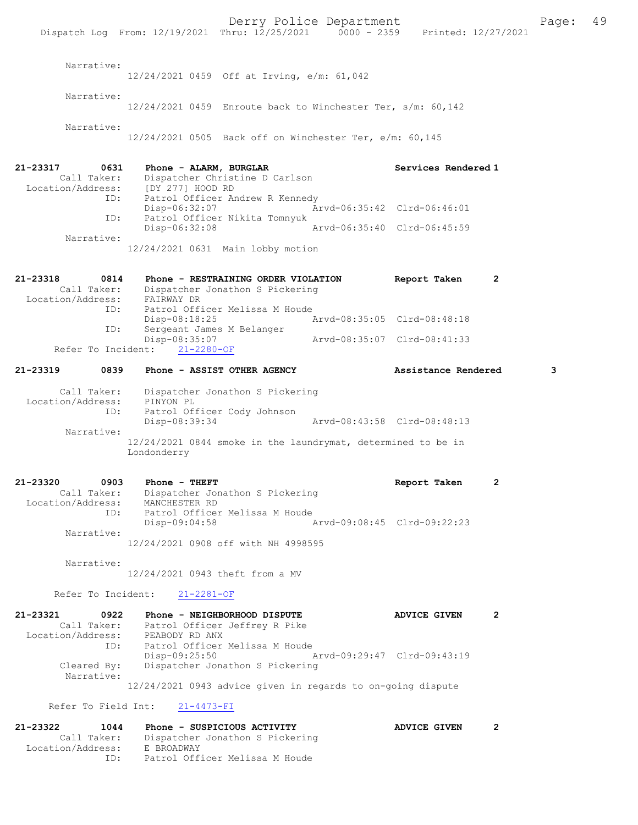Derry Police Department The Page: 49 Dispatch Log From: 12/19/2021 Thru: 12/25/2021 0000 - 2359 Printed: 12/27/2021 Narrative: 12/24/2021 0459 Off at Irving, e/m: 61,042 Narrative: 12/24/2021 0459 Enroute back to Winchester Ter, s/m: 60,142 Narrative: 12/24/2021 0505 Back off on Winchester Ter, e/m: 60,145 21-23317 0631 Phone - ALARM, BURGLAR Services Rendered 1 Call Taker: Dispatcher Christine D Carlson Location/Address: [DY 277] HOOD RD ID: Patrol Officer Andrew R Kennedy Disp-06:32:07 Arvd-06:35:42 Clrd-06:46:01 ID: Patrol Officer Nikita Tomnyuk Disp-06:32:08 Arvd-06:35:40 Clrd-06:45:59 Narrative: 12/24/2021 0631 Main lobby motion 21-23318 0814 Phone - RESTRAINING ORDER VIOLATION Report Taken 2 Call Taker: Dispatcher Jonathon S Pickering Location/Address: FAIRWAY DR ID: Patrol Officer Melissa M Houde<br>Disp-08:18:25 Disp-08:18:25 Arvd-08:35:05 Clrd-08:48:18 ID: Sergeant James M Belanger Disp-08:35:07 Arvd-08:35:07 Clrd-08:41:33 Refer To Incident: 21-2280-OF 21-23319 0839 Phone - ASSIST OTHER AGENCY Assistance Rendered 3 Call Taker: Dispatcher Jonathon S Pickering Location/Address: PINYON PL ID: Patrol Officer Cody Johnson Disp-08:39:34 Arvd-08:43:58 Clrd-08:48:13 Narrative: 12/24/2021 0844 smoke in the laundrymat, determined to be in Londonderry 21-23320 0903 Phone - THEFT CONSTRESS Report Taken 2 Call Taker: Dispatcher Jonathon S Pickering Location/Address: MANCHESTER RD ID: Patrol Officer Melissa M Houde<br>Disp-09:04:58 Disp-09:04:58 Arvd-09:08:45 Clrd-09:22:23 Narrative: 12/24/2021 0908 off with NH 4998595 Narrative: 12/24/2021 0943 theft from a MV Refer To Incident: 21-2281-OF 21-23321 0922 Phone - NEIGHBORHOOD DISPUTE ADVICE GIVEN 2 Call Taker: Patrol Officer Jeffrey R Pike Location/Address: PEABODY RD ANX ID: Patrol Officer Melissa M Houde<br>Disp-09:25:50 Disp-09:25:50 Arvd-09:29:47 Clrd-09:43:19<br>Cleared By: Dispatcher Jonathon S Pickering Dispatcher Jonathon S Pickering Narrative: 12/24/2021 0943 advice given in regards to on-going dispute Refer To Field Int: 21-4473-FI 21-23322 1044 Phone - SUSPICIOUS ACTIVITY ADVICE GIVEN 2 Call Taker: Dispatcher Jonathon S Pickering Location/Address: E BROADWAY

ID: Patrol Officer Melissa M Houde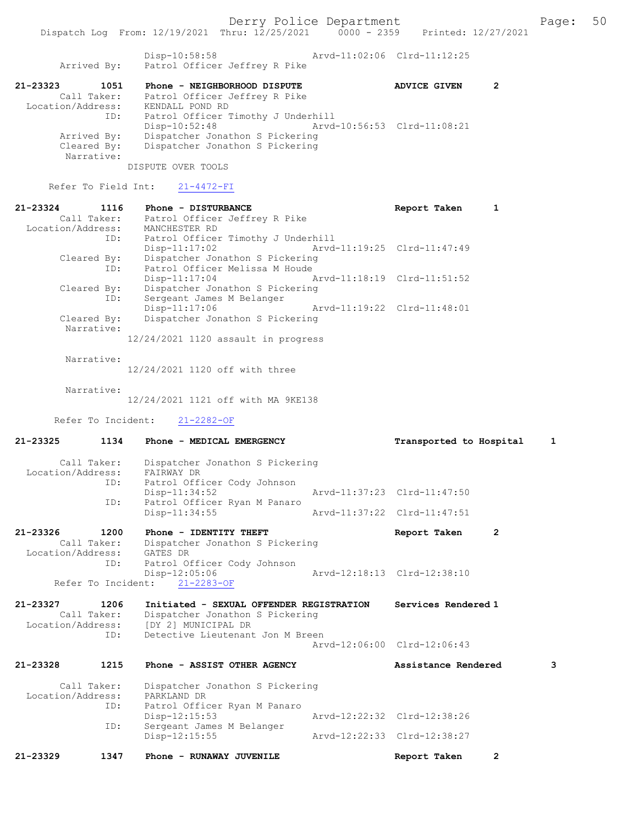Disp-10:58:58 Arvd-11:02:06 Clrd-11:12:25<br>Arrived By: Patrol Officer Jeffrey R Pike Disp-10:58:58<br>Patrol Officer Jeffrey R Pike

#### 21-23323 1051 Phone - NEIGHBORHOOD DISPUTE ADVICE GIVEN 2 Call Taker: Patrol Officer Jeffrey R Pike Location/Address: KENDALL POND RD ID: Patrol Officer Timothy J Underhill Disp-10:52:48 Arvd-10:56:53 Clrd-11:08:21 Arrived By: Dispatcher Jonathon S Pickering Cleared By: Dispatcher Jonathon S Pickering Narrative:

DISPUTE OVER TOOLS

Refer To Field Int: 21-4472-FI

| 21-23324          | 1116        | Phone - DISTURBANCE                   |                             | Report Taken |  |
|-------------------|-------------|---------------------------------------|-----------------------------|--------------|--|
|                   | Call Taker: | Patrol Officer Jeffrey R Pike         |                             |              |  |
| Location/Address: |             | MANCHESTER RD                         |                             |              |  |
|                   | ID:         | Patrol Officer Timothy J Underhill    |                             |              |  |
|                   |             | $Disp-11:17:02$                       | Arvd-11:19:25 Clrd-11:47:49 |              |  |
|                   | Cleared By: | Dispatcher Jonathon S Pickering       |                             |              |  |
|                   | ID:         | Patrol Officer Melissa M Houde        |                             |              |  |
|                   |             | $Disp-11:17:04$                       | Arvd-11:18:19 Clrd-11:51:52 |              |  |
|                   | Cleared By: | Dispatcher Jonathon S Pickering       |                             |              |  |
|                   | ID:         | Sergeant James M Belanger             |                             |              |  |
|                   |             | $Disp-11:17:06$                       | Arvd-11:19:22 Clrd-11:48:01 |              |  |
|                   | Cleared By: | Dispatcher Jonathon S Pickering       |                             |              |  |
|                   | Narrative:  |                                       |                             |              |  |
|                   |             | $12/24/2021$ 1120 assault in progress |                             |              |  |
|                   |             |                                       |                             |              |  |

Narrative:

12/24/2021 1120 off with three

Narrative:

12/24/2021 1121 off with MA 9KE138

Refer To Incident: 21-2282-OF

| $21 - 23325$      | 1134        | Phone - MEDICAL EMERGENCY                     |                             | Transported to Hospital        | $\mathbf{1}$ |
|-------------------|-------------|-----------------------------------------------|-----------------------------|--------------------------------|--------------|
| Location/Address: | Call Taker: | Dispatcher Jonathon S Pickering<br>FAIRWAY DR |                             |                                |              |
|                   | ID:         | Patrol Officer Cody Johnson                   |                             |                                |              |
|                   |             | $Disp-11:34:52$                               | Arvd-11:37:23 Clrd-11:47:50 |                                |              |
|                   | ID:         | Patrol Officer Ryan M Panaro                  |                             |                                |              |
|                   |             | Disp-11:34:55                                 |                             | Arvd-11:37:22 Clrd-11:47:51    |              |
| 21-23326          | 1200        | Phone - IDENTITY THEFT                        |                             | Report Taken<br>$\overline{2}$ |              |
|                   | Call Taker: | Dispatcher Jonathon S Pickering               |                             |                                |              |
|                   |             | Location/Address: GATES DR                    |                             |                                |              |
|                   | ID:         | Patrol Officer Cody Johnson                   |                             |                                |              |
|                   |             | $Disp-12:05:06$                               |                             | Arvd-12:18:13 Clrd-12:38:10    |              |
|                   |             | Refer To Incident: 21-2283-OF                 |                             |                                |              |
| 21-23327          | 1206        | Initiated - SEXUAL OFFENDER REGISTRATION      |                             | Services Rendered 1            |              |
|                   | Call Taker: | Dispatcher Jonathon S Pickering               |                             |                                |              |
|                   |             | Location/Address: [DY 2] MUNICIPAL DR         |                             |                                |              |
|                   | ID:         | Detective Lieutenant Jon M Breen              |                             | Arvd-12:06:00 Clrd-12:06:43    |              |
|                   |             |                                               |                             |                                |              |
| $21 - 23328$      | 1215        | Phone - ASSIST OTHER AGENCY                   |                             | Assistance Rendered            | 3            |
|                   | Call Taker: | Dispatcher Jonathon S Pickering               |                             |                                |              |
| Location/Address: |             | PARKLAND DR                                   |                             |                                |              |
|                   | ID:         | Patrol Officer Ryan M Panaro                  |                             |                                |              |
|                   |             | $Disp-12:15:53$                               |                             | Arvd-12:22:32 Clrd-12:38:26    |              |
|                   | ID:         | Sergeant James M Belanger                     |                             |                                |              |
|                   |             | Disp-12:15:55                                 |                             | Arvd-12:22:33 Clrd-12:38:27    |              |
| 21-23329          | 1347        | Phone - RUNAWAY JUVENILE                      |                             | $\overline{2}$<br>Report Taken |              |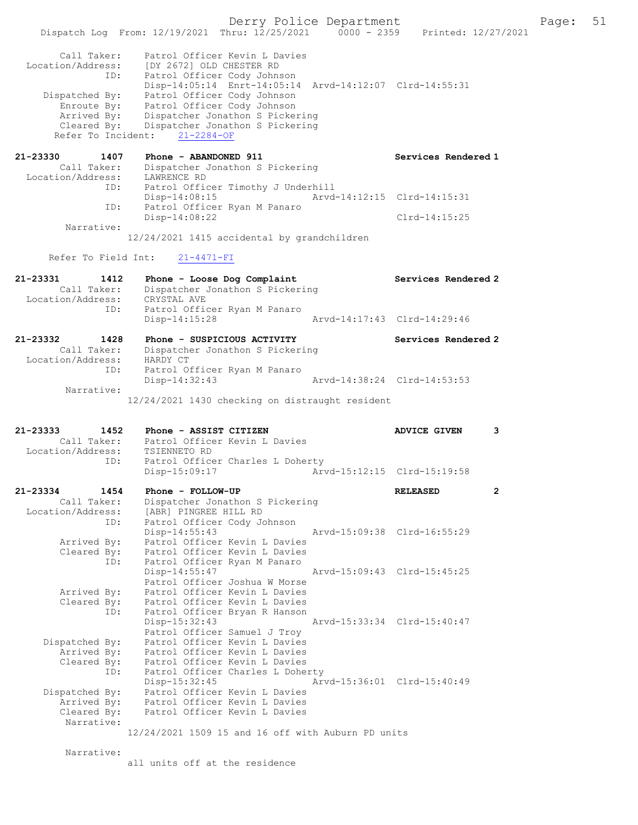Derry Police Department The Page: 51 Dispatch Log From: 12/19/2021 Thru: 12/25/2021 0000 - 2359 Printed: 12/27/2021 Call Taker: Patrol Officer Kevin L Davies Location/Address: [DY 2672] OLD CHESTER RD ID: Patrol Officer Cody Johnson Disp-14:05:14 Enrt-14:05:14 Arvd-14:12:07 Clrd-14:55:31 Dispatched By: Patrol Officer Cody Johnson Enroute By: Patrol Officer Cody Johnson Arrived By: Dispatcher Jonathon S Pickering Cleared By: Dispatcher Jonathon S Pickering Refer To Incident: 21-2284-OF 21-23330 1407 Phone - ABANDONED 911 Services Rendered 1 Call Taker: Dispatcher Jonathon S Pickering Location/Address: LAWRENCE RD ID: Patrol Officer Timothy J Underhill Disp-14:08:15 Arvd-14:12:15 Clrd-14:15:31 ID: Patrol Officer Ryan M Panaro Disp-14:08:22 Clrd-14:15:25 Narrative: 12/24/2021 1415 accidental by grandchildren Refer To Field Int: 21-4471-FI 21-23331 1412 Phone - Loose Dog Complaint Services Rendered 2 Call Taker: Dispatcher Jonathon S Pickering Location/Address: CRYSTAL AVE ID: Patrol Officer Ryan M Panaro<br>Disp-14:15:28 Disp-14:15:28 Arvd-14:17:43 Clrd-14:29:46 21-23332 1428 Phone - SUSPICIOUS ACTIVITY Services Rendered 2 Call Taker: Dispatcher Jonathon S Pickering Location/Address: HARDY CT ID: Patrol Officer Ryan M Panaro<br>Disp-14:32:43 Disp-14:32:43 Arvd-14:38:24 Clrd-14:53:53 Narrative: 12/24/2021 1430 checking on distraught resident 21-23333 1452 Phone - ASSIST CITIZEN ADVICE GIVEN 3 Call Taker: Patrol Officer Kevin L Davies<br>tion/Address: TSTENNETO RD Location/Address: ess. ISIENNEIO ND<br>ID: Patrol Officer Charles L Doherty Disp-15:09:17 Arvd-15:12:15 Clrd-15:19:58 21-23334 1454 Phone - FOLLOW-UP RELEASED 2 Call Taker: Dispatcher Jonathon S Pickering Location/Address: [ABR] PINGREE HILL RD ID: Patrol Officer Cody Johnson Disp-14:55:43 Arvd-15:09:38 Clrd-16:55:29 Arrived By: Patrol Officer Kevin L Davies Cleared By: Patrol Officer Kevin L Davies ID: Patrol Officer Ryan M Panaro<br>Disp-14:55:47 Arvd-15:09:43 Clrd-15:45:25 Patrol Officer Joshua W Morse Arrived By: Patrol Officer Kevin L Davies Cleared By: Patrol Officer Kevin L Davies ID: Patrol Officer Bryan R Hanson Disp-15:32:43 Arvd-15:33:34 Clrd-15:40:47 Patrol Officer Samuel J Troy Dispatched By: Patrol Officer Kevin L Davies Arrived By: Patrol Officer Kevin L Davies Cleared By: Patrol Officer Kevin L Davies ID: Patrol Officer Charles L Doherty<br>Disp-15:32:45 Arv Disp-15:32:45 Arvd-15:36:01 Clrd-15:40:49 Dispatched By: Patrol Officer Kevin L Davies Spatched By: Fatrol Officer Kevin L Davies<br>Arrived By: Patrol Officer Kevin L Davies Cleared By: Patrol Officer Kevin L Davies Narrative: 12/24/2021 1509 15 and 16 off with Auburn PD units Narrative: all units off at the residence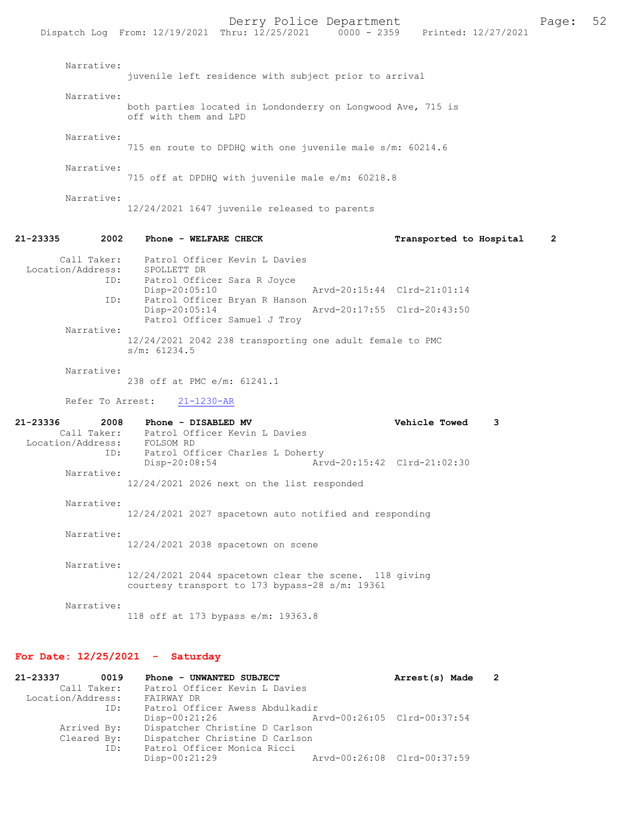Dispatch Log From: 12/19/2021 Thru: 12/25/2021 Narrative: juvenile left residence with subject prior to arrival Narrative: both parties located in Londonderry on Longwood Ave, 715 is off with them and LPD Narrative: 715 en route to DPDHQ with one juvenile male s/m: 60214.6 Narrative: 715 off at DPDHQ with juvenile male e/m: 60218.8 Narrative: 12/24/2021 1647 juvenile released to parents 21-23335 2002 Phone - WELFARE CHECK Transported to Hospital 2 Call Taker: Patrol Officer Kevin L Davies Location/Address: SPOLLETT DR ID: Patrol Officer Sara R Joyce Disp-20:05:10 Arvd-20:15:44 Clrd-21:01:14 ID: Patrol Officer Bryan R Hanson<br>Disp-20:05:14 Disp-20:05:14 Arvd-20:17:55 Clrd-20:43:50 Patrol Officer Samuel J Troy Narrative: 12/24/2021 2042 238 transporting one adult female to PMC s/m: 61234.5 Narrative: 238 off at PMC e/m: 61241.1 Refer To Arrest: 21-1230-AR 21-23336 2008 Phone - DISABLED MV <br>Call Taker: Patrol Officer Kevin L Davies<br> Patrol Officer Kevin L Davies<br>FOLSOM RD Location/Address:<br>ID: Patrol Officer Charles L Doherty<br>Disp-20:08:54 Art Arvd-20:15:42 Clrd-21:02:30 Narrative: 12/24/2021 2026 next on the list responded Narrative: 12/24/2021 2027 spacetown auto notified and responding Narrative: 12/24/2021 2038 spacetown on scene

 Narrative: 12/24/2021 2044 spacetown clear the scene. 118 giving courtesy transport to 173 bypass-28 s/m: 19361

Narrative:

118 off at 173 bypass e/m: 19363.8

#### For Date: 12/25/2021 - Saturday

| 21-23337          | 0019        | Phone - UNWANTED SUBJECT        |                             | Arrest(s) Made |  |
|-------------------|-------------|---------------------------------|-----------------------------|----------------|--|
|                   | Call Taker: | Patrol Officer Kevin L Davies   |                             |                |  |
| Location/Address: |             | FAIRWAY DR                      |                             |                |  |
|                   | ID:         | Patrol Officer Awess Abdulkadir |                             |                |  |
|                   |             | $Disp-00:21:26$                 | Arvd-00:26:05 Clrd-00:37:54 |                |  |
|                   | Arrived By: | Dispatcher Christine D Carlson  |                             |                |  |
|                   | Cleared By: | Dispatcher Christine D Carlson  |                             |                |  |
|                   | ID:         | Patrol Officer Monica Ricci     |                             |                |  |
|                   |             | $Disp-00:21:29$                 | Arvd-00:26:08 Clrd-00:37:59 |                |  |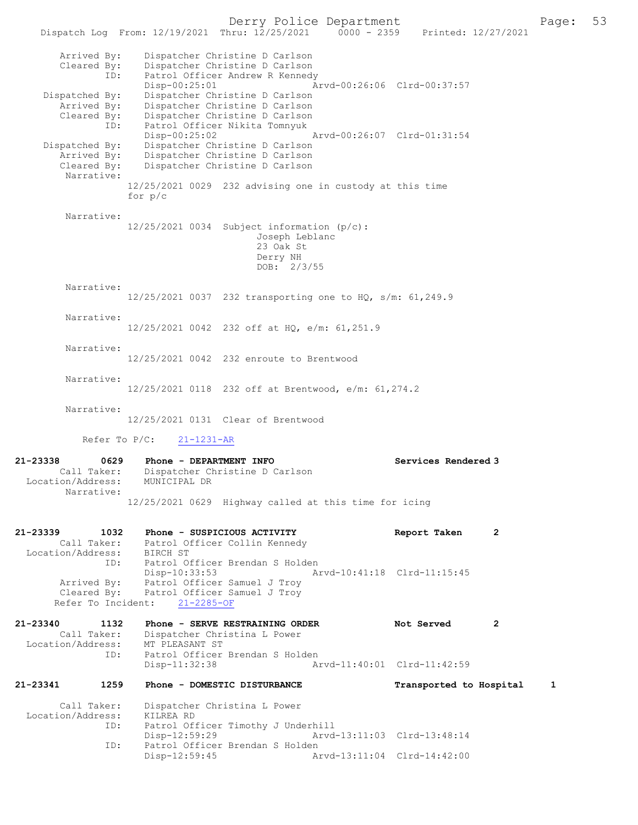Derry Police Department The Page: 53 Dispatch Log From: 12/19/2021 Thru: 12/25/2021 0000 - 2359 Printed: 12/27/2021 Arrived By: Dispatcher Christine D Carlson Cleared By: Dispatcher Christine D Carlson ID: Patrol Officer Andrew R Kennedy Disp-00:25:01 Arvd-00:26:06 Clrd-00:37:57 Dispatched By: Dispatcher Christine D Carlson Arrived By: Dispatcher Christine D Carlson Cleared By: Dispatcher Christine D Carlson ID: Patrol Officer Nikita Tomnyuk Disp-00:25:02 Arvd-00:26:07 Clrd-01:31:54 Dispatched By: Dispatcher Christine D Carlson Arrived By: Dispatcher Christine D Carlson Cleared By: Dispatcher Christine D Carlson Narrative: 12/25/2021 0029 232 advising one in custody at this time for p/c Narrative: 12/25/2021 0034 Subject information (p/c): Joseph Leblanc 23 Oak St Derry NH DOB: 2/3/55 Narrative: 12/25/2021 0037 232 transporting one to HQ, s/m: 61,249.9 Narrative: 12/25/2021 0042 232 off at HQ, e/m: 61,251.9 Narrative: 12/25/2021 0042 232 enroute to Brentwood Narrative: 12/25/2021 0118 232 off at Brentwood, e/m: 61,274.2 Narrative: 12/25/2021 0131 Clear of Brentwood Refer To P/C: 21-1231-AR 21-23338 0629 Phone - DEPARTMENT INFO<br>Call Taker: Dispatcher Christine D Carlson<br>Call Taker: Dispatcher Christine D Carlson Dispatcher Christine D Carlson Location/Address: MUNICIPAL DR Narrative: 12/25/2021 0629 Highway called at this time for icing 21-23339 1032 Phone - SUSPICIOUS ACTIVITY Report Taken 2 Call Taker: Patrol Officer Collin Kennedy Location/Address: BIRCH ST ID: Patrol Officer Brendan S Holden<br>Disp-10:33:53 A Arvd-10:41:18 Clrd-11:15:45 Arrived By: Patrol Officer Samuel J Troy Cleared By: Patrol Officer Samuel J Troy Refer To Incident: 21-2285-OF 21-23340 1132 Phone - SERVE RESTRAINING ORDER Not Served 2 Call Taker: Dispatcher Christina L Power<br>ion/Address: MT PLEASANT ST Location/Address:<br>ID: Patrol Officer Brendan S Holden<br>Disp-11:32:38 Ar Disp-11:32:38 Arvd-11:40:01 Clrd-11:42:59 21-23341 1259 Phone - DOMESTIC DISTURBANCE Transported to Hospital 1 Call Taker: Dispatcher Christina L Power<br>ion/Address: KILREA RD Location/Address: ID: Patrol Officer Timothy J Underhill Disp-12:59:29 Arvd-13:11:03 Clrd-13:48:14 Patrol Officer Brendan S Holden<br>Disp-12:59:45 A Arvd-13:11:04 Clrd-14:42:00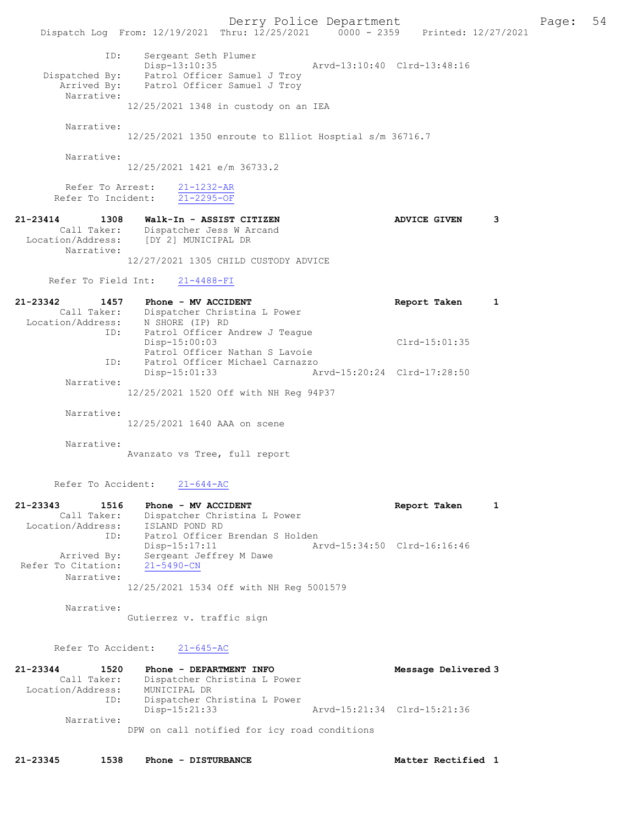Derry Police Department Fage: 54 Dispatch Log From: 12/19/2021 Thru: 12/25/2021 0000 - 2359 Printed: 12/27/2021 ID: Sergeant Seth Plumer Disp-13:10:35 Arvd-13:10:40 Clrd-13:48:16 Dispatched By: Patrol Officer Samuel J Troy Arrived By: Patrol Officer Samuel J Troy Narrative: 12/25/2021 1348 in custody on an IEA Narrative: 12/25/2021 1350 enroute to Elliot Hosptial s/m 36716.7 Narrative: 12/25/2021 1421 e/m 36733.2 Refer To Arrest: 21-1232-AR Refer To Incident: 21-2295-OF 21-23414 1308 Walk-In - ASSIST CITIZEN ADVICE GIVEN 3 Call Taker: Dispatcher Jess W Arcand Location/Address: [DY 2] MUNICIPAL DR Narrative: 12/27/2021 1305 CHILD CUSTODY ADVICE Refer To Field Int: 21-4488-FI 21-23342 1457 Phone - MV ACCIDENT Report Taken 1 Call Taker: Dispatcher Christina L Power Location/Address: N SHORE (IP) RD ID: Patrol Officer Andrew J Teague Disp-15:00:03 Clrd-15:01:35 Patrol Officer Nathan S Lavoie ID: Patrol Officer Michael Carnazzo Disp-15:01:33 Arvd-15:20:24 Clrd-17:28:50 Narrative: 12/25/2021 1520 Off with NH Reg 94P37 Narrative: 12/25/2021 1640 AAA on scene Narrative: Avanzato vs Tree, full report Refer To Accident: 21-644-AC 21-23343 1516 Phone - MV ACCIDENT Report Taken 1

 Call Taker: Dispatcher Christina L Power Location/Address: ISLAND POND RD ID: Patrol Officer Brendan S Holden Disp-15:17:11 Arvd-15:34:50 Clrd-16:16:46 Arrived By: Sergeant Jeffrey M Dawe Refer To Citation: 21-5490-CN Narrative: 12/25/2021 1534 Off with NH Reg 5001579

Narrative:

Gutierrez v. traffic sign

Refer To Accident: 21-645-AC

| 21-23344          | 1520        | Phone - DEPARTMENT INFO                      | Message Delivered 3         |
|-------------------|-------------|----------------------------------------------|-----------------------------|
|                   | Call Taker: | Dispatcher Christina L Power                 |                             |
| Location/Address: |             | MUNICIPAL DR                                 |                             |
|                   | ID:         | Dispatcher Christina L Power                 |                             |
|                   |             | $Disp-15:21:33$                              | Arvd-15:21:34 Clrd-15:21:36 |
|                   | Narrative:  |                                              |                             |
|                   |             | DPW on call notified for icy road conditions |                             |

21-23345 1538 Phone - DISTURBANCE Matter Rectified 1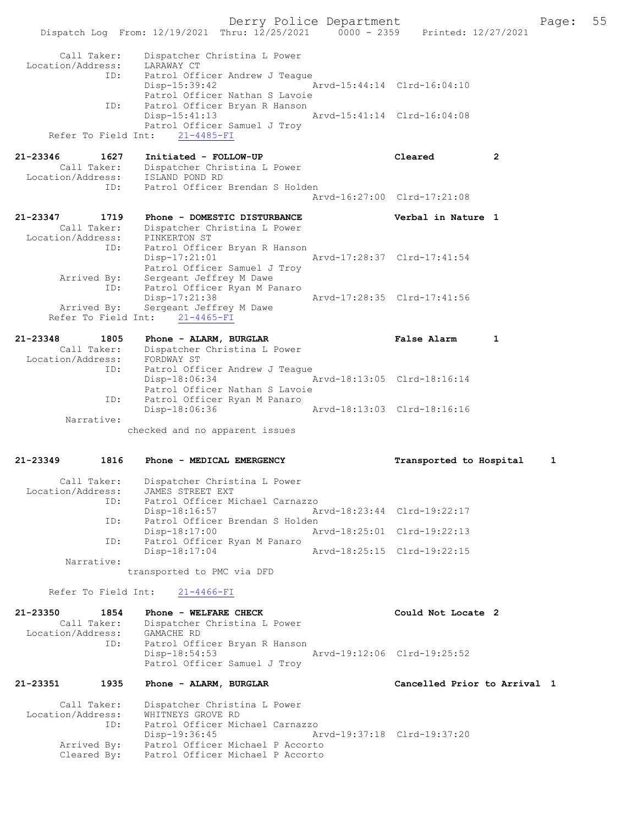Derry Police Department Fage: 55 Dispatch Log From: 12/19/2021 Thru: 12/25/2021 0000 - 2359 Printed: 12/27/2021 Call Taker: Dispatcher Christina L Power Location/Address: LARAWAY CT ID: Patrol Officer Andrew J Teague Disp-15:39:42 Arvd-15:44:14 Clrd-16:04:10 Patrol Officer Nathan S Lavoie<br>ID: Patrol Officer Bryan R Hanson Patrol Officer Bryan R Hanson Disp-15:41:13 Arvd-15:41:14 Clrd-16:04:08 Patrol Officer Samuel J Troy Refer To Field Int: 21-4485-FI 21-23346 1627 Initiated - FOLLOW-UP Cleared 2 Call Taker: Dispatcher Christina L Power Location/Address: ISLAND POND RD ID: Patrol Officer Brendan S Holden Arvd-16:27:00 Clrd-17:21:08 21-23347 1719 Phone - DOMESTIC DISTURBANCE Verbal in Nature 1 Call Taker: Dispatcher Christina L Power Location/Address: PINKERTON ST ID: Patrol Officer Bryan R Hanson Disp-17:21:01 Arvd-17:28:37 Clrd-17:41:54 Patrol Officer Samuel J Troy Arrived By: Sergeant Jeffrey M Dawe ID: Patrol Officer Ryan M Panaro Disp-17:21:38 Arvd-17:28:35 Clrd-17:41:56 Arrived By: Sergeant Jeffrey M Dawe Refer To Field Int: 21-4465-FI 21-23348 1805 Phone - ALARM, BURGLAR FALSE Palse Alarm 1 Call Taker: Dispatcher Christina L Power Location/Address: FORDWAY ST ID: Patrol Officer Andrew J Teague Disp-18:06:34 Arvd-18:13:05 Clrd-18:16:14 Patrol Officer Nathan S Lavoie ID: Patrol Officer Ryan M Panaro Disp-18:06:36 Arvd-18:13:03 Clrd-18:16:16 Narrative: checked and no apparent issues 21-23349 1816 Phone - MEDICAL EMERGENCY Transported to Hospital 1 Call Taker: Dispatcher Christina L Power Location/Address: JAMES STREET EXT ID: Patrol Officer Michael Carnazzo Disp-18:16:57 Arvd-18:23:44 Clrd-19:22:17 ID: Patrol Officer Brendan S Holden Disp-18:17:00 Arvd-18:25:01 Clrd-19:22:13 ID: Patrol Officer Ryan M Panaro<br>Disp-18:17:04 Arvd-18:25:15 Clrd-19:22:15  $Disp-18:17:04$  Narrative: transported to PMC via DFD Refer To Field Int: 21-4466-FI

21-23350 1854 Phone - WELFARE CHECK COUL Could Not Locate 2 Call Taker: Dispatcher Christina L Power Location/Address: GAMACHE RD ID: Patrol Officer Bryan R Hanson Disp-18:54:53 Arvd-19:12:06 Clrd-19:25:52 Patrol Officer Samuel J Troy

21-23351 1935 Phone - ALARM, BURGLAR Cancelled Prior to Arrival 1

 Call Taker: Dispatcher Christina L Power Location/Address: WHITNEYS GROVE RD ID: Patrol Officer Michael Carnazzo Disp-19:36:45 Arvd-19:37:18 Clrd-19:37:20 Arrived By: Patrol Officer Michael P Accorto Cleared By: Patrol Officer Michael P Accorto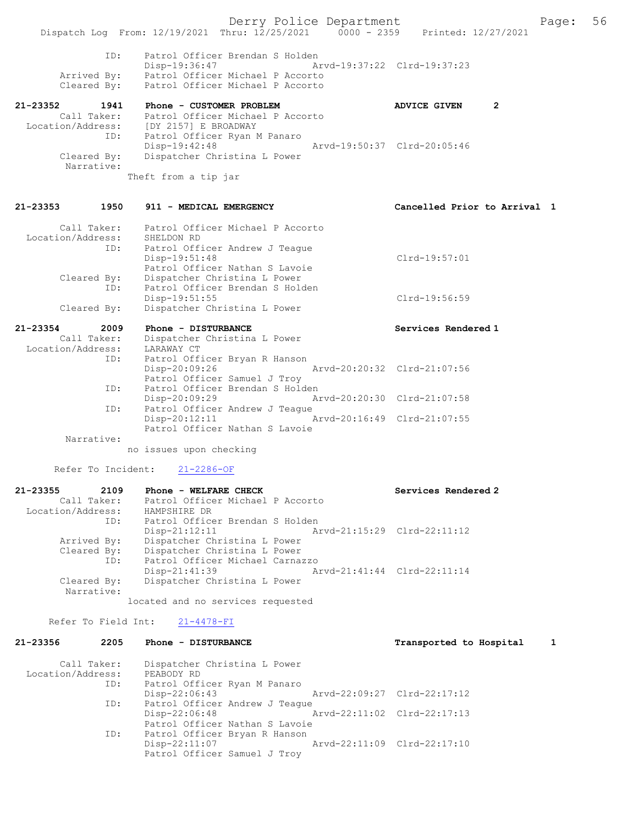|                                  |                    | Derry Police Department                                                                                    | 56<br>Page:                         |
|----------------------------------|--------------------|------------------------------------------------------------------------------------------------------------|-------------------------------------|
|                                  |                    | Dispatch Log From: 12/19/2021 Thru: 12/25/2021 0000 - 2359 Printed: 12/27/2021                             |                                     |
|                                  | ID:                | Patrol Officer Brendan S Holden<br>Disp-19:36:47                                                           | Arvd-19:37:22 Clrd-19:37:23         |
| Cleared By:                      | Arrived By:        | Patrol Officer Michael P Accorto<br>Patrol Officer Michael P Accorto                                       |                                     |
| 21-23352                         | 1941               | Phone - CUSTOMER PROBLEM                                                                                   | <b>ADVICE GIVEN</b><br>$\mathbf{2}$ |
|                                  | Call Taker:<br>ID: | Patrol Officer Michael P Accorto<br>Location/Address: [DY 2157] E BROADWAY<br>Patrol Officer Ryan M Panaro |                                     |
| Cleared By:                      |                    | $Disp-19:42:48$<br>Dispatcher Christina L Power                                                            | Arvd-19:50:37 Clrd-20:05:46         |
| Narrative:                       |                    | Theft from a tip jar                                                                                       |                                     |
|                                  |                    |                                                                                                            |                                     |
| 21-23353                         | 1950               | 911 - MEDICAL EMERGENCY                                                                                    | Cancelled Prior to Arrival 1        |
| Location/Address:                | Call Taker:        | Patrol Officer Michael P Accorto<br>SHELDON RD                                                             |                                     |
|                                  | ID:                | Patrol Officer Andrew J Teague<br>Disp-19:51:48<br>Patrol Officer Nathan S Lavoie                          | Clrd-19:57:01                       |
| Cleared By:                      | ID:                | Dispatcher Christina L Power<br>Patrol Officer Brendan S Holden                                            |                                     |
|                                  |                    | Disp-19:51:55                                                                                              | $Clrd-19:56:59$                     |
| Cleared By:                      |                    | Dispatcher Christina L Power                                                                               |                                     |
| 21-23354                         | 2009               | Phone - DISTURBANCE                                                                                        | Services Rendered 1                 |
|                                  | Call Taker:        | Dispatcher Christina L Power                                                                               |                                     |
| Location/Address:                |                    | LARAWAY CT                                                                                                 |                                     |
|                                  | ID:                | Patrol Officer Bryan R Hanson<br>Disp-20:09:26<br>Patrol Officer Samuel J Troy                             | Arvd-20:20:32 Clrd-21:07:56         |
|                                  | ID:                | Patrol Officer Brendan S Holden<br>Disp-20:09:29                                                           | Arvd-20:20:30 Clrd-21:07:58         |
|                                  | ID:                | Patrol Officer Andrew J Teague                                                                             |                                     |
|                                  |                    | $Disp-20:12:11$<br>Patrol Officer Nathan S Lavoie                                                          | Arvd-20:16:49 Clrd-21:07:55         |
| Narrative:                       |                    |                                                                                                            |                                     |
|                                  |                    | no issues upon checking                                                                                    |                                     |
|                                  | Refer To Incident: | $21 - 2286 - OF$                                                                                           |                                     |
| 21-23355                         | 2109               | Phone - WELFARE CHECK                                                                                      | Services Rendered 2                 |
| Call Taker:<br>Location/Address: |                    | Patrol Officer Michael P Accorto<br>HAMPSHIRE DR                                                           |                                     |
|                                  | ID:                | Patrol Officer Brendan S Holden                                                                            |                                     |
| Arrived By:                      |                    | $Disp-21:12:11$<br>Dispatcher Christina L Power                                                            | Arvd-21:15:29 Clrd-22:11:12         |
| Cleared By:                      |                    | Dispatcher Christina L Power                                                                               |                                     |
|                                  | ID:                | Patrol Officer Michael Carnazzo                                                                            |                                     |
| Cleared By:<br>Narrative:        |                    | Disp-21:41:39<br>Dispatcher Christina L Power                                                              | Arvd-21:41:44 Clrd-22:11:14         |
|                                  |                    | located and no services requested                                                                          |                                     |
| Refer To Field Int:              |                    | $21 - 4478 - FI$                                                                                           |                                     |
| 21-23356                         | 2205               | Phone - DISTURBANCE                                                                                        | Transported to Hospital<br>1        |
| Call Taker:                      |                    | Dispatcher Christina L Power                                                                               |                                     |
| Location/Address:                |                    | PEABODY RD                                                                                                 |                                     |
|                                  | ID:                | Patrol Officer Ryan M Panaro<br>$Disp-22:06:43$                                                            | Arvd-22:09:27 Clrd-22:17:12         |
|                                  | ID:                | Patrol Officer Andrew J Teague                                                                             |                                     |
|                                  |                    | Disp-22:06:48<br>Patrol Officer Nathan S Lavoie                                                            | Arvd-22:11:02 Clrd-22:17:13         |
|                                  | ID:                | Patrol Officer Bryan R Hanson                                                                              |                                     |

Disp-22:11:07 Arvd-22:11:09 Clrd-22:17:10

Patrol Officer Samuel J Troy